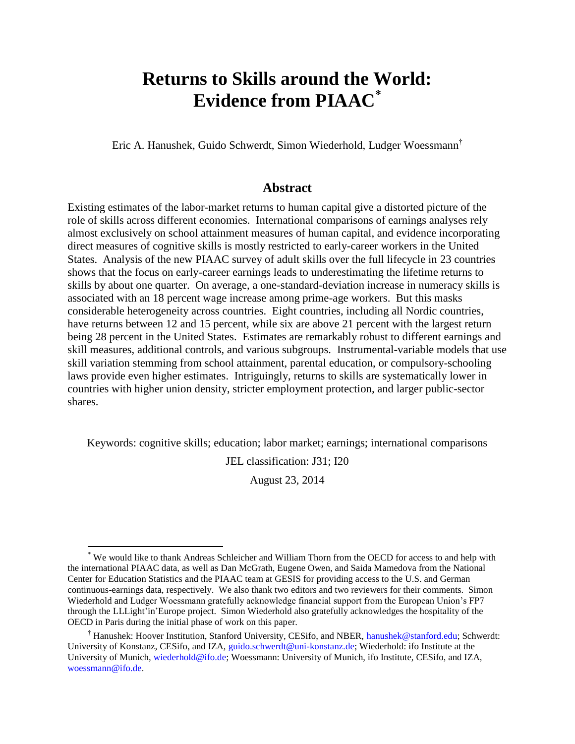# **Returns to Skills around the World: Evidence from PIAAC\***

Eric A. Hanushek, Guido Schwerdt, Simon Wiederhold, Ludger Woessmann†

## **Abstract**

Existing estimates of the labor-market returns to human capital give a distorted picture of the role of skills across different economies. International comparisons of earnings analyses rely almost exclusively on school attainment measures of human capital, and evidence incorporating direct measures of cognitive skills is mostly restricted to early-career workers in the United States. Analysis of the new PIAAC survey of adult skills over the full lifecycle in 23 countries shows that the focus on early-career earnings leads to underestimating the lifetime returns to skills by about one quarter. On average, a one-standard-deviation increase in numeracy skills is associated with an 18 percent wage increase among prime-age workers. But this masks considerable heterogeneity across countries. Eight countries, including all Nordic countries, have returns between 12 and 15 percent, while six are above 21 percent with the largest return being 28 percent in the United States. Estimates are remarkably robust to different earnings and skill measures, additional controls, and various subgroups. Instrumental-variable models that use skill variation stemming from school attainment, parental education, or compulsory-schooling laws provide even higher estimates. Intriguingly, returns to skills are systematically lower in countries with higher union density, stricter employment protection, and larger public-sector shares.

Keywords: cognitive skills; education; labor market; earnings; international comparisons

JEL classification: J31; I20

August 23, 2014

<sup>\*</sup> We would like to thank Andreas Schleicher and William Thorn from the OECD for access to and help with the international PIAAC data, as well as Dan McGrath, Eugene Owen, and Saida Mamedova from the National Center for Education Statistics and the PIAAC team at GESIS for providing access to the U.S. and German continuous-earnings data, respectively. We also thank two editors and two reviewers for their comments. Simon Wiederhold and Ludger Woessmann gratefully acknowledge financial support from the European Union's FP7 through the LLLight'in'Europe project. Simon Wiederhold also gratefully acknowledges the hospitality of the OECD in Paris during the initial phase of work on this paper.

<sup>†</sup> Hanushek: Hoover Institution, Stanford University, CESifo, and NBER, [hanushek@stanford.edu;](mailto:hanushek@stanford.edu) Schwerdt: University of Konstanz, CESifo, and IZA, [guido.schwerdt@uni-konstanz.de;](mailto:guido.schwerdt@uni-konstanz.de) Wiederhold: ifo Institute at the University of Munich, [wiederhold@ifo.de;](mailto:wiederhold@ifo.de) Woessmann: University of Munich, ifo Institute, CESifo, and IZA, [woessmann@ifo.de.](mailto:woessmann@ifo.de)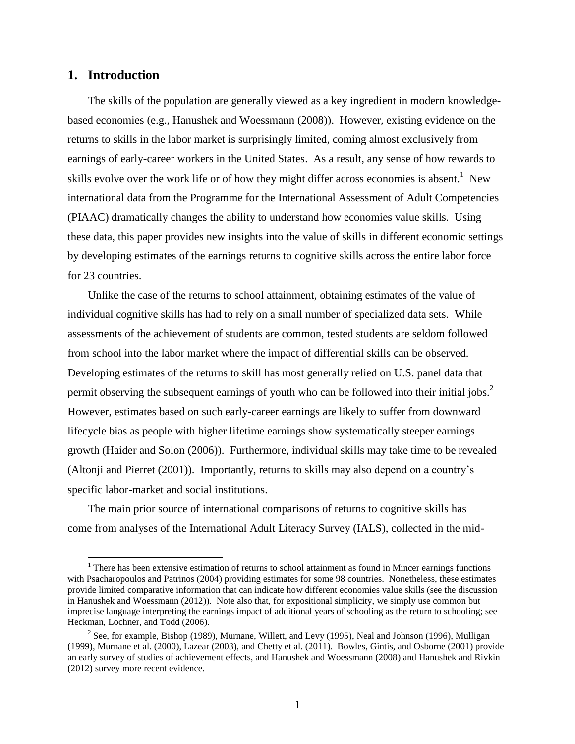# **1. Introduction**

 $\overline{a}$ 

The skills of the population are generally viewed as a key ingredient in modern knowledgebased economies (e.g., [Hanushek and Woessmann \(2008\)](#page-34-0)). However, existing evidence on the returns to skills in the labor market is surprisingly limited, coming almost exclusively from earnings of early-career workers in the United States. As a result, any sense of how rewards to skills evolve over the work life or of how they might differ across economies is absent.<sup>1</sup> New international data from the Programme for the International Assessment of Adult Competencies (PIAAC) dramatically changes the ability to understand how economies value skills. Using these data, this paper provides new insights into the value of skills in different economic settings by developing estimates of the earnings returns to cognitive skills across the entire labor force for 23 countries.

Unlike the case of the returns to school attainment, obtaining estimates of the value of individual cognitive skills has had to rely on a small number of specialized data sets. While assessments of the achievement of students are common, tested students are seldom followed from school into the labor market where the impact of differential skills can be observed. Developing estimates of the returns to skill has most generally relied on U.S. panel data that permit observing the subsequent earnings of youth who can be followed into their initial jobs.<sup>2</sup> However, estimates based on such early-career earnings are likely to suffer from downward lifecycle bias as people with higher lifetime earnings show systematically steeper earnings growth [\(Haider and Solon \(2006\)](#page-34-1)). Furthermore, individual skills may take time to be revealed [\(Altonji and Pierret \(2001\)](#page-33-0)). Importantly, returns to skills may also depend on a country's specific labor-market and social institutions.

The main prior source of international comparisons of returns to cognitive skills has come from analyses of the International Adult Literacy Survey (IALS), collected in the mid-

 $<sup>1</sup>$  There has been extensive estimation of returns to school attainment as found in Mincer earnings functions</sup> with [Psacharopoulos and Patrinos \(2004\)](#page-36-0) providing estimates for some 98 countries. Nonetheless, these estimates provide limited comparative information that can indicate how different economies value skills (see the discussion in [Hanushek and Woessmann \(2012\)](#page-34-2)). Note also that, for expositional simplicity, we simply use common but imprecise language interpreting the earnings impact of additional years of schooling as the return to schooling; see [Heckman, Lochner, and Todd \(2006\)](#page-35-0).

<sup>&</sup>lt;sup>2</sup> See, for example, [Bishop \(1989\)](#page-33-1), [Murnane, Willett, and Levy \(1995\)](#page-36-1), [Neal and Johnson \(1996\)](#page-36-2), Mulligan [\(1999\)](#page-35-1)[, Murnane et al. \(2000\)](#page-36-3), [Lazear \(2003\)](#page-35-2), and [Chetty et al. \(2011\)](#page-33-2). [Bowles, Gintis, and Osborne \(2001\)](#page-33-3) provide an early survey of studies of achievement effects, and [Hanushek and Woessmann \(2008\)](#page-34-0) and [Hanushek and Rivkin](#page-34-3)  [\(2012\)](#page-34-3) survey more recent evidence.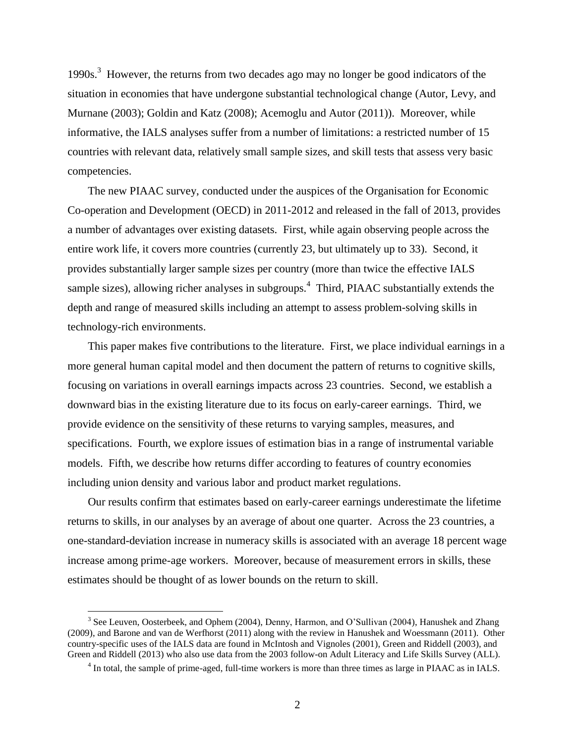1990s. <sup>3</sup> However, the returns from two decades ago may no longer be good indicators of the situation in economies that have undergone substantial technological change [\(Autor, Levy, and](#page-33-4)  [Murnane \(2003\)](#page-33-4); [Goldin and Katz \(2008\)](#page-34-4); [Acemoglu and Autor \(2011\)](#page-33-5)). Moreover, while informative, the IALS analyses suffer from a number of limitations: a restricted number of 15 countries with relevant data, relatively small sample sizes, and skill tests that assess very basic competencies.

The new PIAAC survey, conducted under the auspices of the Organisation for Economic Co-operation and Development (OECD) in 2011-2012 and released in the fall of 2013, provides a number of advantages over existing datasets. First, while again observing people across the entire work life, it covers more countries (currently 23, but ultimately up to 33). Second, it provides substantially larger sample sizes per country (more than twice the effective IALS sample sizes), allowing richer analyses in subgroups.<sup>4</sup> Third, PIAAC substantially extends the depth and range of measured skills including an attempt to assess problem-solving skills in technology-rich environments.

This paper makes five contributions to the literature. First, we place individual earnings in a more general human capital model and then document the pattern of returns to cognitive skills, focusing on variations in overall earnings impacts across 23 countries. Second, we establish a downward bias in the existing literature due to its focus on early-career earnings. Third, we provide evidence on the sensitivity of these returns to varying samples, measures, and specifications. Fourth, we explore issues of estimation bias in a range of instrumental variable models. Fifth, we describe how returns differ according to features of country economies including union density and various labor and product market regulations.

Our results confirm that estimates based on early-career earnings underestimate the lifetime returns to skills, in our analyses by an average of about one quarter. Across the 23 countries, a one-standard-deviation increase in numeracy skills is associated with an average 18 percent wage increase among prime-age workers. Moreover, because of measurement errors in skills, these estimates should be thought of as lower bounds on the return to skill.

 $3$  See [Leuven, Oosterbeek, and Ophem \(2004\)](#page-35-3), [Denny, Harmon, and O'Sullivan \(2004\)](#page-34-5), Hanushek and Zhang [\(2009\)](#page-35-4), an[d Barone and van de Werfhorst \(2011\)](#page-33-6) along with the review i[n Hanushek and Woessmann \(2011\)](#page-34-6). Other country-specific uses of the IALS data are found in [McIntosh and Vignoles \(2001\)](#page-35-5), [Green and Riddell \(2003\)](#page-34-7), and [Green and Riddell \(2013\)](#page-34-8) who also use data from the 2003 follow-on Adult Literacy and Life Skills Survey (ALL).

<sup>&</sup>lt;sup>4</sup> In total, the sample of prime-aged, full-time workers is more than three times as large in PIAAC as in IALS.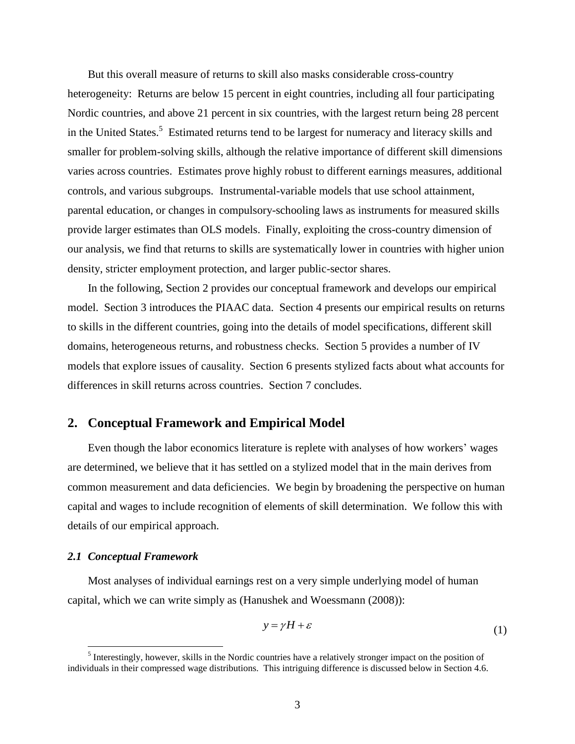But this overall measure of returns to skill also masks considerable cross-country heterogeneity: Returns are below 15 percent in eight countries, including all four participating Nordic countries, and above 21 percent in six countries, with the largest return being 28 percent in the United States.<sup>5</sup> Estimated returns tend to be largest for numeracy and literacy skills and smaller for problem-solving skills, although the relative importance of different skill dimensions varies across countries. Estimates prove highly robust to different earnings measures, additional controls, and various subgroups. Instrumental-variable models that use school attainment, parental education, or changes in compulsory-schooling laws as instruments for measured skills provide larger estimates than OLS models. Finally, exploiting the cross-country dimension of our analysis, we find that returns to skills are systematically lower in countries with higher union density, stricter employment protection, and larger public-sector shares.

In the following, Section 2 provides our conceptual framework and develops our empirical model. Section 3 introduces the PIAAC data. Section 4 presents our empirical results on returns to skills in the different countries, going into the details of model specifications, different skill domains, heterogeneous returns, and robustness checks. Section 5 provides a number of IV models that explore issues of causality. Section 6 presents stylized facts about what accounts for differences in skill returns across countries. Section 7 concludes.

# **2. Conceptual Framework and Empirical Model**

Even though the labor economics literature is replete with analyses of how workers' wages are determined, we believe that it has settled on a stylized model that in the main derives from common measurement and data deficiencies. We begin by broadening the perspective on human capital and wages to include recognition of elements of skill determination. We follow this with details of our empirical approach.

#### *2.1 Conceptual Framework*

 $\overline{a}$ 

Most analyses of individual earnings rest on a very simple underlying model of human capital, which we can write simply as [\(Hanushek and Woessmann \(2008\)](#page-34-0)):

$$
y = \gamma H + \varepsilon \tag{1}
$$

<sup>&</sup>lt;sup>5</sup> Interestingly, however, skills in the Nordic countries have a relatively stronger impact on the position of individuals in their compressed wage distributions. This intriguing difference is discussed below in Section 4.6.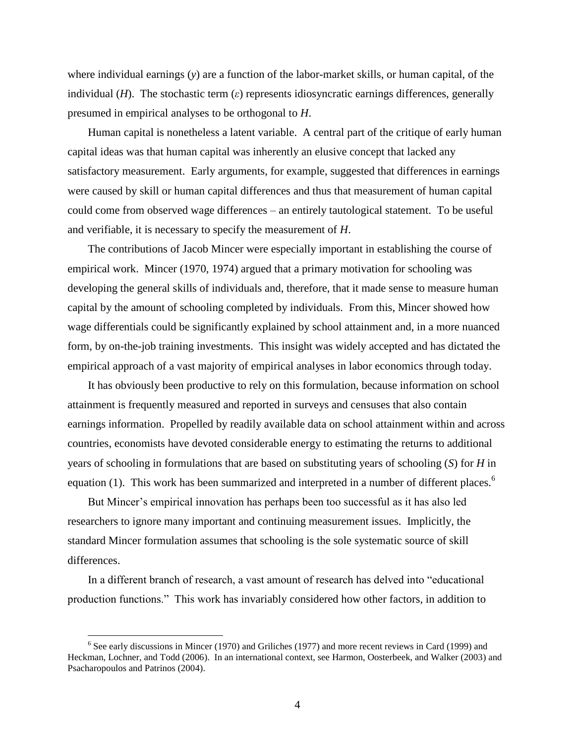where individual earnings (*y*) are a function of the labor-market skills, or human capital, of the individual (*H*). The stochastic term (*ε*) represents idiosyncratic earnings differences, generally presumed in empirical analyses to be orthogonal to *H*.

Human capital is nonetheless a latent variable. A central part of the critique of early human capital ideas was that human capital was inherently an elusive concept that lacked any satisfactory measurement. Early arguments, for example, suggested that differences in earnings were caused by skill or human capital differences and thus that measurement of human capital could come from observed wage differences – an entirely tautological statement. To be useful and verifiable, it is necessary to specify the measurement of *H*.

The contributions of Jacob Mincer were especially important in establishing the course of empirical work. [Mincer \(1970,](#page-35-6) [1974\)](#page-35-7) argued that a primary motivation for schooling was developing the general skills of individuals and, therefore, that it made sense to measure human capital by the amount of schooling completed by individuals. From this, Mincer showed how wage differentials could be significantly explained by school attainment and, in a more nuanced form, by on-the-job training investments. This insight was widely accepted and has dictated the empirical approach of a vast majority of empirical analyses in labor economics through today.

It has obviously been productive to rely on this formulation, because information on school attainment is frequently measured and reported in surveys and censuses that also contain earnings information. Propelled by readily available data on school attainment within and across countries, economists have devoted considerable energy to estimating the returns to additional years of schooling in formulations that are based on substituting years of schooling (*S*) for *H* in equation (1). This work has been summarized and interpreted in a number of different places.<sup>6</sup>

But Mincer's empirical innovation has perhaps been too successful as it has also led researchers to ignore many important and continuing measurement issues. Implicitly, the standard Mincer formulation assumes that schooling is the sole systematic source of skill differences.

In a different branch of research, a vast amount of research has delved into "educational production functions." This work has invariably considered how other factors, in addition to

<sup>&</sup>lt;sup>6</sup> See early discussions in [Mincer \(1970\)](#page-35-6) an[d Griliches \(1977\)](#page-34-9) and more recent reviews i[n Card \(1999\)](#page-33-7) and [Heckman, Lochner, and Todd \(2006\)](#page-35-0). In an international context, see [Harmon, Oosterbeek, and Walker \(2003\)](#page-35-8) and [Psacharopoulos and Patrinos \(2004\)](#page-36-0).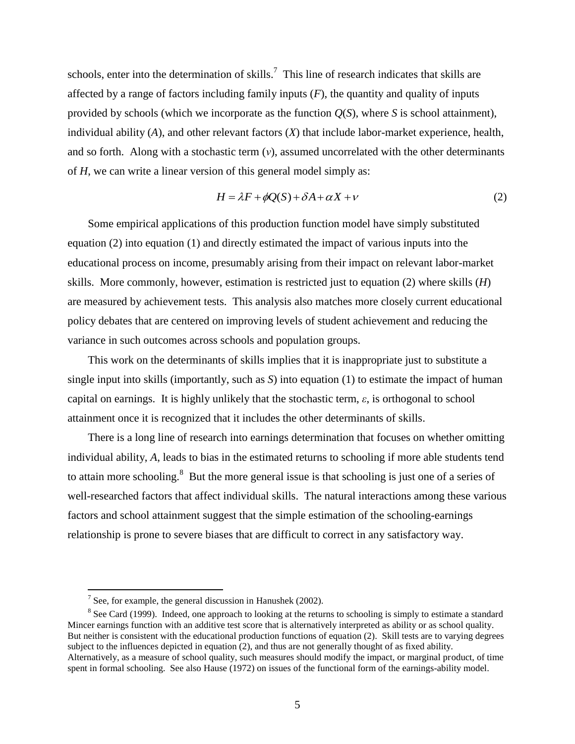schools, enter into the determination of skills.<sup>7</sup> This line of research indicates that skills are affected by a range of factors including family inputs  $(F)$ , the quantity and quality of inputs provided by schools (which we incorporate as the function  $Q(S)$ , where *S* is school attainment), individual ability (*A*), and other relevant factors (*X*) that include labor-market experience, health, and so forth. Along with a stochastic term  $(v)$ , assumed uncorrelated with the other determinants of *H*, we can write a linear version of this general model simply as:

$$
H = \lambda F + \phi Q(S) + \delta A + \alpha X + \nu
$$
 (2)

Some empirical applications of this production function model have simply substituted equation (2) into equation (1) and directly estimated the impact of various inputs into the educational process on income, presumably arising from their impact on relevant labor-market skills. More commonly, however, estimation is restricted just to equation (2) where skills (*H*) are measured by achievement tests. This analysis also matches more closely current educational policy debates that are centered on improving levels of student achievement and reducing the variance in such outcomes across schools and population groups.

This work on the determinants of skills implies that it is inappropriate just to substitute a single input into skills (importantly, such as *S*) into equation (1) to estimate the impact of human capital on earnings. It is highly unlikely that the stochastic term, *ε*, is orthogonal to school attainment once it is recognized that it includes the other determinants of skills.

There is a long line of research into earnings determination that focuses on whether omitting individual ability, *A*, leads to bias in the estimated returns to schooling if more able students tend to attain more schooling. $8$  But the more general issue is that schooling is just one of a series of well-researched factors that affect individual skills. The natural interactions among these various factors and school attainment suggest that the simple estimation of the schooling-earnings relationship is prone to severe biases that are difficult to correct in any satisfactory way.

<sup>&</sup>lt;sup>7</sup> See, for example, the general discussion in [Hanushek \(2002\)](#page-34-10).

 $8$  See [Card \(1999\)](#page-33-7). Indeed, one approach to looking at the returns to schooling is simply to estimate a standard Mincer earnings function with an additive test score that is alternatively interpreted as ability or as school quality. But neither is consistent with the educational production functions of equation (2). Skill tests are to varying degrees subject to the influences depicted in equation (2), and thus are not generally thought of as fixed ability. Alternatively, as a measure of school quality, such measures should modify the impact, or marginal product, of time spent in formal schooling. See also [Hause \(1972\)](#page-35-9) on issues of the functional form of the earnings-ability model.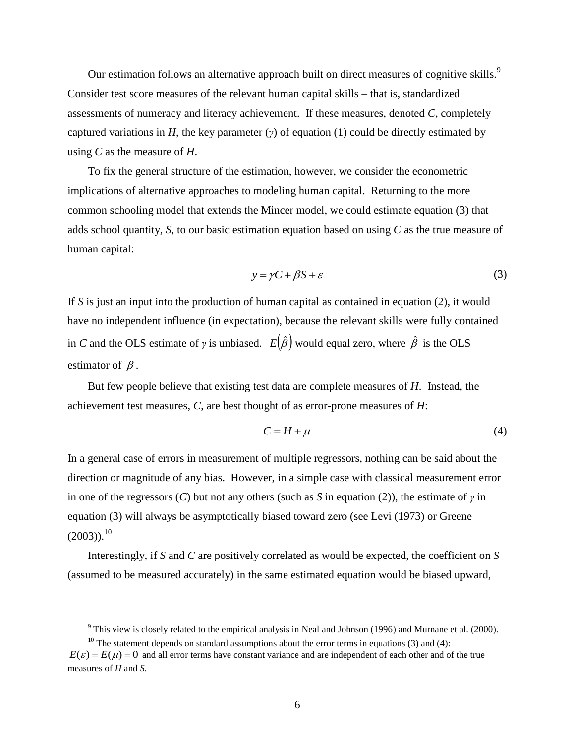Our estimation follows an alternative approach built on direct measures of cognitive skills.<sup>9</sup> Consider test score measures of the relevant human capital skills – that is, standardized assessments of numeracy and literacy achievement. If these measures, denoted *C*, completely captured variations in *H*, the key parameter ( $\gamma$ ) of equation (1) could be directly estimated by using *C* as the measure of *H*.

To fix the general structure of the estimation, however, we consider the econometric implications of alternative approaches to modeling human capital. Returning to the more common schooling model that extends the Mincer model, we could estimate equation (3) that adds school quantity, *S*, to our basic estimation equation based on using *C* as the true measure of human capital:

$$
y = \gamma C + \beta S + \varepsilon \tag{3}
$$

If *S* is just an input into the production of human capital as contained in equation (2), it would have no independent influence (in expectation), because the relevant skills were fully contained in *C* and the OLS estimate of *γ* is unbiased.  $E(\hat{\beta})$  would equal zero, where  $\hat{\beta}$  is the OLS estimator of  $\beta$ .

But few people believe that existing test data are complete measures of *H*. Instead, the achievement test measures, *C*, are best thought of as error-prone measures of *H*:

$$
C = H + \mu \tag{4}
$$

In a general case of errors in measurement of multiple regressors, nothing can be said about the direction or magnitude of any bias. However, in a simple case with classical measurement error in one of the regressors (*C*) but not any others (such as *S* in equation (2)), the estimate of *γ* in equation (3) will always be asymptotically biased toward zero (see [Levi \(1973\)](#page-35-1) or [Greene](#page-34-3)   $(2003)$ ).<sup>10</sup>

Interestingly, if *S* and *C* are positively correlated as would be expected, the coefficient on *S* (assumed to be measured accurately) in the same estimated equation would be biased upward,

 $9$  This view is closely related to the empirical analysis in [Neal and Johnson \(1996\)](#page-36-2) and [Murnane et al. \(2000\)](#page-36-3). <sup>10</sup> The statement depends on standard assumptions about the error terms in equations (3) and (4):

 $E(\varepsilon) = E(\mu) = 0$  and all error terms have constant variance and are independent of each other and of the true measures of *H* and *S.*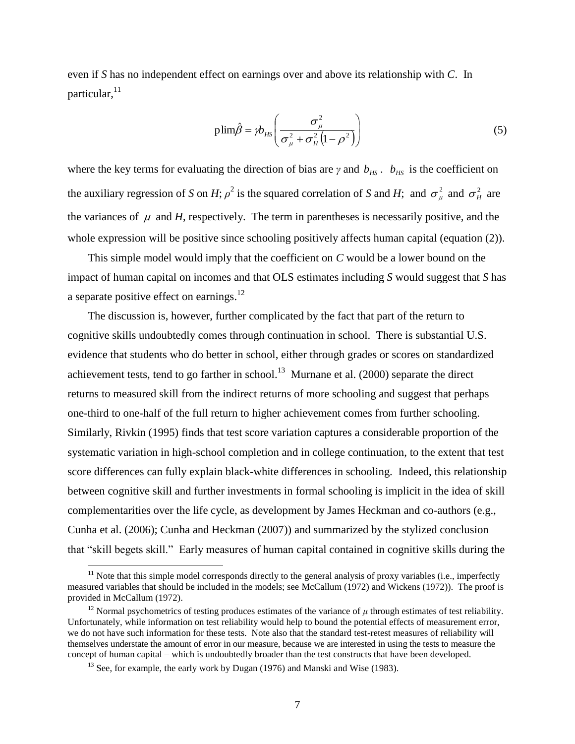even if *S* has no independent effect on earnings over and above its relationship with *C*. In particular, $^{11}$ 

$$
\text{plim}\hat{\beta} = \gamma b_{HS} \left( \frac{\sigma_{\mu}^2}{\sigma_{\mu}^2 + \sigma_{H}^2 (1 - \rho^2)} \right)
$$
 (5)

where the key terms for evaluating the direction of bias are  $\gamma$  and  $b_{HS}$ .  $b_{HS}$  is the coefficient on the auxiliary regression of *S* on *H*;  $\rho^2$  is the squared correlation of *S* and *H*; and  $\sigma^2_\mu$  and  $\sigma^2_H$  are the variances of  $\mu$  and  $H$ , respectively. The term in parentheses is necessarily positive, and the whole expression will be positive since schooling positively affects human capital (equation (2)).

This simple model would imply that the coefficient on *C* would be a lower bound on the impact of human capital on incomes and that OLS estimates including *S* would suggest that *S* has a separate positive effect on earnings.<sup>12</sup>

The discussion is, however, further complicated by the fact that part of the return to cognitive skills undoubtedly comes through continuation in school. There is substantial U.S. evidence that students who do better in school, either through grades or scores on standardized achievement tests, tend to go farther in school.<sup>13</sup> Murnane et al.  $(2000)$  separate the direct returns to measured skill from the indirect returns of more schooling and suggest that perhaps one-third to one-half of the full return to higher achievement comes from further schooling. Similarly, [Rivkin \(1995\)](#page-36-4) finds that test score variation captures a considerable proportion of the systematic variation in high-school completion and in college continuation, to the extent that test score differences can fully explain black-white differences in schooling. Indeed, this relationship between cognitive skill and further investments in formal schooling is implicit in the idea of skill complementarities over the life cycle, as development by James Heckman and co-authors (e.g., [Cunha et al. \(2006\)](#page-33-8); [Cunha and Heckman \(2007\)](#page-33-9)) and summarized by the stylized conclusion that "skill begets skill." Early measures of human capital contained in cognitive skills during the

 $11$  Note that this simple model corresponds directly to the general analysis of proxy variables (i.e., imperfectly measured variables that should be included in the models; see [McCallum \(1972\)](#page-36-2) an[d Wickens \(1972\)](#page-36-5)). The proof is provided in [McCallum \(1972\)](#page-36-2).

<sup>&</sup>lt;sup>12</sup> Normal psychometrics of testing produces estimates of the variance of  $\mu$  through estimates of test reliability. Unfortunately, while information on test reliability would help to bound the potential effects of measurement error, we do not have such information for these tests. Note also that the standard test-retest measures of reliability will themselves understate the amount of error in our measure, because we are interested in using the tests to measure the concept of human capital – which is undoubtedly broader than the test constructs that have been developed.

 $13$  See, for example, the early work by [Dugan \(1976\)](#page-34-11) and [Manski and Wise \(1983\)](#page-35-10).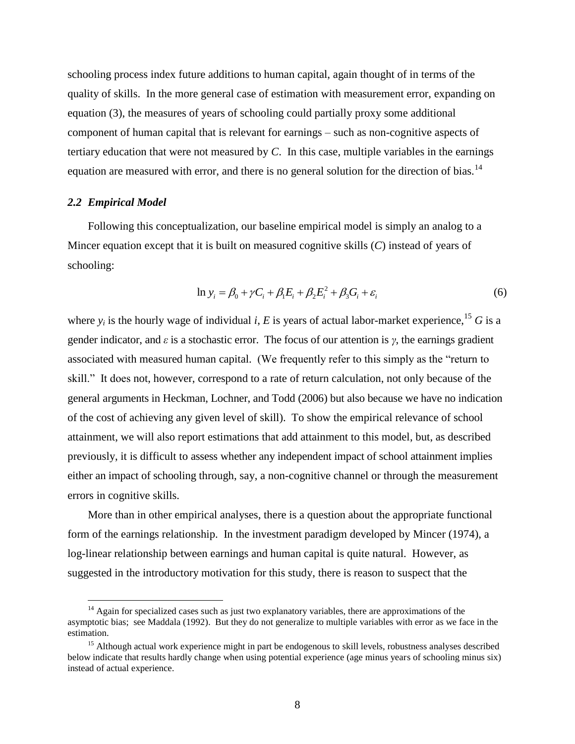schooling process index future additions to human capital, again thought of in terms of the quality of skills. In the more general case of estimation with measurement error, expanding on equation (3), the measures of years of schooling could partially proxy some additional component of human capital that is relevant for earnings – such as non-cognitive aspects of tertiary education that were not measured by *C*. In this case, multiple variables in the earnings equation are measured with error, and there is no general solution for the direction of bias.<sup>14</sup>

#### *2.2 Empirical Model*

 $\overline{a}$ 

Following this conceptualization, our baseline empirical model is simply an analog to a Mincer equation except that it is built on measured cognitive skills (*C*) instead of years of schooling:

$$
\ln y_i = \beta_0 + \gamma C_i + \beta_1 E_i + \beta_2 E_i^2 + \beta_3 G_i + \varepsilon_i
$$
 (6)

where  $y_i$  is the hourly wage of individual *i*, *E* is years of actual labor-market experience,<sup>15</sup> *G* is a gender indicator, and *ε* is a stochastic error. The focus of our attention is *γ*, the earnings gradient associated with measured human capital. (We frequently refer to this simply as the "return to skill." It does not, however, correspond to a rate of return calculation, not only because of the general arguments in [Heckman, Lochner, and Todd \(2006\)](#page-35-0) but also because we have no indication of the cost of achieving any given level of skill). To show the empirical relevance of school attainment, we will also report estimations that add attainment to this model, but, as described previously, it is difficult to assess whether any independent impact of school attainment implies either an impact of schooling through, say, a non-cognitive channel or through the measurement errors in cognitive skills.

More than in other empirical analyses, there is a question about the appropriate functional form of the earnings relationship. In the investment paradigm developed by [Mincer \(1974\)](#page-35-7), a log-linear relationship between earnings and human capital is quite natural. However, as suggested in the introductory motivation for this study, there is reason to suspect that the

 $14$  Again for specialized cases such as just two explanatory variables, there are approximations of the asymptotic bias; see [Maddala \(1992\)](#page-36-3). But they do not generalize to multiple variables with error as we face in the estimation.

<sup>&</sup>lt;sup>15</sup> Although actual work experience might in part be endogenous to skill levels, robustness analyses described below indicate that results hardly change when using potential experience (age minus years of schooling minus six) instead of actual experience.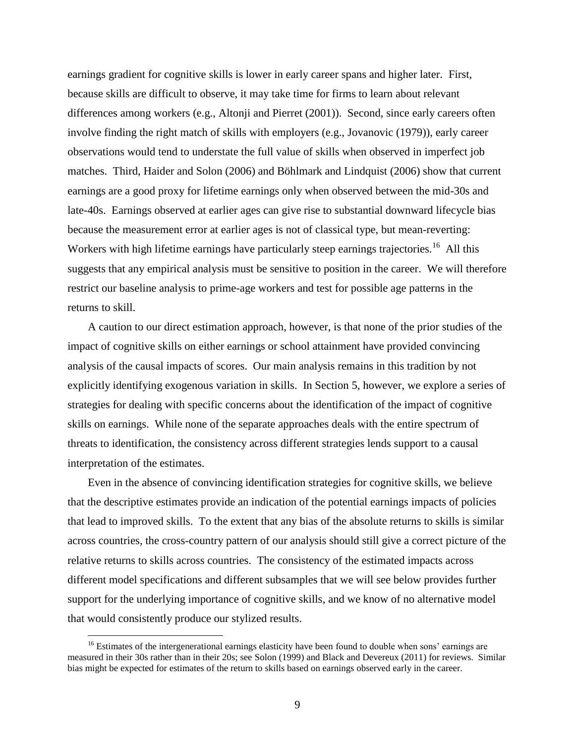earnings gradient for cognitive skills is lower in early career spans and higher later. First, because skills are difficult to observe, it may take time for firms to learn about relevant differences among workers (e.g., [Altonji and Pierret \(2001\)](#page-33-0)). Second, since early careers often involve finding the right match of skills with employers (e.g., [Jovanovic \(1979\)](#page-35-11)), early career observations would tend to understate the full value of skills when observed in imperfect job matches. Third, [Haider and Solon \(2006\)](#page-34-1) and [Böhlmark and Lindquist \(2006\)](#page-33-10) show that current earnings are a good proxy for lifetime earnings only when observed between the mid-30s and late-40s. Earnings observed at earlier ages can give rise to substantial downward lifecycle bias because the measurement error at earlier ages is not of classical type, but mean-reverting: Workers with high lifetime earnings have particularly steep earnings trajectories.<sup>16</sup> All this suggests that any empirical analysis must be sensitive to position in the career. We will therefore restrict our baseline analysis to prime-age workers and test for possible age patterns in the returns to skill.

A caution to our direct estimation approach, however, is that none of the prior studies of the impact of cognitive skills on either earnings or school attainment have provided convincing analysis of the causal impacts of scores. Our main analysis remains in this tradition by not explicitly identifying exogenous variation in skills. In Section 5, however, we explore a series of strategies for dealing with specific concerns about the identification of the impact of cognitive skills on earnings. While none of the separate approaches deals with the entire spectrum of threats to identification, the consistency across different strategies lends support to a causal interpretation of the estimates.

Even in the absence of convincing identification strategies for cognitive skills, we believe that the descriptive estimates provide an indication of the potential earnings impacts of policies that lead to improved skills. To the extent that any bias of the absolute returns to skills is similar across countries, the cross-country pattern of our analysis should still give a correct picture of the relative returns to skills across countries. The consistency of the estimated impacts across different model specifications and different subsamples that we will see below provides further support for the underlying importance of cognitive skills, and we know of no alternative model that would consistently produce our stylized results.

<sup>&</sup>lt;sup>16</sup> Estimates of the intergenerational earnings elasticity have been found to double when sons' earnings are measured in their 30s rather than in their 20s; see [Solon \(1999\)](#page-36-6) and [Black and Devereux \(2011\)](#page-33-11) for reviews. Similar bias might be expected for estimates of the return to skills based on earnings observed early in the career.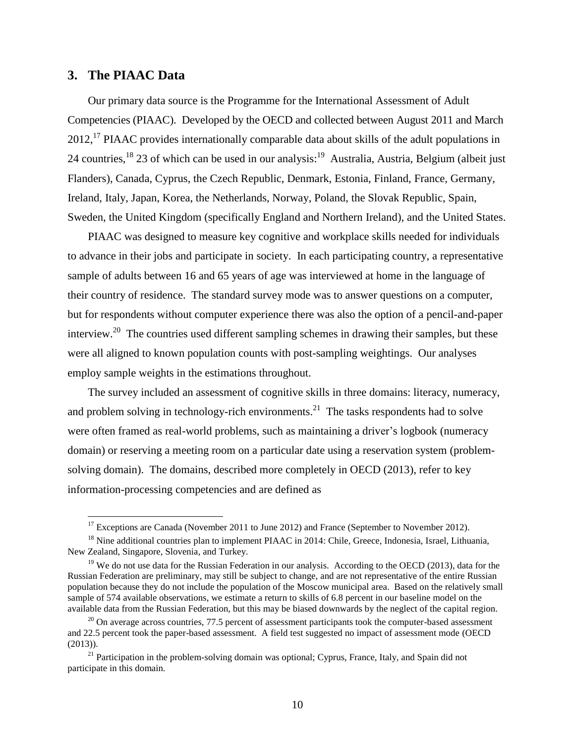# **3. The PIAAC Data**

 $\overline{a}$ 

Our primary data source is the Programme for the International Assessment of Adult Competencies (PIAAC). Developed by the OECD and collected between August 2011 and March 2012,<sup>17</sup> PIAAC provides internationally comparable data about skills of the adult populations in 24 countries, <sup>18</sup> 23 of which can be used in our analysis:<sup>19</sup> Australia, Austria, Belgium (albeit just Flanders), Canada, Cyprus, the Czech Republic, Denmark, Estonia, Finland, France, Germany, Ireland, Italy, Japan, Korea, the Netherlands, Norway, Poland, the Slovak Republic, Spain, Sweden, the United Kingdom (specifically England and Northern Ireland), and the United States.

PIAAC was designed to measure key cognitive and workplace skills needed for individuals to advance in their jobs and participate in society. In each participating country, a representative sample of adults between 16 and 65 years of age was interviewed at home in the language of their country of residence. The standard survey mode was to answer questions on a computer, but for respondents without computer experience there was also the option of a pencil-and-paper interview.<sup>20</sup> The countries used different sampling schemes in drawing their samples, but these were all aligned to known population counts with post-sampling weightings. Our analyses employ sample weights in the estimations throughout.

The survey included an assessment of cognitive skills in three domains: literacy, numeracy, and problem solving in technology-rich environments. $^{21}$  The tasks respondents had to solve were often framed as real-world problems, such as maintaining a driver's logbook (numeracy domain) or reserving a meeting room on a particular date using a reservation system (problemsolving domain). The domains, described more completely in [OECD \(2013\)](#page-36-7), refer to key information-processing competencies and are defined as

 $17$  Exceptions are Canada (November 2011 to June 2012) and France (September to November 2012).

<sup>&</sup>lt;sup>18</sup> Nine additional countries plan to implement PIAAC in 2014: Chile, Greece, Indonesia, Israel, Lithuania, New Zealand, Singapore, Slovenia, and Turkey.

 $19$  We do not use data for the Russian Federation in our analysis. According to the [OECD \(2013\)](#page-36-7), data for the Russian Federation are preliminary, may still be subject to change, and are not representative of the entire Russian population because they do not include the population of the Moscow municipal area. Based on the relatively small sample of 574 available observations, we estimate a return to skills of 6.8 percent in our baseline model on the available data from the Russian Federation, but this may be biased downwards by the neglect of the capital region.

 $^{20}$  On average across countries, 77.5 percent of assessment participants took the computer-based assessment and 22.5 percent took the paper-based assessment. A field test suggested no impact of assessment mode [\(OECD](#page-36-7)  [\(2013\)](#page-36-7)).

 $21$  Participation in the problem-solving domain was optional; Cyprus, France, Italy, and Spain did not participate in this domain.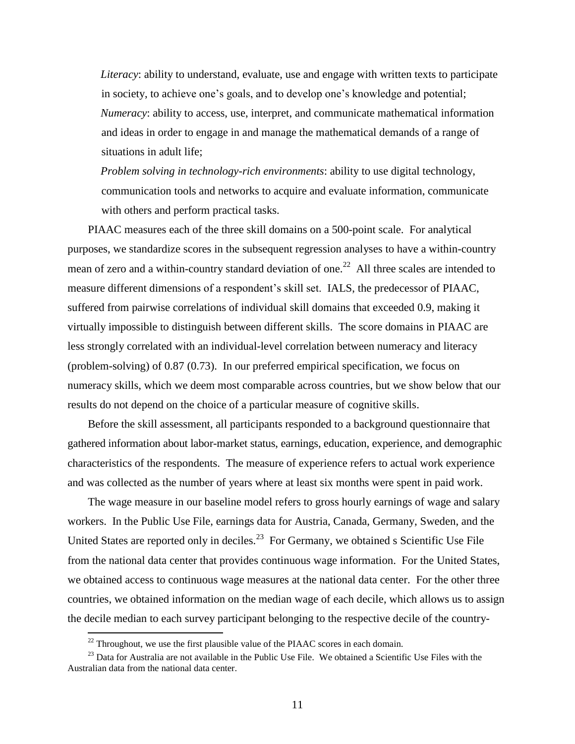*Literacy*: ability to understand, evaluate, use and engage with written texts to participate in society, to achieve one's goals, and to develop one's knowledge and potential; *Numeracy*: ability to access, use, interpret, and communicate mathematical information and ideas in order to engage in and manage the mathematical demands of a range of situations in adult life;

*Problem solving in technology-rich environments*: ability to use digital technology, communication tools and networks to acquire and evaluate information, communicate with others and perform practical tasks.

PIAAC measures each of the three skill domains on a 500-point scale. For analytical purposes, we standardize scores in the subsequent regression analyses to have a within-country mean of zero and a within-country standard deviation of one.<sup>22</sup> All three scales are intended to measure different dimensions of a respondent's skill set. IALS, the predecessor of PIAAC, suffered from pairwise correlations of individual skill domains that exceeded 0.9, making it virtually impossible to distinguish between different skills. The score domains in PIAAC are less strongly correlated with an individual-level correlation between numeracy and literacy (problem-solving) of 0.87 (0.73). In our preferred empirical specification, we focus on numeracy skills, which we deem most comparable across countries, but we show below that our results do not depend on the choice of a particular measure of cognitive skills.

Before the skill assessment, all participants responded to a background questionnaire that gathered information about labor-market status, earnings, education, experience, and demographic characteristics of the respondents. The measure of experience refers to actual work experience and was collected as the number of years where at least six months were spent in paid work.

The wage measure in our baseline model refers to gross hourly earnings of wage and salary workers. In the Public Use File, earnings data for Austria, Canada, Germany, Sweden, and the United States are reported only in deciles. $^{23}$  For Germany, we obtained s Scientific Use File from the national data center that provides continuous wage information. For the United States, we obtained access to continuous wage measures at the national data center. For the other three countries, we obtained information on the median wage of each decile, which allows us to assign the decile median to each survey participant belonging to the respective decile of the country-

 $22$  Throughout, we use the first plausible value of the PIAAC scores in each domain.

<sup>&</sup>lt;sup>23</sup> Data for Australia are not available in the Public Use File. We obtained a Scientific Use Files with the Australian data from the national data center.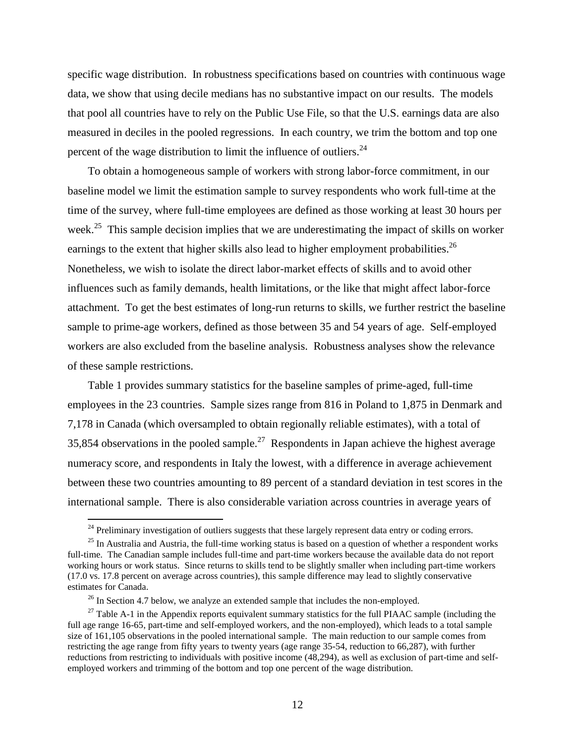specific wage distribution. In robustness specifications based on countries with continuous wage data, we show that using decile medians has no substantive impact on our results. The models that pool all countries have to rely on the Public Use File, so that the U.S. earnings data are also measured in deciles in the pooled regressions. In each country, we trim the bottom and top one percent of the wage distribution to limit the influence of outliers.  $24$ 

To obtain a homogeneous sample of workers with strong labor-force commitment, in our baseline model we limit the estimation sample to survey respondents who work full-time at the time of the survey, where full-time employees are defined as those working at least 30 hours per week.<sup>25</sup> This sample decision implies that we are underestimating the impact of skills on worker earnings to the extent that higher skills also lead to higher employment probabilities.<sup>26</sup> Nonetheless, we wish to isolate the direct labor-market effects of skills and to avoid other influences such as family demands, health limitations, or the like that might affect labor-force attachment. To get the best estimates of long-run returns to skills, we further restrict the baseline sample to prime-age workers, defined as those between 35 and 54 years of age. Self-employed workers are also excluded from the baseline analysis. Robustness analyses show the relevance of these sample restrictions.

Table 1 provides summary statistics for the baseline samples of prime-aged, full-time employees in the 23 countries. Sample sizes range from 816 in Poland to 1,875 in Denmark and 7,178 in Canada (which oversampled to obtain regionally reliable estimates), with a total of 35,854 observations in the pooled sample.<sup>27</sup> Respondents in Japan achieve the highest average numeracy score, and respondents in Italy the lowest, with a difference in average achievement between these two countries amounting to 89 percent of a standard deviation in test scores in the international sample. There is also considerable variation across countries in average years of

<sup>&</sup>lt;sup>24</sup> Preliminary investigation of outliers suggests that these largely represent data entry or coding errors.

<sup>&</sup>lt;sup>25</sup> In Australia and Austria, the full-time working status is based on a question of whether a respondent works full-time. The Canadian sample includes full-time and part-time workers because the available data do not report working hours or work status. Since returns to skills tend to be slightly smaller when including part-time workers (17.0 vs. 17.8 percent on average across countries), this sample difference may lead to slightly conservative estimates for Canada.

<sup>&</sup>lt;sup>26</sup> In Section 4.7 below, we analyze an extended sample that includes the non-employed.

 $27$  Table A-1 in the Appendix reports equivalent summary statistics for the full PIAAC sample (including the full age range 16-65, part-time and self-employed workers, and the non-employed), which leads to a total sample size of 161,105 observations in the pooled international sample. The main reduction to our sample comes from restricting the age range from fifty years to twenty years (age range 35-54, reduction to 66,287), with further reductions from restricting to individuals with positive income (48,294), as well as exclusion of part-time and selfemployed workers and trimming of the bottom and top one percent of the wage distribution.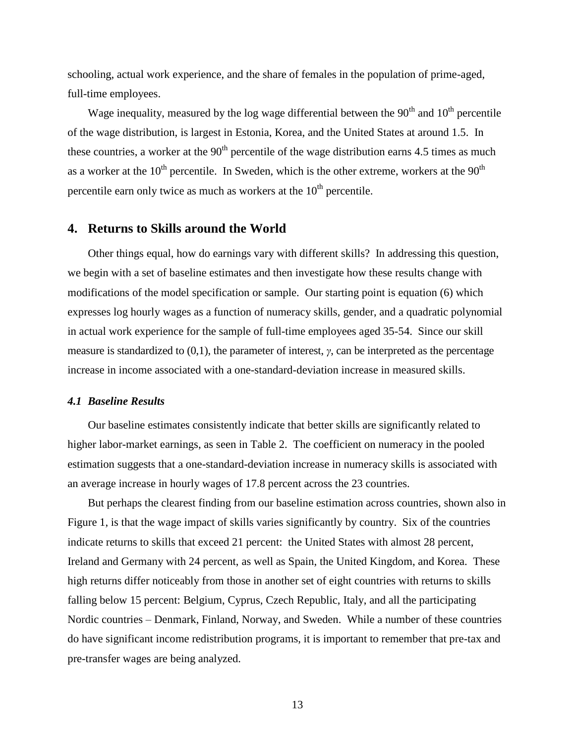schooling, actual work experience, and the share of females in the population of prime-aged, full-time employees.

Wage inequality, measured by the log wage differential between the  $90<sup>th</sup>$  and  $10<sup>th</sup>$  percentile of the wage distribution, is largest in Estonia, Korea, and the United States at around 1.5. In these countries, a worker at the  $90<sup>th</sup>$  percentile of the wage distribution earns 4.5 times as much as a worker at the  $10^{th}$  percentile. In Sweden, which is the other extreme, workers at the  $90^{th}$ percentile earn only twice as much as workers at the  $10<sup>th</sup>$  percentile.

# **4. Returns to Skills around the World**

Other things equal, how do earnings vary with different skills? In addressing this question, we begin with a set of baseline estimates and then investigate how these results change with modifications of the model specification or sample. Our starting point is equation (6) which expresses log hourly wages as a function of numeracy skills, gender, and a quadratic polynomial in actual work experience for the sample of full-time employees aged 35-54. Since our skill measure is standardized to  $(0,1)$ , the parameter of interest,  $\gamma$ , can be interpreted as the percentage increase in income associated with a one-standard-deviation increase in measured skills.

### *4.1 Baseline Results*

Our baseline estimates consistently indicate that better skills are significantly related to higher labor-market earnings, as seen in Table 2. The coefficient on numeracy in the pooled estimation suggests that a one-standard-deviation increase in numeracy skills is associated with an average increase in hourly wages of 17.8 percent across the 23 countries.

But perhaps the clearest finding from our baseline estimation across countries, shown also in Figure 1, is that the wage impact of skills varies significantly by country. Six of the countries indicate returns to skills that exceed 21 percent: the United States with almost 28 percent, Ireland and Germany with 24 percent, as well as Spain, the United Kingdom, and Korea. These high returns differ noticeably from those in another set of eight countries with returns to skills falling below 15 percent: Belgium, Cyprus, Czech Republic, Italy, and all the participating Nordic countries – Denmark, Finland, Norway, and Sweden. While a number of these countries do have significant income redistribution programs, it is important to remember that pre-tax and pre-transfer wages are being analyzed.

13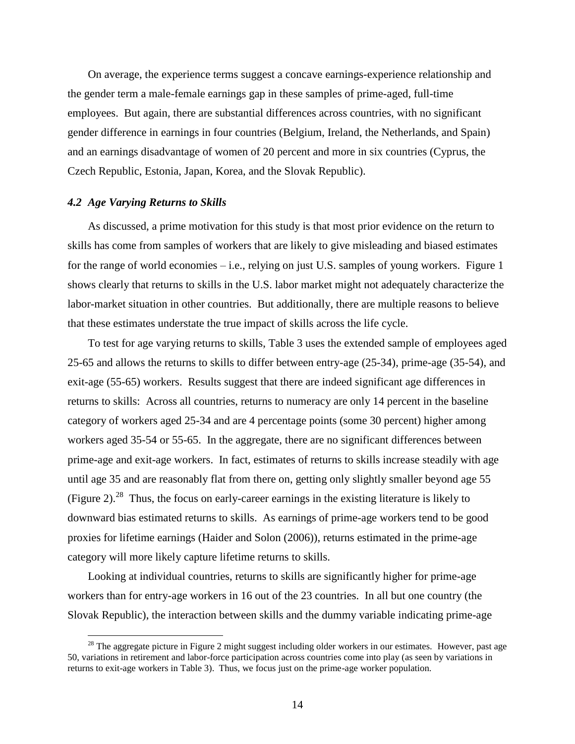On average, the experience terms suggest a concave earnings-experience relationship and the gender term a male-female earnings gap in these samples of prime-aged, full-time employees. But again, there are substantial differences across countries, with no significant gender difference in earnings in four countries (Belgium, Ireland, the Netherlands, and Spain) and an earnings disadvantage of women of 20 percent and more in six countries (Cyprus, the Czech Republic, Estonia, Japan, Korea, and the Slovak Republic).

#### *4.2 Age Varying Returns to Skills*

 $\overline{a}$ 

As discussed, a prime motivation for this study is that most prior evidence on the return to skills has come from samples of workers that are likely to give misleading and biased estimates for the range of world economies – i.e., relying on just U.S. samples of young workers. Figure 1 shows clearly that returns to skills in the U.S. labor market might not adequately characterize the labor-market situation in other countries. But additionally, there are multiple reasons to believe that these estimates understate the true impact of skills across the life cycle.

To test for age varying returns to skills, Table 3 uses the extended sample of employees aged 25-65 and allows the returns to skills to differ between entry-age (25-34), prime-age (35-54), and exit-age (55-65) workers. Results suggest that there are indeed significant age differences in returns to skills: Across all countries, returns to numeracy are only 14 percent in the baseline category of workers aged 25-34 and are 4 percentage points (some 30 percent) higher among workers aged 35-54 or 55-65. In the aggregate, there are no significant differences between prime-age and exit-age workers. In fact, estimates of returns to skills increase steadily with age until age 35 and are reasonably flat from there on, getting only slightly smaller beyond age 55 (Figure 2).<sup>28</sup> Thus, the focus on early-career earnings in the existing literature is likely to downward bias estimated returns to skills. As earnings of prime-age workers tend to be good proxies for lifetime earnings [\(Haider and Solon \(2006\)](#page-34-1)), returns estimated in the prime-age category will more likely capture lifetime returns to skills.

Looking at individual countries, returns to skills are significantly higher for prime-age workers than for entry-age workers in 16 out of the 23 countries. In all but one country (the Slovak Republic), the interaction between skills and the dummy variable indicating prime-age

 $2<sup>28</sup>$  The aggregate picture in Figure 2 might suggest including older workers in our estimates. However, past age 50, variations in retirement and labor-force participation across countries come into play (as seen by variations in returns to exit-age workers in Table 3). Thus, we focus just on the prime-age worker population.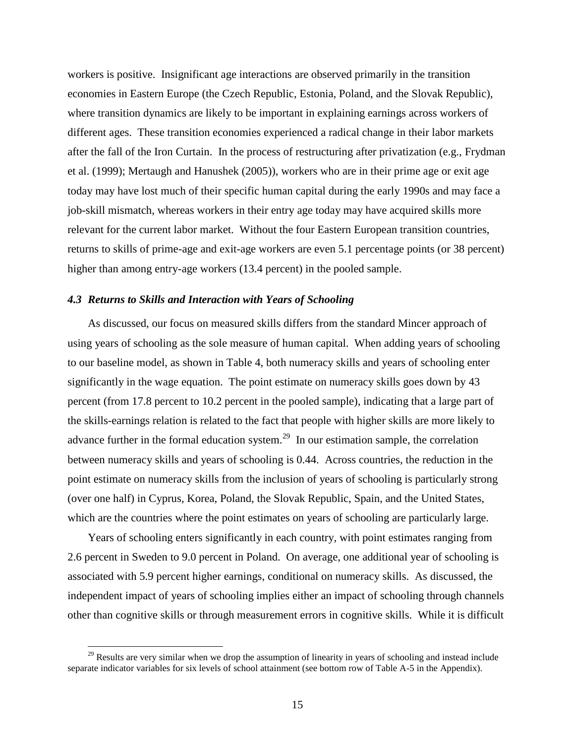workers is positive. Insignificant age interactions are observed primarily in the transition economies in Eastern Europe (the Czech Republic, Estonia, Poland, and the Slovak Republic), where transition dynamics are likely to be important in explaining earnings across workers of different ages. These transition economies experienced a radical change in their labor markets after the fall of the Iron Curtain. In the process of restructuring after privatization (e.g., [Frydman](#page-34-12)  [et al. \(1999\)](#page-34-12); [Mertaugh and Hanushek \(2005\)](#page-35-12)), workers who are in their prime age or exit age today may have lost much of their specific human capital during the early 1990s and may face a job-skill mismatch, whereas workers in their entry age today may have acquired skills more relevant for the current labor market. Without the four Eastern European transition countries, returns to skills of prime-age and exit-age workers are even 5.1 percentage points (or 38 percent) higher than among entry-age workers (13.4 percent) in the pooled sample.

#### *4.3 Returns to Skills and Interaction with Years of Schooling*

 $\overline{a}$ 

As discussed, our focus on measured skills differs from the standard Mincer approach of using years of schooling as the sole measure of human capital. When adding years of schooling to our baseline model, as shown in Table 4, both numeracy skills and years of schooling enter significantly in the wage equation. The point estimate on numeracy skills goes down by 43 percent (from 17.8 percent to 10.2 percent in the pooled sample), indicating that a large part of the skills-earnings relation is related to the fact that people with higher skills are more likely to advance further in the formal education system.<sup>29</sup> In our estimation sample, the correlation between numeracy skills and years of schooling is 0.44. Across countries, the reduction in the point estimate on numeracy skills from the inclusion of years of schooling is particularly strong (over one half) in Cyprus, Korea, Poland, the Slovak Republic, Spain, and the United States, which are the countries where the point estimates on years of schooling are particularly large.

Years of schooling enters significantly in each country, with point estimates ranging from 2.6 percent in Sweden to 9.0 percent in Poland. On average, one additional year of schooling is associated with 5.9 percent higher earnings, conditional on numeracy skills. As discussed, the independent impact of years of schooling implies either an impact of schooling through channels other than cognitive skills or through measurement errors in cognitive skills. While it is difficult

 $29$  Results are very similar when we drop the assumption of linearity in years of schooling and instead include separate indicator variables for six levels of school attainment (see bottom row of Table A-5 in the Appendix).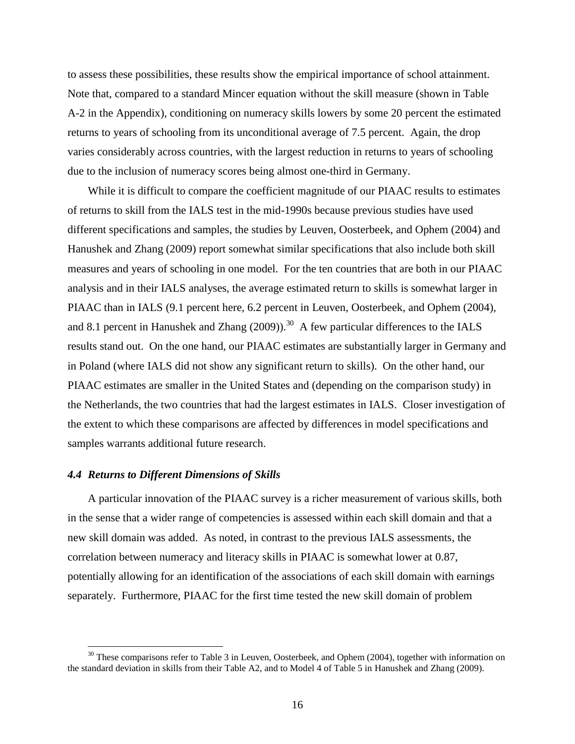to assess these possibilities, these results show the empirical importance of school attainment. Note that, compared to a standard Mincer equation without the skill measure (shown in Table A-2 in the Appendix), conditioning on numeracy skills lowers by some 20 percent the estimated returns to years of schooling from its unconditional average of 7.5 percent. Again, the drop varies considerably across countries, with the largest reduction in returns to years of schooling due to the inclusion of numeracy scores being almost one-third in Germany.

While it is difficult to compare the coefficient magnitude of our PIAAC results to estimates of returns to skill from the IALS test in the mid-1990s because previous studies have used different specifications and samples, the studies by [Leuven, Oosterbeek, and Ophem \(2004\)](#page-35-3) and [Hanushek and Zhang \(2009\)](#page-35-4) report somewhat similar specifications that also include both skill measures and years of schooling in one model. For the ten countries that are both in our PIAAC analysis and in their IALS analyses, the average estimated return to skills is somewhat larger in PIAAC than in IALS (9.1 percent here, 6.2 percent in [Leuven, Oosterbeek, and Ophem \(2004\)](#page-35-3), and 8.1 percent in Hanushek and Zhang  $(2009)$ .<sup>30</sup> A few particular differences to the IALS results stand out. On the one hand, our PIAAC estimates are substantially larger in Germany and in Poland (where IALS did not show any significant return to skills). On the other hand, our PIAAC estimates are smaller in the United States and (depending on the comparison study) in the Netherlands, the two countries that had the largest estimates in IALS. Closer investigation of the extent to which these comparisons are affected by differences in model specifications and samples warrants additional future research.

#### *4.4 Returns to Different Dimensions of Skills*

 $\overline{a}$ 

A particular innovation of the PIAAC survey is a richer measurement of various skills, both in the sense that a wider range of competencies is assessed within each skill domain and that a new skill domain was added. As noted, in contrast to the previous IALS assessments, the correlation between numeracy and literacy skills in PIAAC is somewhat lower at 0.87, potentially allowing for an identification of the associations of each skill domain with earnings separately. Furthermore, PIAAC for the first time tested the new skill domain of problem

 $30$  These comparisons refer to Table 3 i[n Leuven, Oosterbeek, and Ophem \(2004\)](#page-35-3), together with information on the standard deviation in skills from their Table A2, and to Model 4 of Table 5 in [Hanushek and Zhang \(2009\)](#page-35-4).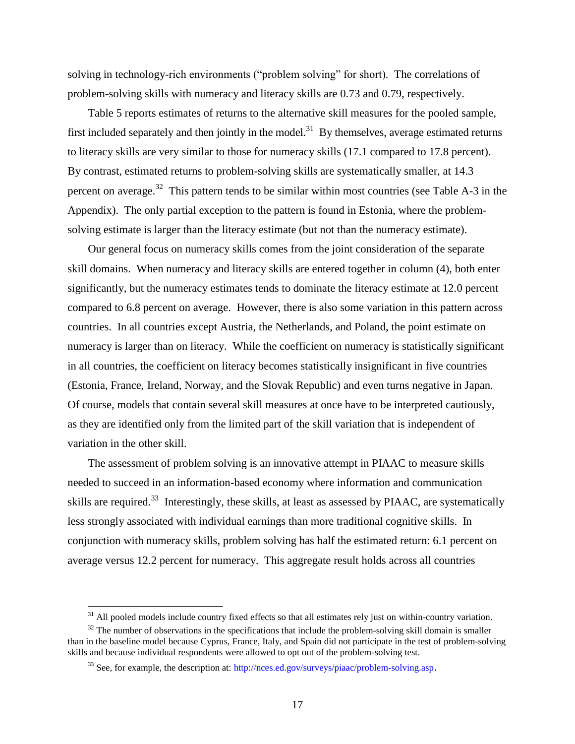solving in technology-rich environments ("problem solving" for short). The correlations of problem-solving skills with numeracy and literacy skills are 0.73 and 0.79, respectively.

Table 5 reports estimates of returns to the alternative skill measures for the pooled sample, first included separately and then jointly in the model.<sup>31</sup> By themselves, average estimated returns to literacy skills are very similar to those for numeracy skills (17.1 compared to 17.8 percent). By contrast, estimated returns to problem-solving skills are systematically smaller, at 14.3 percent on average.<sup>32</sup> This pattern tends to be similar within most countries (see Table A-3 in the Appendix). The only partial exception to the pattern is found in Estonia, where the problemsolving estimate is larger than the literacy estimate (but not than the numeracy estimate).

Our general focus on numeracy skills comes from the joint consideration of the separate skill domains. When numeracy and literacy skills are entered together in column (4), both enter significantly, but the numeracy estimates tends to dominate the literacy estimate at 12.0 percent compared to 6.8 percent on average. However, there is also some variation in this pattern across countries. In all countries except Austria, the Netherlands, and Poland, the point estimate on numeracy is larger than on literacy. While the coefficient on numeracy is statistically significant in all countries, the coefficient on literacy becomes statistically insignificant in five countries (Estonia, France, Ireland, Norway, and the Slovak Republic) and even turns negative in Japan. Of course, models that contain several skill measures at once have to be interpreted cautiously, as they are identified only from the limited part of the skill variation that is independent of variation in the other skill.

The assessment of problem solving is an innovative attempt in PIAAC to measure skills needed to succeed in an information-based economy where information and communication skills are required.<sup>33</sup> Interestingly, these skills, at least as assessed by PIAAC, are systematically less strongly associated with individual earnings than more traditional cognitive skills. In conjunction with numeracy skills, problem solving has half the estimated return: 6.1 percent on average versus 12.2 percent for numeracy. This aggregate result holds across all countries

 $31$  All pooled models include country fixed effects so that all estimates rely just on within-country variation.

 $32$  The number of observations in the specifications that include the problem-solving skill domain is smaller than in the baseline model because Cyprus, France, Italy, and Spain did not participate in the test of problem-solving skills and because individual respondents were allowed to opt out of the problem-solving test.

<sup>&</sup>lt;sup>33</sup> See, for example, the description at:<http://nces.ed.gov/surveys/piaac/problem-solving.asp>.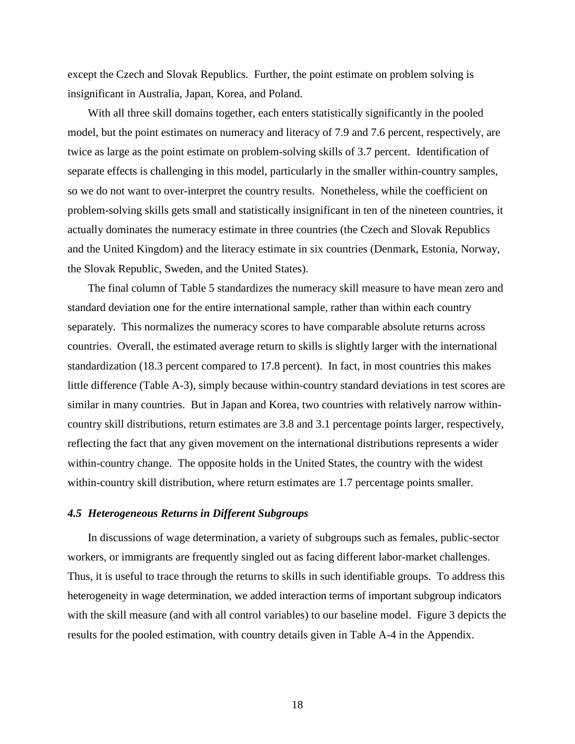except the Czech and Slovak Republics. Further, the point estimate on problem solving is insignificant in Australia, Japan, Korea, and Poland.

With all three skill domains together, each enters statistically significantly in the pooled model, but the point estimates on numeracy and literacy of 7.9 and 7.6 percent, respectively, are twice as large as the point estimate on problem-solving skills of 3.7 percent. Identification of separate effects is challenging in this model, particularly in the smaller within-country samples, so we do not want to over-interpret the country results. Nonetheless, while the coefficient on problem-solving skills gets small and statistically insignificant in ten of the nineteen countries, it actually dominates the numeracy estimate in three countries (the Czech and Slovak Republics and the United Kingdom) and the literacy estimate in six countries (Denmark, Estonia, Norway, the Slovak Republic, Sweden, and the United States).

The final column of Table 5 standardizes the numeracy skill measure to have mean zero and standard deviation one for the entire international sample, rather than within each country separately. This normalizes the numeracy scores to have comparable absolute returns across countries. Overall, the estimated average return to skills is slightly larger with the international standardization (18.3 percent compared to 17.8 percent). In fact, in most countries this makes little difference (Table A-3), simply because within-country standard deviations in test scores are similar in many countries. But in Japan and Korea, two countries with relatively narrow withincountry skill distributions, return estimates are 3.8 and 3.1 percentage points larger, respectively, reflecting the fact that any given movement on the international distributions represents a wider within-country change. The opposite holds in the United States, the country with the widest within-country skill distribution, where return estimates are 1.7 percentage points smaller.

#### *4.5 Heterogeneous Returns in Different Subgroups*

In discussions of wage determination, a variety of subgroups such as females, public-sector workers, or immigrants are frequently singled out as facing different labor-market challenges. Thus, it is useful to trace through the returns to skills in such identifiable groups. To address this heterogeneity in wage determination, we added interaction terms of important subgroup indicators with the skill measure (and with all control variables) to our baseline model. Figure 3 depicts the results for the pooled estimation, with country details given in Table A-4 in the Appendix.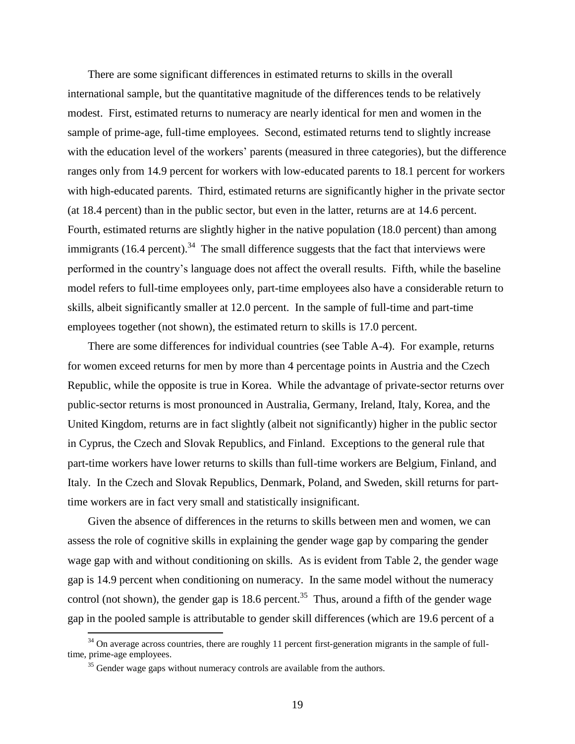There are some significant differences in estimated returns to skills in the overall international sample, but the quantitative magnitude of the differences tends to be relatively modest. First, estimated returns to numeracy are nearly identical for men and women in the sample of prime-age, full-time employees. Second, estimated returns tend to slightly increase with the education level of the workers' parents (measured in three categories), but the difference ranges only from 14.9 percent for workers with low-educated parents to 18.1 percent for workers with high-educated parents. Third, estimated returns are significantly higher in the private sector (at 18.4 percent) than in the public sector, but even in the latter, returns are at 14.6 percent. Fourth, estimated returns are slightly higher in the native population (18.0 percent) than among immigrants (16.4 percent).<sup>34</sup> The small difference suggests that the fact that interviews were performed in the country's language does not affect the overall results. Fifth, while the baseline model refers to full-time employees only, part-time employees also have a considerable return to skills, albeit significantly smaller at 12.0 percent. In the sample of full-time and part-time employees together (not shown), the estimated return to skills is 17.0 percent.

There are some differences for individual countries (see Table A-4). For example, returns for women exceed returns for men by more than 4 percentage points in Austria and the Czech Republic, while the opposite is true in Korea. While the advantage of private-sector returns over public-sector returns is most pronounced in Australia, Germany, Ireland, Italy, Korea, and the United Kingdom, returns are in fact slightly (albeit not significantly) higher in the public sector in Cyprus, the Czech and Slovak Republics, and Finland. Exceptions to the general rule that part-time workers have lower returns to skills than full-time workers are Belgium, Finland, and Italy. In the Czech and Slovak Republics, Denmark, Poland, and Sweden, skill returns for parttime workers are in fact very small and statistically insignificant.

Given the absence of differences in the returns to skills between men and women, we can assess the role of cognitive skills in explaining the gender wage gap by comparing the gender wage gap with and without conditioning on skills. As is evident from Table 2, the gender wage gap is 14.9 percent when conditioning on numeracy. In the same model without the numeracy control (not shown), the gender gap is 18.6 percent.<sup>35</sup> Thus, around a fifth of the gender wage gap in the pooled sample is attributable to gender skill differences (which are 19.6 percent of a

<sup>&</sup>lt;sup>34</sup> On average across countries, there are roughly 11 percent first-generation migrants in the sample of fulltime, prime-age employees.

 $35$  Gender wage gaps without numeracy controls are available from the authors.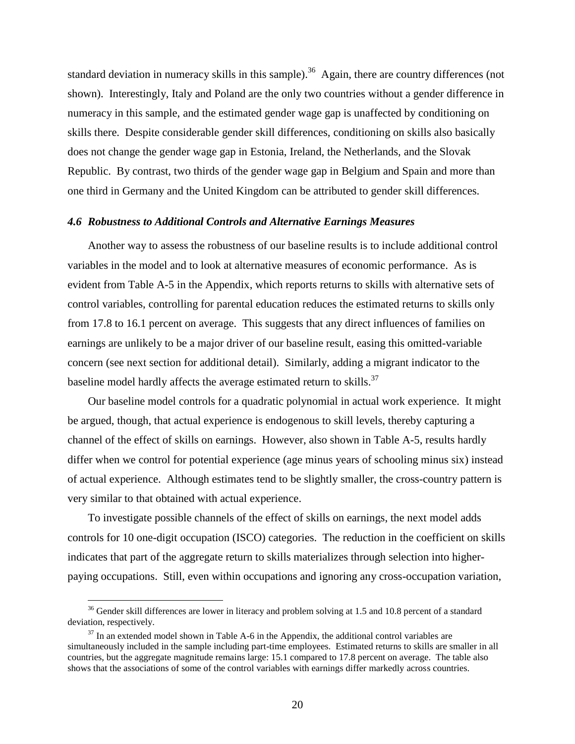standard deviation in numeracy skills in this sample).<sup>36</sup> Again, there are country differences (not shown). Interestingly, Italy and Poland are the only two countries without a gender difference in numeracy in this sample, and the estimated gender wage gap is unaffected by conditioning on skills there. Despite considerable gender skill differences, conditioning on skills also basically does not change the gender wage gap in Estonia, Ireland, the Netherlands, and the Slovak Republic. By contrast, two thirds of the gender wage gap in Belgium and Spain and more than one third in Germany and the United Kingdom can be attributed to gender skill differences.

#### *4.6 Robustness to Additional Controls and Alternative Earnings Measures*

Another way to assess the robustness of our baseline results is to include additional control variables in the model and to look at alternative measures of economic performance. As is evident from Table A-5 in the Appendix, which reports returns to skills with alternative sets of control variables, controlling for parental education reduces the estimated returns to skills only from 17.8 to 16.1 percent on average. This suggests that any direct influences of families on earnings are unlikely to be a major driver of our baseline result, easing this omitted-variable concern (see next section for additional detail). Similarly, adding a migrant indicator to the baseline model hardly affects the average estimated return to skills.<sup>37</sup>

Our baseline model controls for a quadratic polynomial in actual work experience. It might be argued, though, that actual experience is endogenous to skill levels, thereby capturing a channel of the effect of skills on earnings. However, also shown in Table A-5, results hardly differ when we control for potential experience (age minus years of schooling minus six) instead of actual experience. Although estimates tend to be slightly smaller, the cross-country pattern is very similar to that obtained with actual experience.

To investigate possible channels of the effect of skills on earnings, the next model adds controls for 10 one-digit occupation (ISCO) categories. The reduction in the coefficient on skills indicates that part of the aggregate return to skills materializes through selection into higherpaying occupations. Still, even within occupations and ignoring any cross-occupation variation,

<sup>&</sup>lt;sup>36</sup> Gender skill differences are lower in literacy and problem solving at 1.5 and 10.8 percent of a standard deviation, respectively.

 $37$  In an extended model shown in Table A-6 in the Appendix, the additional control variables are simultaneously included in the sample including part-time employees. Estimated returns to skills are smaller in all countries, but the aggregate magnitude remains large: 15.1 compared to 17.8 percent on average. The table also shows that the associations of some of the control variables with earnings differ markedly across countries.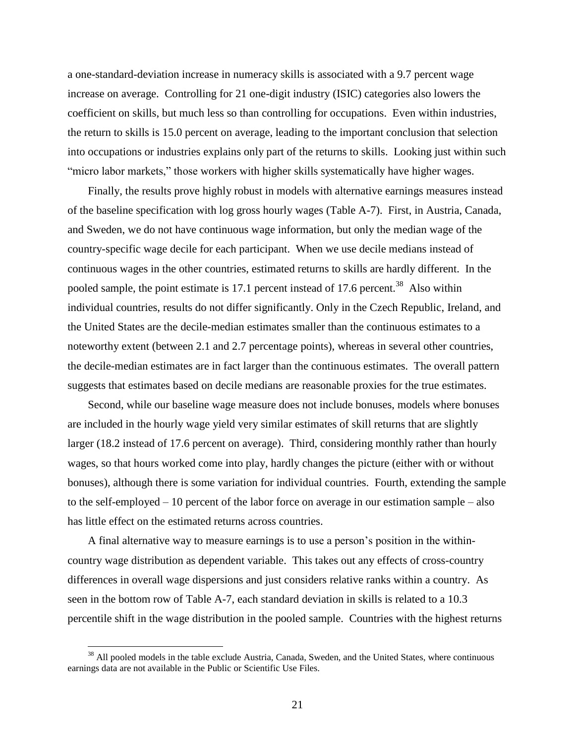a one-standard-deviation increase in numeracy skills is associated with a 9.7 percent wage increase on average. Controlling for 21 one-digit industry (ISIC) categories also lowers the coefficient on skills, but much less so than controlling for occupations. Even within industries, the return to skills is 15.0 percent on average, leading to the important conclusion that selection into occupations or industries explains only part of the returns to skills. Looking just within such "micro labor markets," those workers with higher skills systematically have higher wages.

Finally, the results prove highly robust in models with alternative earnings measures instead of the baseline specification with log gross hourly wages (Table A-7). First, in Austria, Canada, and Sweden, we do not have continuous wage information, but only the median wage of the country-specific wage decile for each participant. When we use decile medians instead of continuous wages in the other countries, estimated returns to skills are hardly different. In the pooled sample, the point estimate is 17.1 percent instead of 17.6 percent.<sup>38</sup> Also within individual countries, results do not differ significantly. Only in the Czech Republic, Ireland, and the United States are the decile-median estimates smaller than the continuous estimates to a noteworthy extent (between 2.1 and 2.7 percentage points), whereas in several other countries, the decile-median estimates are in fact larger than the continuous estimates. The overall pattern suggests that estimates based on decile medians are reasonable proxies for the true estimates.

Second, while our baseline wage measure does not include bonuses, models where bonuses are included in the hourly wage yield very similar estimates of skill returns that are slightly larger (18.2 instead of 17.6 percent on average). Third, considering monthly rather than hourly wages, so that hours worked come into play, hardly changes the picture (either with or without bonuses), although there is some variation for individual countries. Fourth, extending the sample to the self-employed – 10 percent of the labor force on average in our estimation sample – also has little effect on the estimated returns across countries.

A final alternative way to measure earnings is to use a person's position in the withincountry wage distribution as dependent variable. This takes out any effects of cross-country differences in overall wage dispersions and just considers relative ranks within a country. As seen in the bottom row of Table A-7, each standard deviation in skills is related to a 10.3 percentile shift in the wage distribution in the pooled sample. Countries with the highest returns

<sup>&</sup>lt;sup>38</sup> All pooled models in the table exclude Austria, Canada, Sweden, and the United States, where continuous earnings data are not available in the Public or Scientific Use Files.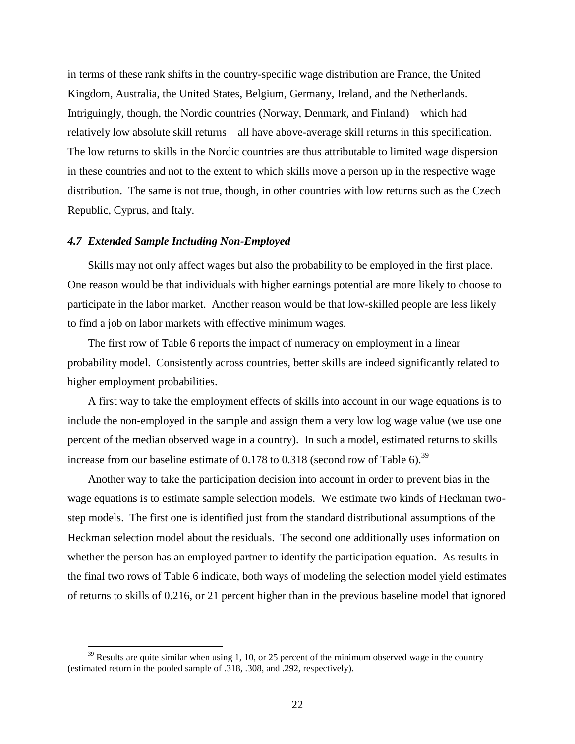in terms of these rank shifts in the country-specific wage distribution are France, the United Kingdom, Australia, the United States, Belgium, Germany, Ireland, and the Netherlands. Intriguingly, though, the Nordic countries (Norway, Denmark, and Finland) – which had relatively low absolute skill returns – all have above-average skill returns in this specification. The low returns to skills in the Nordic countries are thus attributable to limited wage dispersion in these countries and not to the extent to which skills move a person up in the respective wage distribution. The same is not true, though, in other countries with low returns such as the Czech Republic, Cyprus, and Italy.

#### *4.7 Extended Sample Including Non-Employed*

 $\overline{a}$ 

Skills may not only affect wages but also the probability to be employed in the first place. One reason would be that individuals with higher earnings potential are more likely to choose to participate in the labor market. Another reason would be that low-skilled people are less likely to find a job on labor markets with effective minimum wages.

The first row of Table 6 reports the impact of numeracy on employment in a linear probability model. Consistently across countries, better skills are indeed significantly related to higher employment probabilities.

A first way to take the employment effects of skills into account in our wage equations is to include the non-employed in the sample and assign them a very low log wage value (we use one percent of the median observed wage in a country). In such a model, estimated returns to skills increase from our baseline estimate of 0.178 to 0.318 (second row of Table 6).<sup>39</sup>

Another way to take the participation decision into account in order to prevent bias in the wage equations is to estimate sample selection models. We estimate two kinds of Heckman twostep models. The first one is identified just from the standard distributional assumptions of the Heckman selection model about the residuals. The second one additionally uses information on whether the person has an employed partner to identify the participation equation. As results in the final two rows of Table 6 indicate, both ways of modeling the selection model yield estimates of returns to skills of 0.216, or 21 percent higher than in the previous baseline model that ignored

 $39$  Results are quite similar when using 1, 10, or 25 percent of the minimum observed wage in the country (estimated return in the pooled sample of .318, .308, and .292, respectively).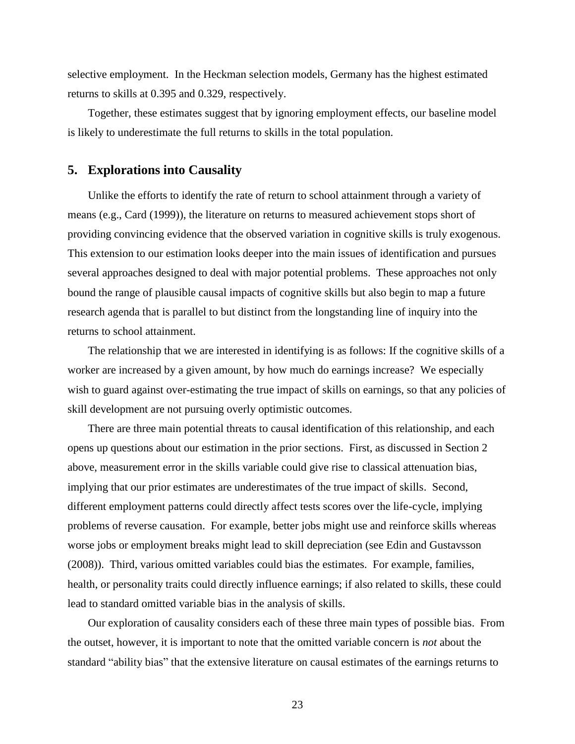selective employment. In the Heckman selection models, Germany has the highest estimated returns to skills at 0.395 and 0.329, respectively.

Together, these estimates suggest that by ignoring employment effects, our baseline model is likely to underestimate the full returns to skills in the total population.

## **5. Explorations into Causality**

Unlike the efforts to identify the rate of return to school attainment through a variety of means (e.g., [Card \(1999\)](#page-33-7)), the literature on returns to measured achievement stops short of providing convincing evidence that the observed variation in cognitive skills is truly exogenous. This extension to our estimation looks deeper into the main issues of identification and pursues several approaches designed to deal with major potential problems. These approaches not only bound the range of plausible causal impacts of cognitive skills but also begin to map a future research agenda that is parallel to but distinct from the longstanding line of inquiry into the returns to school attainment.

The relationship that we are interested in identifying is as follows: If the cognitive skills of a worker are increased by a given amount, by how much do earnings increase? We especially wish to guard against over-estimating the true impact of skills on earnings, so that any policies of skill development are not pursuing overly optimistic outcomes.

There are three main potential threats to causal identification of this relationship, and each opens up questions about our estimation in the prior sections. First, as discussed in Section 2 above, measurement error in the skills variable could give rise to classical attenuation bias, implying that our prior estimates are underestimates of the true impact of skills. Second, different employment patterns could directly affect tests scores over the life-cycle, implying problems of reverse causation. For example, better jobs might use and reinforce skills whereas worse jobs or employment breaks might lead to skill depreciation (see [Edin and Gustavsson](#page-34-13)  [\(2008\)](#page-34-13)). Third, various omitted variables could bias the estimates. For example, families, health, or personality traits could directly influence earnings; if also related to skills, these could lead to standard omitted variable bias in the analysis of skills.

Our exploration of causality considers each of these three main types of possible bias. From the outset, however, it is important to note that the omitted variable concern is *not* about the standard "ability bias" that the extensive literature on causal estimates of the earnings returns to

23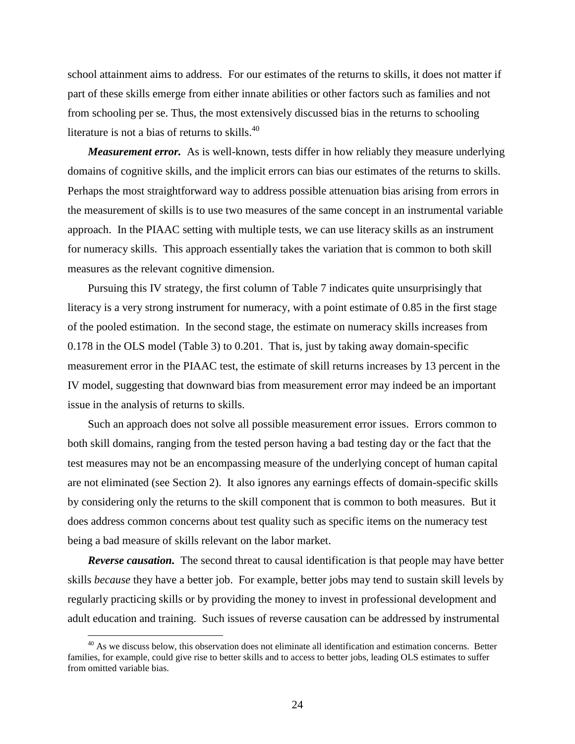school attainment aims to address. For our estimates of the returns to skills, it does not matter if part of these skills emerge from either innate abilities or other factors such as families and not from schooling per se. Thus, the most extensively discussed bias in the returns to schooling literature is not a bias of returns to skills. $40$ 

*Measurement error.* As is well-known, tests differ in how reliably they measure underlying domains of cognitive skills, and the implicit errors can bias our estimates of the returns to skills. Perhaps the most straightforward way to address possible attenuation bias arising from errors in the measurement of skills is to use two measures of the same concept in an instrumental variable approach. In the PIAAC setting with multiple tests, we can use literacy skills as an instrument for numeracy skills. This approach essentially takes the variation that is common to both skill measures as the relevant cognitive dimension.

Pursuing this IV strategy, the first column of Table 7 indicates quite unsurprisingly that literacy is a very strong instrument for numeracy, with a point estimate of 0.85 in the first stage of the pooled estimation. In the second stage, the estimate on numeracy skills increases from 0.178 in the OLS model (Table 3) to 0.201. That is, just by taking away domain-specific measurement error in the PIAAC test, the estimate of skill returns increases by 13 percent in the IV model, suggesting that downward bias from measurement error may indeed be an important issue in the analysis of returns to skills.

Such an approach does not solve all possible measurement error issues. Errors common to both skill domains, ranging from the tested person having a bad testing day or the fact that the test measures may not be an encompassing measure of the underlying concept of human capital are not eliminated (see Section 2). It also ignores any earnings effects of domain-specific skills by considering only the returns to the skill component that is common to both measures. But it does address common concerns about test quality such as specific items on the numeracy test being a bad measure of skills relevant on the labor market.

*Reverse causation.* The second threat to causal identification is that people may have better skills *because* they have a better job. For example, better jobs may tend to sustain skill levels by regularly practicing skills or by providing the money to invest in professional development and adult education and training. Such issues of reverse causation can be addressed by instrumental

<sup>&</sup>lt;sup>40</sup> As we discuss below, this observation does not eliminate all identification and estimation concerns. Better families, for example, could give rise to better skills and to access to better jobs, leading OLS estimates to suffer from omitted variable bias.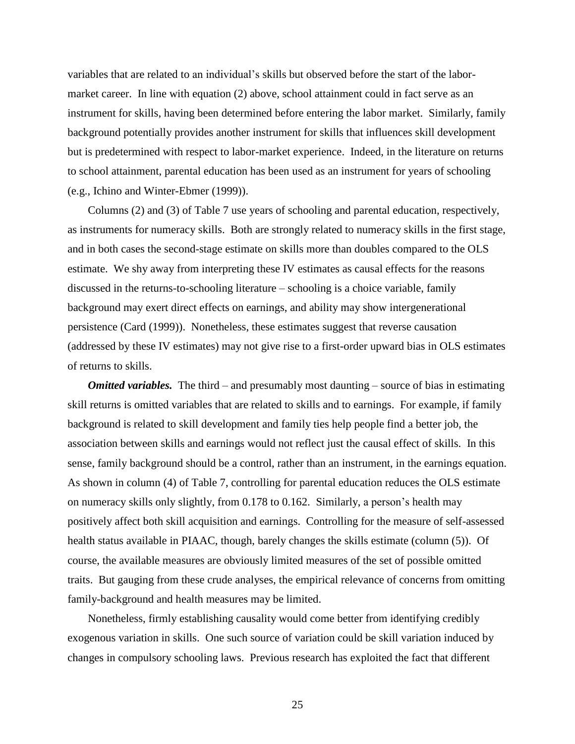variables that are related to an individual's skills but observed before the start of the labormarket career. In line with equation (2) above, school attainment could in fact serve as an instrument for skills, having been determined before entering the labor market. Similarly, family background potentially provides another instrument for skills that influences skill development but is predetermined with respect to labor-market experience. Indeed, in the literature on returns to school attainment, parental education has been used as an instrument for years of schooling (e.g., [Ichino and Winter-Ebmer \(1999\)](#page-35-2)).

Columns (2) and (3) of Table 7 use years of schooling and parental education, respectively, as instruments for numeracy skills. Both are strongly related to numeracy skills in the first stage, and in both cases the second-stage estimate on skills more than doubles compared to the OLS estimate. We shy away from interpreting these IV estimates as causal effects for the reasons discussed in the returns-to-schooling literature – schooling is a choice variable, family background may exert direct effects on earnings, and ability may show intergenerational persistence [\(Card \(1999\)](#page-33-7)). Nonetheless, these estimates suggest that reverse causation (addressed by these IV estimates) may not give rise to a first-order upward bias in OLS estimates of returns to skills.

*Omitted variables.* The third – and presumably most daunting – source of bias in estimating skill returns is omitted variables that are related to skills and to earnings. For example, if family background is related to skill development and family ties help people find a better job, the association between skills and earnings would not reflect just the causal effect of skills. In this sense, family background should be a control, rather than an instrument, in the earnings equation. As shown in column (4) of Table 7, controlling for parental education reduces the OLS estimate on numeracy skills only slightly, from 0.178 to 0.162. Similarly, a person's health may positively affect both skill acquisition and earnings. Controlling for the measure of self-assessed health status available in PIAAC, though, barely changes the skills estimate (column (5)). Of course, the available measures are obviously limited measures of the set of possible omitted traits. But gauging from these crude analyses, the empirical relevance of concerns from omitting family-background and health measures may be limited.

Nonetheless, firmly establishing causality would come better from identifying credibly exogenous variation in skills. One such source of variation could be skill variation induced by changes in compulsory schooling laws. Previous research has exploited the fact that different

25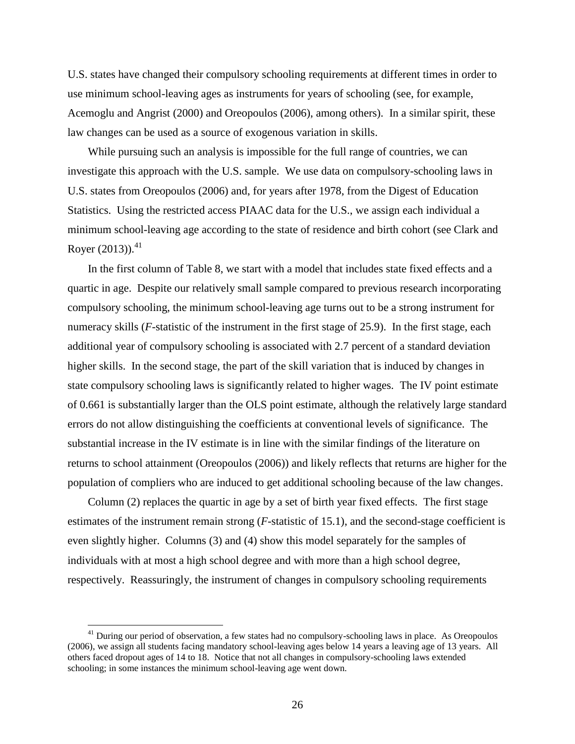U.S. states have changed their compulsory schooling requirements at different times in order to use minimum school-leaving ages as instruments for years of schooling (see, for example, [Acemoglu and Angrist \(2000\)](#page-33-5) and [Oreopoulos \(2006\)](#page-36-5), among others). In a similar spirit, these law changes can be used as a source of exogenous variation in skills.

While pursuing such an analysis is impossible for the full range of countries, we can investigate this approach with the U.S. sample. We use data on compulsory-schooling laws in U.S. states from [Oreopoulos \(2006\)](#page-36-5) and, for years after 1978, from the Digest of Education Statistics. Using the restricted access PIAAC data for the U.S., we assign each individual a minimum school-leaving age according to the state of residence and birth cohort (see [Clark and](#page-33-8)  Royer  $(2013)$ .<sup>41</sup>

In the first column of Table 8, we start with a model that includes state fixed effects and a quartic in age. Despite our relatively small sample compared to previous research incorporating compulsory schooling, the minimum school-leaving age turns out to be a strong instrument for numeracy skills (*F*-statistic of the instrument in the first stage of 25.9). In the first stage, each additional year of compulsory schooling is associated with 2.7 percent of a standard deviation higher skills. In the second stage, the part of the skill variation that is induced by changes in state compulsory schooling laws is significantly related to higher wages. The IV point estimate of 0.661 is substantially larger than the OLS point estimate, although the relatively large standard errors do not allow distinguishing the coefficients at conventional levels of significance. The substantial increase in the IV estimate is in line with the similar findings of the literature on returns to school attainment [\(Oreopoulos \(2006\)](#page-36-5)) and likely reflects that returns are higher for the population of compliers who are induced to get additional schooling because of the law changes.

Column (2) replaces the quartic in age by a set of birth year fixed effects. The first stage estimates of the instrument remain strong (*F*-statistic of 15.1), and the second-stage coefficient is even slightly higher. Columns (3) and (4) show this model separately for the samples of individuals with at most a high school degree and with more than a high school degree, respectively. Reassuringly, the instrument of changes in compulsory schooling requirements

 $41$  During our period of observation, a few states had no compulsory-schooling laws in place. As Oreopoulos [\(2006\)](#page-36-5), we assign all students facing mandatory school-leaving ages below 14 years a leaving age of 13 years. All others faced dropout ages of 14 to 18. Notice that not all changes in compulsory-schooling laws extended schooling; in some instances the minimum school-leaving age went down.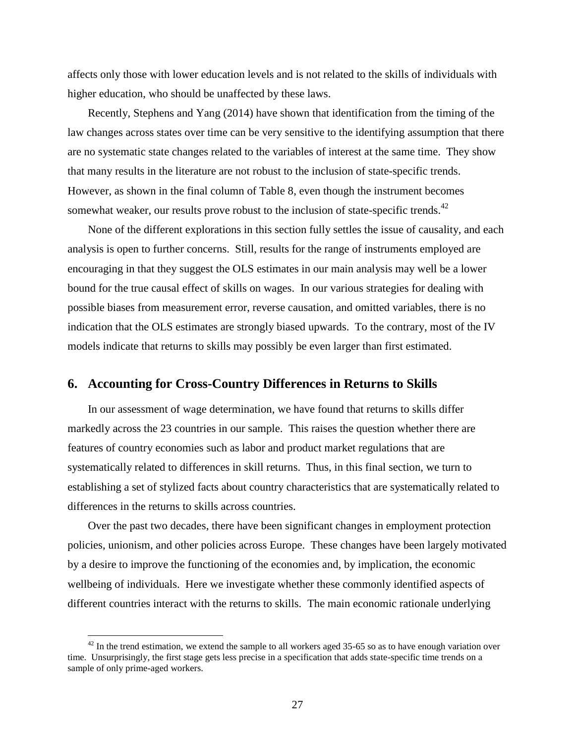affects only those with lower education levels and is not related to the skills of individuals with higher education, who should be unaffected by these laws.

Recently, [Stephens and Yang \(2014\)](#page-36-8) have shown that identification from the timing of the law changes across states over time can be very sensitive to the identifying assumption that there are no systematic state changes related to the variables of interest at the same time. They show that many results in the literature are not robust to the inclusion of state-specific trends. However, as shown in the final column of Table 8, even though the instrument becomes somewhat weaker, our results prove robust to the inclusion of state-specific trends.<sup>42</sup>

None of the different explorations in this section fully settles the issue of causality, and each analysis is open to further concerns. Still, results for the range of instruments employed are encouraging in that they suggest the OLS estimates in our main analysis may well be a lower bound for the true causal effect of skills on wages. In our various strategies for dealing with possible biases from measurement error, reverse causation, and omitted variables, there is no indication that the OLS estimates are strongly biased upwards. To the contrary, most of the IV models indicate that returns to skills may possibly be even larger than first estimated.

### **6. Accounting for Cross-Country Differences in Returns to Skills**

In our assessment of wage determination, we have found that returns to skills differ markedly across the 23 countries in our sample. This raises the question whether there are features of country economies such as labor and product market regulations that are systematically related to differences in skill returns. Thus, in this final section, we turn to establishing a set of stylized facts about country characteristics that are systematically related to differences in the returns to skills across countries.

Over the past two decades, there have been significant changes in employment protection policies, unionism, and other policies across Europe. These changes have been largely motivated by a desire to improve the functioning of the economies and, by implication, the economic wellbeing of individuals. Here we investigate whether these commonly identified aspects of different countries interact with the returns to skills. The main economic rationale underlying

 $42$  In the trend estimation, we extend the sample to all workers aged 35-65 so as to have enough variation over time. Unsurprisingly, the first stage gets less precise in a specification that adds state-specific time trends on a sample of only prime-aged workers.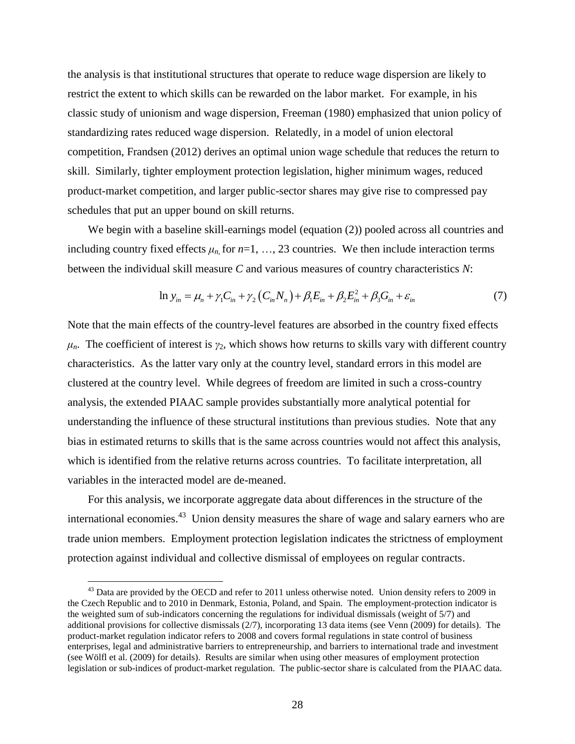the analysis is that institutional structures that operate to reduce wage dispersion are likely to restrict the extent to which skills can be rewarded on the labor market. For example, in his classic study of unionism and wage dispersion, [Freeman \(1980\)](#page-34-5) emphasized that union policy of standardizing rates reduced wage dispersion. Relatedly, in a model of union electoral competition, [Frandsen \(2012\)](#page-33-8) derives an optimal union wage schedule that reduces the return to skill. Similarly, tighter employment protection legislation, higher minimum wages, reduced product-market competition, and larger public-sector shares may give rise to compressed pay schedules that put an upper bound on skill returns.

We begin with a baseline skill-earnings model (equation (2)) pooled across all countries and including country fixed effects  $\mu_n$  for  $n=1, \ldots, 23$  countries. We then include interaction terms between the individual skill measure *C* and various measures of country characteristics *N*:<br>  $\ln y_{in} = \mu_n + \gamma_1 C_{in} + \gamma_2 (C_{in} N_n) + \beta_1 E_{in} + \beta_2 E_{in}^2 + \beta_3 G_{in} + \varepsilon_n$ 

$$
\ln y_{in} = \mu_n + \gamma_1 C_{in} + \gamma_2 (C_{in} N_n) + \beta_1 E_{in} + \beta_2 E_{in}^2 + \beta_3 G_{in} + \varepsilon_{in}
$$
 (7)

Note that the main effects of the country-level features are absorbed in the country fixed effects  $\mu_n$ . The coefficient of interest is  $\gamma_2$ , which shows how returns to skills vary with different country characteristics. As the latter vary only at the country level, standard errors in this model are clustered at the country level. While degrees of freedom are limited in such a cross-country analysis, the extended PIAAC sample provides substantially more analytical potential for understanding the influence of these structural institutions than previous studies. Note that any bias in estimated returns to skills that is the same across countries would not affect this analysis, which is identified from the relative returns across countries. To facilitate interpretation, all variables in the interacted model are de-meaned.

For this analysis, we incorporate aggregate data about differences in the structure of the international economies.<sup>43</sup> Union density measures the share of wage and salary earners who are trade union members. Employment protection legislation indicates the strictness of employment protection against individual and collective dismissal of employees on regular contracts.

<sup>&</sup>lt;sup>43</sup> Data are provided by the OECD and refer to 2011 unless otherwise noted. Union density refers to 2009 in the Czech Republic and to 2010 in Denmark, Estonia, Poland, and Spain. The employment-protection indicator is the weighted sum of sub-indicators concerning the regulations for individual dismissals (weight of 5/7) and additional provisions for collective dismissals (2/7), incorporating 13 data items (see [Venn \(2009\)](#page-36-9) for details). The product-market regulation indicator refers to 2008 and covers formal regulations in state control of business enterprises, legal and administrative barriers to entrepreneurship, and barriers to international trade and investment (see [Wölfl et al. \(2009\)](#page-36-5) for details). Results are similar when using other measures of employment protection legislation or sub-indices of product-market regulation. The public-sector share is calculated from the PIAAC data.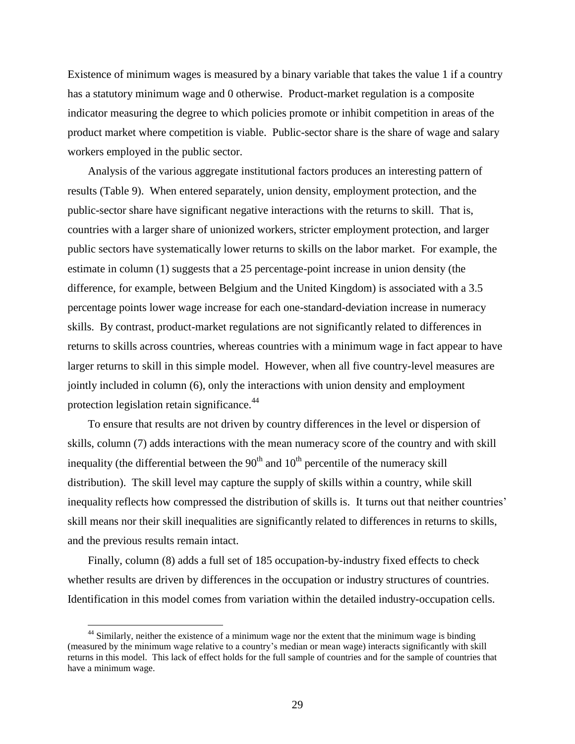Existence of minimum wages is measured by a binary variable that takes the value 1 if a country has a statutory minimum wage and 0 otherwise. Product-market regulation is a composite indicator measuring the degree to which policies promote or inhibit competition in areas of the product market where competition is viable. Public-sector share is the share of wage and salary workers employed in the public sector.

Analysis of the various aggregate institutional factors produces an interesting pattern of results (Table 9). When entered separately, union density, employment protection, and the public-sector share have significant negative interactions with the returns to skill. That is, countries with a larger share of unionized workers, stricter employment protection, and larger public sectors have systematically lower returns to skills on the labor market. For example, the estimate in column (1) suggests that a 25 percentage-point increase in union density (the difference, for example, between Belgium and the United Kingdom) is associated with a 3.5 percentage points lower wage increase for each one-standard-deviation increase in numeracy skills. By contrast, product-market regulations are not significantly related to differences in returns to skills across countries, whereas countries with a minimum wage in fact appear to have larger returns to skill in this simple model. However, when all five country-level measures are jointly included in column (6), only the interactions with union density and employment protection legislation retain significance.<sup>44</sup>

To ensure that results are not driven by country differences in the level or dispersion of skills, column (7) adds interactions with the mean numeracy score of the country and with skill inequality (the differential between the  $90<sup>th</sup>$  and  $10<sup>th</sup>$  percentile of the numeracy skill distribution). The skill level may capture the supply of skills within a country, while skill inequality reflects how compressed the distribution of skills is. It turns out that neither countries' skill means nor their skill inequalities are significantly related to differences in returns to skills, and the previous results remain intact.

Finally, column (8) adds a full set of 185 occupation-by-industry fixed effects to check whether results are driven by differences in the occupation or industry structures of countries. Identification in this model comes from variation within the detailed industry-occupation cells.

<sup>&</sup>lt;sup>44</sup> Similarly, neither the existence of a minimum wage nor the extent that the minimum wage is binding (measured by the minimum wage relative to a country's median or mean wage) interacts significantly with skill returns in this model. This lack of effect holds for the full sample of countries and for the sample of countries that have a minimum wage.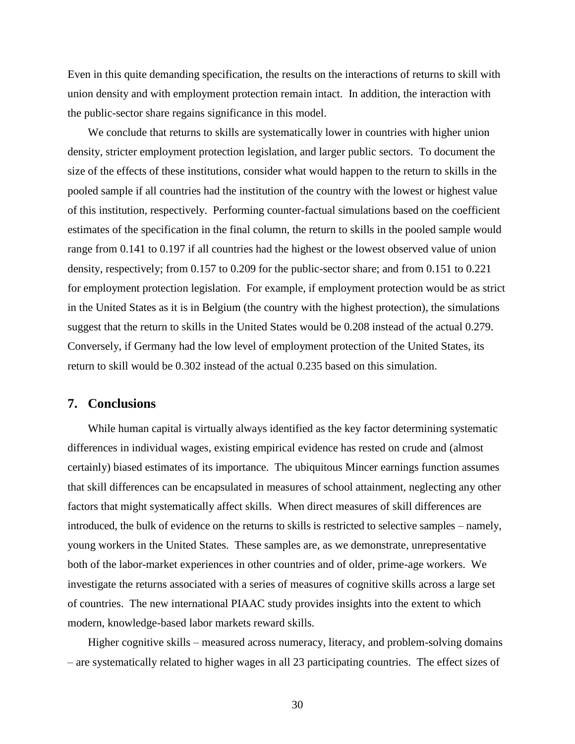Even in this quite demanding specification, the results on the interactions of returns to skill with union density and with employment protection remain intact. In addition, the interaction with the public-sector share regains significance in this model.

We conclude that returns to skills are systematically lower in countries with higher union density, stricter employment protection legislation, and larger public sectors. To document the size of the effects of these institutions, consider what would happen to the return to skills in the pooled sample if all countries had the institution of the country with the lowest or highest value of this institution, respectively. Performing counter-factual simulations based on the coefficient estimates of the specification in the final column, the return to skills in the pooled sample would range from 0.141 to 0.197 if all countries had the highest or the lowest observed value of union density, respectively; from 0.157 to 0.209 for the public-sector share; and from 0.151 to 0.221 for employment protection legislation. For example, if employment protection would be as strict in the United States as it is in Belgium (the country with the highest protection), the simulations suggest that the return to skills in the United States would be 0.208 instead of the actual 0.279. Conversely, if Germany had the low level of employment protection of the United States, its return to skill would be 0.302 instead of the actual 0.235 based on this simulation.

# **7. Conclusions**

While human capital is virtually always identified as the key factor determining systematic differences in individual wages, existing empirical evidence has rested on crude and (almost certainly) biased estimates of its importance. The ubiquitous Mincer earnings function assumes that skill differences can be encapsulated in measures of school attainment, neglecting any other factors that might systematically affect skills. When direct measures of skill differences are introduced, the bulk of evidence on the returns to skills is restricted to selective samples – namely, young workers in the United States. These samples are, as we demonstrate, unrepresentative both of the labor-market experiences in other countries and of older, prime-age workers. We investigate the returns associated with a series of measures of cognitive skills across a large set of countries. The new international PIAAC study provides insights into the extent to which modern, knowledge-based labor markets reward skills.

Higher cognitive skills – measured across numeracy, literacy, and problem-solving domains – are systematically related to higher wages in all 23 participating countries. The effect sizes of

30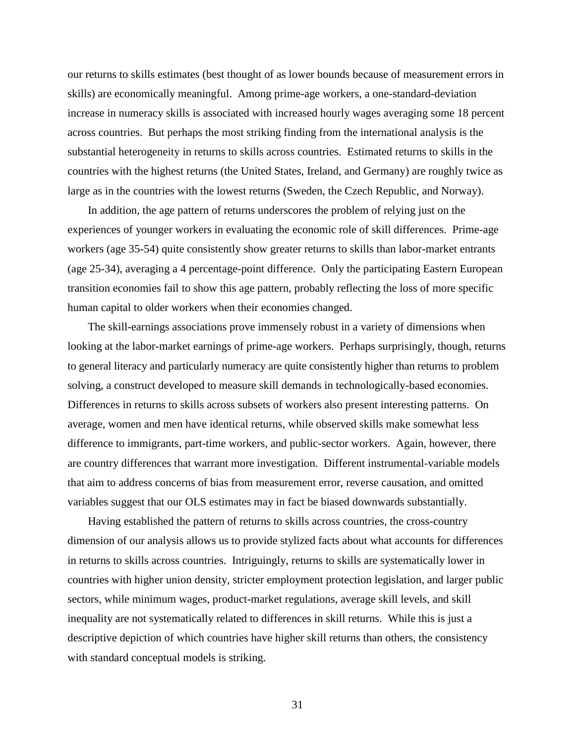our returns to skills estimates (best thought of as lower bounds because of measurement errors in skills) are economically meaningful. Among prime-age workers, a one-standard-deviation increase in numeracy skills is associated with increased hourly wages averaging some 18 percent across countries. But perhaps the most striking finding from the international analysis is the substantial heterogeneity in returns to skills across countries. Estimated returns to skills in the countries with the highest returns (the United States, Ireland, and Germany) are roughly twice as large as in the countries with the lowest returns (Sweden, the Czech Republic, and Norway).

In addition, the age pattern of returns underscores the problem of relying just on the experiences of younger workers in evaluating the economic role of skill differences. Prime-age workers (age 35-54) quite consistently show greater returns to skills than labor-market entrants (age 25-34), averaging a 4 percentage-point difference. Only the participating Eastern European transition economies fail to show this age pattern, probably reflecting the loss of more specific human capital to older workers when their economies changed.

The skill-earnings associations prove immensely robust in a variety of dimensions when looking at the labor-market earnings of prime-age workers. Perhaps surprisingly, though, returns to general literacy and particularly numeracy are quite consistently higher than returns to problem solving, a construct developed to measure skill demands in technologically-based economies. Differences in returns to skills across subsets of workers also present interesting patterns. On average, women and men have identical returns, while observed skills make somewhat less difference to immigrants, part-time workers, and public-sector workers. Again, however, there are country differences that warrant more investigation. Different instrumental-variable models that aim to address concerns of bias from measurement error, reverse causation, and omitted variables suggest that our OLS estimates may in fact be biased downwards substantially.

Having established the pattern of returns to skills across countries, the cross-country dimension of our analysis allows us to provide stylized facts about what accounts for differences in returns to skills across countries. Intriguingly, returns to skills are systematically lower in countries with higher union density, stricter employment protection legislation, and larger public sectors, while minimum wages, product-market regulations, average skill levels, and skill inequality are not systematically related to differences in skill returns. While this is just a descriptive depiction of which countries have higher skill returns than others, the consistency with standard conceptual models is striking.

31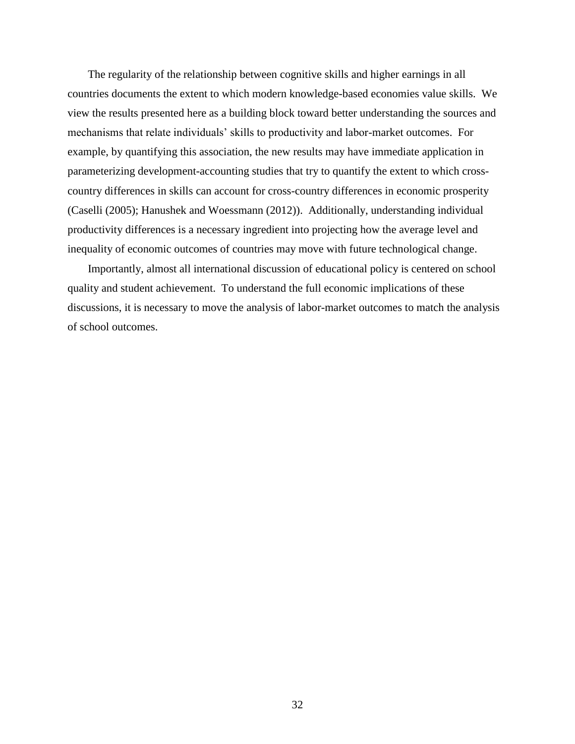The regularity of the relationship between cognitive skills and higher earnings in all countries documents the extent to which modern knowledge-based economies value skills. We view the results presented here as a building block toward better understanding the sources and mechanisms that relate individuals' skills to productivity and labor-market outcomes. For example, by quantifying this association, the new results may have immediate application in parameterizing development-accounting studies that try to quantify the extent to which crosscountry differences in skills can account for cross-country differences in economic prosperity [\(Caselli \(2005\)](#page-33-12); [Hanushek and Woessmann \(2012\)](#page-34-2)). Additionally, understanding individual productivity differences is a necessary ingredient into projecting how the average level and inequality of economic outcomes of countries may move with future technological change.

Importantly, almost all international discussion of educational policy is centered on school quality and student achievement. To understand the full economic implications of these discussions, it is necessary to move the analysis of labor-market outcomes to match the analysis of school outcomes.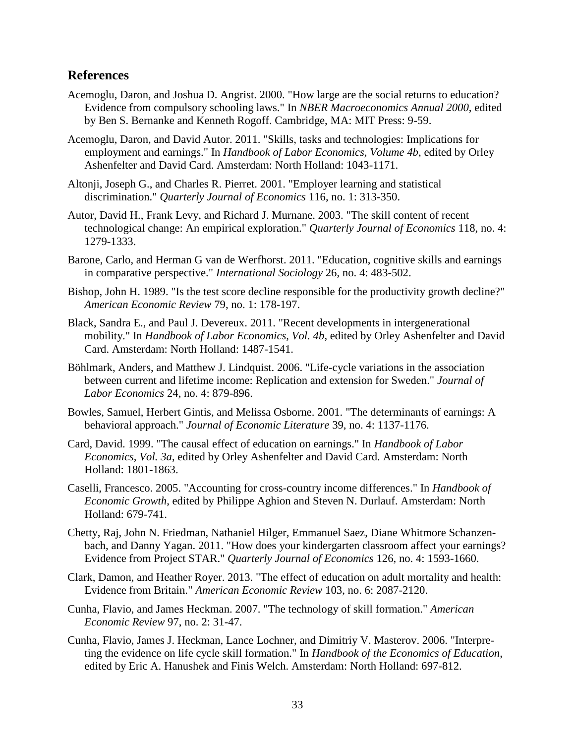# **References**

- <span id="page-33-5"></span>Acemoglu, Daron, and Joshua D. Angrist. 2000. "How large are the social returns to education? Evidence from compulsory schooling laws." In *NBER Macroeconomics Annual 2000*, edited by Ben S. Bernanke and Kenneth Rogoff. Cambridge, MA: MIT Press: 9-59.
- Acemoglu, Daron, and David Autor. 2011. "Skills, tasks and technologies: Implications for employment and earnings." In *Handbook of Labor Economics, Volume 4b*, edited by Orley Ashenfelter and David Card. Amsterdam: North Holland: 1043-1171.
- <span id="page-33-0"></span>Altonji, Joseph G., and Charles R. Pierret. 2001. "Employer learning and statistical discrimination." *Quarterly Journal of Economics* 116, no. 1: 313-350.
- <span id="page-33-4"></span>Autor, David H., Frank Levy, and Richard J. Murnane. 2003. "The skill content of recent technological change: An empirical exploration." *Quarterly Journal of Economics* 118, no. 4: 1279-1333.
- <span id="page-33-6"></span>Barone, Carlo, and Herman G van de Werfhorst. 2011. "Education, cognitive skills and earnings in comparative perspective." *International Sociology* 26, no. 4: 483-502.
- <span id="page-33-1"></span>Bishop, John H. 1989. "Is the test score decline responsible for the productivity growth decline?" *American Economic Review* 79, no. 1: 178-197.
- <span id="page-33-11"></span>Black, Sandra E., and Paul J. Devereux. 2011. "Recent developments in intergenerational mobility." In *Handbook of Labor Economics, Vol. 4b*, edited by Orley Ashenfelter and David Card. Amsterdam: North Holland: 1487-1541.
- <span id="page-33-10"></span>Böhlmark, Anders, and Matthew J. Lindquist. 2006. "Life-cycle variations in the association between current and lifetime income: Replication and extension for Sweden." *Journal of Labor Economics* 24, no. 4: 879-896.
- <span id="page-33-3"></span>Bowles, Samuel, Herbert Gintis, and Melissa Osborne. 2001. "The determinants of earnings: A behavioral approach." *Journal of Economic Literature* 39, no. 4: 1137-1176.
- <span id="page-33-7"></span>Card, David. 1999. "The causal effect of education on earnings." In *Handbook of Labor Economics, Vol. 3a*, edited by Orley Ashenfelter and David Card. Amsterdam: North Holland: 1801-1863.
- <span id="page-33-12"></span>Caselli, Francesco. 2005. "Accounting for cross-country income differences." In *Handbook of Economic Growth*, edited by Philippe Aghion and Steven N. Durlauf. Amsterdam: North Holland: 679-741.
- <span id="page-33-2"></span>Chetty, Raj, John N. Friedman, Nathaniel Hilger, Emmanuel Saez, Diane Whitmore Schanzenbach, and Danny Yagan. 2011. "How does your kindergarten classroom affect your earnings? Evidence from Project STAR." *Quarterly Journal of Economics* 126, no. 4: 1593-1660.
- <span id="page-33-9"></span>Clark, Damon, and Heather Royer. 2013. "The effect of education on adult mortality and health: Evidence from Britain." *American Economic Review* 103, no. 6: 2087-2120.
- Cunha, Flavio, and James Heckman. 2007. "The technology of skill formation." *American Economic Review* 97, no. 2: 31-47.
- <span id="page-33-8"></span>Cunha, Flavio, James J. Heckman, Lance Lochner, and Dimitriy V. Masterov. 2006. "Interpreting the evidence on life cycle skill formation." In *Handbook of the Economics of Education*, edited by Eric A. Hanushek and Finis Welch. Amsterdam: North Holland: 697-812.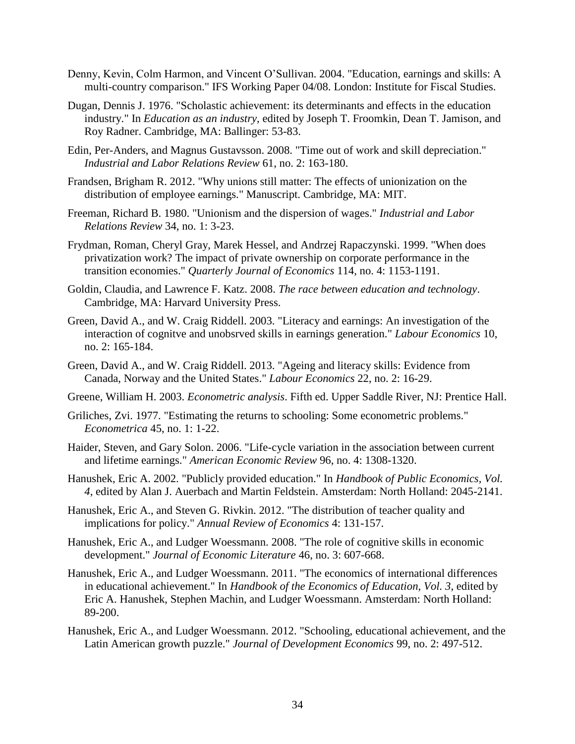- <span id="page-34-5"></span>Denny, Kevin, Colm Harmon, and Vincent O'Sullivan. 2004. "Education, earnings and skills: A multi-country comparison." IFS Working Paper 04/08. London: Institute for Fiscal Studies.
- <span id="page-34-11"></span>Dugan, Dennis J. 1976. "Scholastic achievement: its determinants and effects in the education industry." In *Education as an industry*, edited by Joseph T. Froomkin, Dean T. Jamison, and Roy Radner. Cambridge, MA: Ballinger: 53-83.
- <span id="page-34-13"></span>Edin, Per-Anders, and Magnus Gustavsson. 2008. "Time out of work and skill depreciation." *Industrial and Labor Relations Review* 61, no. 2: 163-180.
- Frandsen, Brigham R. 2012. "Why unions still matter: The effects of unionization on the distribution of employee earnings." Manuscript. Cambridge, MA: MIT.
- <span id="page-34-12"></span>Freeman, Richard B. 1980. "Unionism and the dispersion of wages." *Industrial and Labor Relations Review* 34, no. 1: 3-23.
- Frydman, Roman, Cheryl Gray, Marek Hessel, and Andrzej Rapaczynski. 1999. "When does privatization work? The impact of private ownership on corporate performance in the transition economies." *Quarterly Journal of Economics* 114, no. 4: 1153-1191.
- <span id="page-34-4"></span>Goldin, Claudia, and Lawrence F. Katz. 2008. *The race between education and technology*. Cambridge, MA: Harvard University Press.
- <span id="page-34-7"></span>Green, David A., and W. Craig Riddell. 2003. "Literacy and earnings: An investigation of the interaction of cognitve and unobsrved skills in earnings generation." *Labour Economics* 10, no. 2: 165-184.
- <span id="page-34-8"></span>Green, David A., and W. Craig Riddell. 2013. "Ageing and literacy skills: Evidence from Canada, Norway and the United States." *Labour Economics* 22, no. 2: 16-29.
- <span id="page-34-9"></span>Greene, William H. 2003. *Econometric analysis*. Fifth ed. Upper Saddle River, NJ: Prentice Hall.
- Griliches, Zvi. 1977. "Estimating the returns to schooling: Some econometric problems." *Econometrica* 45, no. 1: 1-22.
- <span id="page-34-1"></span>Haider, Steven, and Gary Solon. 2006. "Life-cycle variation in the association between current and lifetime earnings." *American Economic Review* 96, no. 4: 1308-1320.
- <span id="page-34-10"></span>Hanushek, Eric A. 2002. "Publicly provided education." In *Handbook of Public Economics, Vol. 4*, edited by Alan J. Auerbach and Martin Feldstein. Amsterdam: North Holland: 2045-2141.
- <span id="page-34-3"></span>Hanushek, Eric A., and Steven G. Rivkin. 2012. "The distribution of teacher quality and implications for policy." *Annual Review of Economics* 4: 131-157.
- <span id="page-34-0"></span>Hanushek, Eric A., and Ludger Woessmann. 2008. "The role of cognitive skills in economic development." *Journal of Economic Literature* 46, no. 3: 607-668.
- <span id="page-34-6"></span>Hanushek, Eric A., and Ludger Woessmann. 2011. "The economics of international differences in educational achievement." In *Handbook of the Economics of Education, Vol. 3*, edited by Eric A. Hanushek, Stephen Machin, and Ludger Woessmann. Amsterdam: North Holland: 89-200.
- <span id="page-34-2"></span>Hanushek, Eric A., and Ludger Woessmann. 2012. "Schooling, educational achievement, and the Latin American growth puzzle." *Journal of Development Economics* 99, no. 2: 497-512.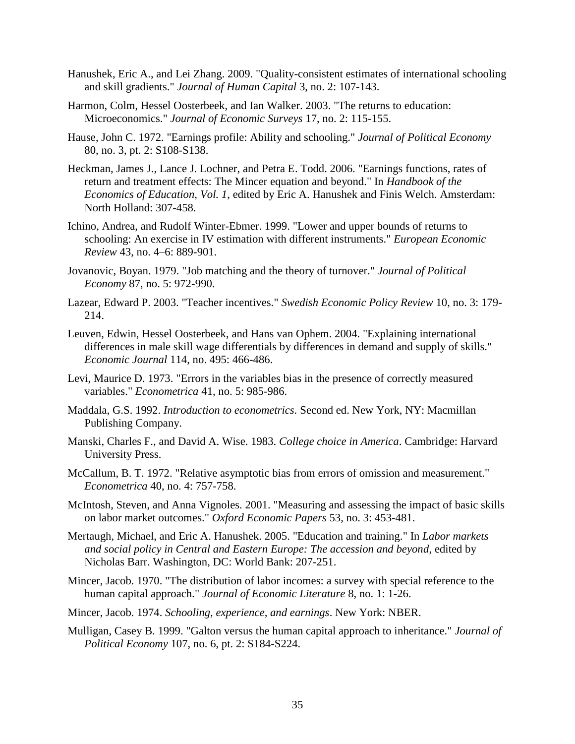- <span id="page-35-4"></span>Hanushek, Eric A., and Lei Zhang. 2009. "Quality-consistent estimates of international schooling and skill gradients." *Journal of Human Capital* 3, no. 2: 107-143.
- <span id="page-35-8"></span>Harmon, Colm, Hessel Oosterbeek, and Ian Walker. 2003. "The returns to education: Microeconomics." *Journal of Economic Surveys* 17, no. 2: 115-155.
- <span id="page-35-9"></span>Hause, John C. 1972. "Earnings profile: Ability and schooling." *Journal of Political Economy* 80, no. 3, pt. 2: S108-S138.
- <span id="page-35-0"></span>Heckman, James J., Lance J. Lochner, and Petra E. Todd. 2006. "Earnings functions, rates of return and treatment effects: The Mincer equation and beyond." In *Handbook of the Economics of Education, Vol. 1*, edited by Eric A. Hanushek and Finis Welch. Amsterdam: North Holland: 307-458.
- <span id="page-35-11"></span>Ichino, Andrea, and Rudolf Winter-Ebmer. 1999. "Lower and upper bounds of returns to schooling: An exercise in IV estimation with different instruments." *European Economic Review* 43, no. 4–6: 889-901.
- Jovanovic, Boyan. 1979. "Job matching and the theory of turnover." *Journal of Political Economy* 87, no. 5: 972-990.
- <span id="page-35-2"></span>Lazear, Edward P. 2003. "Teacher incentives." *Swedish Economic Policy Review* 10, no. 3: 179- 214.
- <span id="page-35-3"></span>Leuven, Edwin, Hessel Oosterbeek, and Hans van Ophem. 2004. "Explaining international differences in male skill wage differentials by differences in demand and supply of skills." *Economic Journal* 114, no. 495: 466-486.
- <span id="page-35-10"></span>Levi, Maurice D. 1973. "Errors in the variables bias in the presence of correctly measured variables." *Econometrica* 41, no. 5: 985-986.
- Maddala, G.S. 1992. *Introduction to econometrics.* Second ed. New York, NY: Macmillan Publishing Company.
- Manski, Charles F., and David A. Wise. 1983. *College choice in America*. Cambridge: Harvard University Press.
- <span id="page-35-5"></span>McCallum, B. T. 1972. "Relative asymptotic bias from errors of omission and measurement." *Econometrica* 40, no. 4: 757-758.
- McIntosh, Steven, and Anna Vignoles. 2001. "Measuring and assessing the impact of basic skills on labor market outcomes." *Oxford Economic Papers* 53, no. 3: 453-481.
- <span id="page-35-12"></span>Mertaugh, Michael, and Eric A. Hanushek. 2005. "Education and training." In *Labor markets and social policy in Central and Eastern Europe: The accession and beyond*, edited by Nicholas Barr. Washington, DC: World Bank: 207-251.
- <span id="page-35-6"></span>Mincer, Jacob. 1970. "The distribution of labor incomes: a survey with special reference to the human capital approach." *Journal of Economic Literature* 8, no. 1: 1-26.
- <span id="page-35-7"></span>Mincer, Jacob. 1974. *Schooling, experience, and earnings*. New York: NBER.
- <span id="page-35-1"></span>Mulligan, Casey B. 1999. "Galton versus the human capital approach to inheritance." *Journal of Political Economy* 107, no. 6, pt. 2: S184-S224.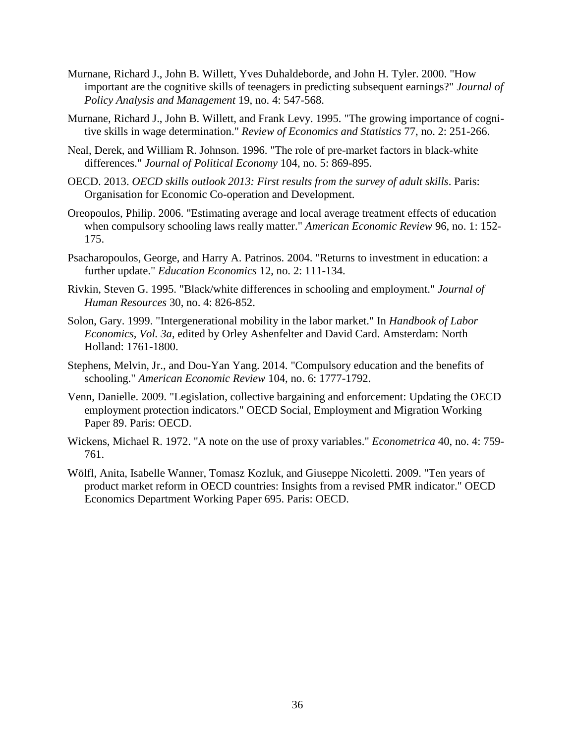- <span id="page-36-3"></span>Murnane, Richard J., John B. Willett, Yves Duhaldeborde, and John H. Tyler. 2000. "How important are the cognitive skills of teenagers in predicting subsequent earnings?" *Journal of Policy Analysis and Management* 19, no. 4: 547-568.
- <span id="page-36-1"></span>Murnane, Richard J., John B. Willett, and Frank Levy. 1995. "The growing importance of cognitive skills in wage determination." *Review of Economics and Statistics* 77, no. 2: 251-266.
- <span id="page-36-2"></span>Neal, Derek, and William R. Johnson. 1996. "The role of pre-market factors in black-white differences." *Journal of Political Economy* 104, no. 5: 869-895.
- <span id="page-36-7"></span>OECD. 2013. *OECD skills outlook 2013: First results from the survey of adult skills*. Paris: Organisation for Economic Co-operation and Development.
- <span id="page-36-0"></span>Oreopoulos, Philip. 2006. "Estimating average and local average treatment effects of education when compulsory schooling laws really matter." *American Economic Review* 96, no. 1: 152- 175.
- Psacharopoulos, George, and Harry A. Patrinos. 2004. "Returns to investment in education: a further update." *Education Economics* 12, no. 2: 111-134.
- <span id="page-36-4"></span>Rivkin, Steven G. 1995. "Black/white differences in schooling and employment." *Journal of Human Resources* 30, no. 4: 826-852.
- <span id="page-36-6"></span>Solon, Gary. 1999. "Intergenerational mobility in the labor market." In *Handbook of Labor Economics, Vol. 3a*, edited by Orley Ashenfelter and David Card. Amsterdam: North Holland: 1761-1800.
- <span id="page-36-8"></span>Stephens, Melvin, Jr., and Dou-Yan Yang. 2014. "Compulsory education and the benefits of schooling." *American Economic Review* 104, no. 6: 1777-1792.
- <span id="page-36-9"></span>Venn, Danielle. 2009. "Legislation, collective bargaining and enforcement: Updating the OECD employment protection indicators." OECD Social, Employment and Migration Working Paper 89. Paris: OECD.
- <span id="page-36-5"></span>Wickens, Michael R. 1972. "A note on the use of proxy variables." *Econometrica* 40, no. 4: 759- 761.
- Wölfl, Anita, Isabelle Wanner, Tomasz Kozluk, and Giuseppe Nicoletti. 2009. "Ten years of product market reform in OECD countries: Insights from a revised PMR indicator." OECD Economics Department Working Paper 695. Paris: OECD.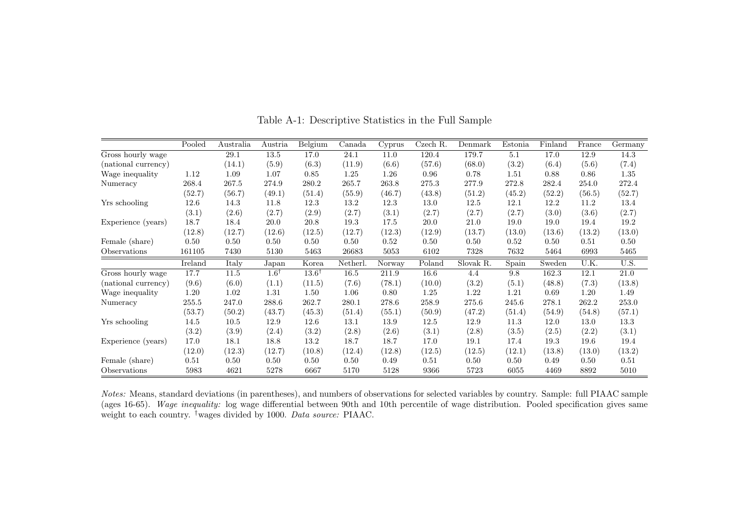|                     | Pooled  | Australia | Austria         | Belgium             | Canada  | Cyprus | Czech R. | Denmark   | Estonia | Finland | France | Germany |
|---------------------|---------|-----------|-----------------|---------------------|---------|--------|----------|-----------|---------|---------|--------|---------|
| Gross hourly wage   |         | 29.1      | 13.5            | 17.0                | 24.1    | 11.0   | 120.4    | 179.7     | 5.1     | 17.0    | 12.9   | 14.3    |
| (national currency) |         | (14.1)    | (5.9)           | (6.3)               | (11.9)  | (6.6)  | (57.6)   | (68.0)    | (3.2)   | (6.4)   | (5.6)  | (7.4)   |
| Wage inequality     | 1.12    | 1.09      | 1.07            | 0.85                | 1.25    | 1.26   | 0.96     | 0.78      | 1.51    | 0.88    | 0.86   | 1.35    |
| Numeracy            | 268.4   | 267.5     | 274.9           | 280.2               | 265.7   | 263.8  | 275.3    | 277.9     | 272.8   | 282.4   | 254.0  | 272.4   |
|                     | (52.7)  | (56.7)    | (49.1)          | (51.4)              | (55.9)  | (46.7) | (43.8)   | (51.2)    | (45.2)  | (52.2)  | (56.5) | (52.7)  |
| Yrs schooling       | 12.6    | 14.3      | 11.8            | 12.3                | 13.2    | 12.3   | 13.0     | 12.5      | 12.1    | 12.2    | 11.2   | 13.4    |
|                     | (3.1)   | (2.6)     | (2.7)           | (2.9)               | (2.7)   | (3.1)  | (2.7)    | (2.7)     | (2.7)   | (3.0)   | (3.6)  | (2.7)   |
| Experience (years)  | 18.7    | 18.4      | 20.0            | 20.8                | 19.3    | 17.5   | 20.0     | 21.0      | 19.0    | 19.0    | 19.4   | 19.2    |
|                     | (12.8)  | (12.7)    | (12.6)          | (12.5)              | (12.7)  | (12.3) | (12.9)   | (13.7)    | (13.0)  | (13.6)  | (13.2) | (13.0)  |
| Female (share)      | 0.50    | 0.50      | 0.50            | 0.50                | 0.50    | 0.52   | 0.50     | 0.50      | 0.52    | 0.50    | 0.51   | 0.50    |
| Observations        | 161105  | 7430      | 5130            | 5463                | 26683   | 5053   | 6102     | 7328      | 7632    | 5464    | 6993   | 5465    |
|                     | Ireland | Italy     | Japan           | Korea               | Netherl | Norway | Poland   | Slovak R. | Spain   | Sweden  | U.K.   | U.S.    |
| Gross hourly wage   | 17.7    | 11.5      | $1.6^{\dagger}$ | $13.6^{\dagger}$    | 16.5    | 211.9  | 16.6     | 4.4       | 9.8     | 162.3   | 12.1   | 21.0    |
| (national currency) | (9.6)   | (6.0)     | (1.1)           | (11.5)              | (7.6)   | (78.1) | (10.0)   | (3.2)     | (5.1)   | (48.8)  | (7.3)  | (13.8)  |
| Wage inequality     | 1.20    | 1.02      | 1.31            | 1.50                | 1.06    | 0.80   | 1.25     | 1.22      | 1.21    | 0.69    | 1.20   | 1.49    |
| Numeracy            | 255.5   | 247.0     | 288.6           | 262.7               | 280.1   | 278.6  | 258.9    | 275.6     | 245.6   | 278.1   | 262.2  | 253.0   |
|                     | (53.7)  | (50.2)    | (43.7)          | (45.3)              | (51.4)  | (55.1) | (50.9)   | (47.2)    | (51.4)  | (54.9)  | (54.8) | (57.1)  |
| Yrs schooling       | 14.5    | 10.5      | 12.9            | 12.6                | 13.1    | 13.9   | 12.5     | 12.9      | 11.3    | 12.0    | 13.0   | 13.3    |
|                     | (3.2)   | (3.9)     | (2.4)           | $\left( 3.2\right)$ | (2.8)   | (2.6)  | (3.1)    | (2.8)     | (3.5)   | (2.5)   | (2.2)  | (3.1)   |
| Experience (years)  | 17.0    | 18.1      | 18.8            | 13.2                | 18.7    | 18.7   | 17.0     | 19.1      | 17.4    | 19.3    | 19.6   | 19.4    |
|                     | (12.0)  | (12.3)    | (12.7)          | (10.8)              | (12.4)  | (12.8) | (12.5)   | (12.5)    | (12.1)  | (13.8)  | (13.0) | (13.2)  |
| Female (share)      | 0.51    | 0.50      | 0.50            | 0.50                | 0.50    | 0.49   | 0.51     | 0.50      | 0.50    | 0.49    | 0.50   | 0.51    |
| Observations        | 5983    | 4621      | 5278            | 6667                | 5170    | 5128   | 9366     | 5723      | 6055    | 4469    | 8892   | 5010    |

Table A-1: Descriptive Statistics in the Full Sample

*Notes:* Means, standard deviations (in parentheses), and numbers of observations for selected variables by country. Sample: full PIAAC sample(ages 16-65). Wage inequality: log wage differential between 90th and 10th percentile of wage distribution. Pooled specification gives same weight to each country.*†*wages divided by 1000. *Data source:* PIAAC.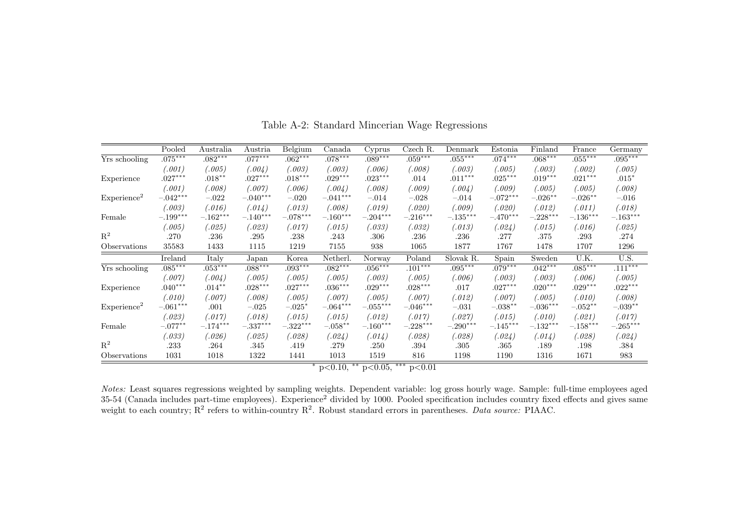|                         | Pooled     | Australia  | Austria                | Belgium         | Canada                   | Cyprus     | Czech R.        | Denmark    | Estonia                | Finland            | France     | Germany    |
|-------------------------|------------|------------|------------------------|-----------------|--------------------------|------------|-----------------|------------|------------------------|--------------------|------------|------------|
| Yrs schooling           | $.075***$  | $.082***$  | $.077***$              | $.062***$       | $.078***$                | $.089***$  | $.059***$       | $.055***$  | $.074***$              | $.068***$          | $.055***$  | $.095***$  |
|                         | (.001)     | (.005)     | $\left( .004\right)$   | (.003)          | (.003)                   | (.006)     | 0.008)          | (.003)     | (.005)                 | (.003)             | (.002)     | (.005)     |
| Experience              | $.027***$  | $.018***$  | $.027***$              | $.018***$       | $.029***$                | $.023***$  | .014            | $.011***$  | $.025***$              | $.019***$          | $.021***$  | $.015^*$   |
|                         | (.001)     | 0.008)     | 0.007)                 | (.006)          | (.004)                   | (.008)     | 0.009)          | (.004)     | (.009)                 | (.005)             | (.005)     | 0.008)     |
| Experience <sup>2</sup> | $-.042***$ | $-.022$    | $-.040***$             | $-.020$         | $-.041***$               | $-.014$    | $-.028$         | $-.014$    | $-.072***$             | $-.026^{\ast\ast}$ | $-.026***$ | $-.016$    |
|                         | (.003)     | 0.016)     | (.014)                 | (.013)          | $\it 008)$               | (.019)     | (.020)          | (.009)     | (.020)                 | (.012)             | (.011)     | (.018)     |
| Female                  | $-.199***$ | $-.162***$ | $-.140***$             | $-.078***$      | $-.160***$               | $-.204***$ | $-.216***$      | $-.135***$ | $-.470***$             | $-.228***$         | $-.136***$ | $-.163***$ |
|                         | (.005)     | (.025)     | 0.023)                 | (.017)          | (.015)                   | (.033)     | 0.032)          | (.013)     | (.024)                 | (.015)             | (.016)     | (.025)     |
| $R^2$                   | .270       | .236       | .295                   | .238            | .243                     | .306       | .236            | .236       | .277                   | .375               | .293       | .274       |
| Observations            | 35583      | 1433       | 1115                   | 1219            | 7155                     | 938        | 1065            | 1877       | 1767                   | 1478               | 1707       | 1296       |
|                         | Ireland    | Italy      | Japan                  | Korea           | Netherl.                 | Norway     | Poland          | Slovak R.  | Spain                  | Sweden             | U.K.       | U.S.       |
| Yrs schooling           | $.085***$  | $.053***$  | $.088***$              | $.093***$       | $.082***$                | $.056***$  | $.101***$       | $.095***$  | $.079***$              | $.042***$          | $.085***$  | $.111***$  |
|                         | (.007)     | (.004)     | 0.005)                 | (.005)          | (.005)                   | (.003)     | (.005)          | 0.006)     | (.003)                 | (.003)             | (.006)     | (.005)     |
| Experience              | $.040***$  | $.014***$  | $.028***$              | $.027***$       | $.036***$                | $.029***$  | $.028***$       | .017       | $.027***$              | $.020***$          | $.029***$  | $.022***$  |
|                         | (.010)     | (.007)     | 0.008)                 | (.005)          | (.007)                   | (.005)     | (.007)          | (.012)     | (.007)                 | (.005)             | (.010)     | (.008)     |
| Experience <sup>2</sup> | $-.061***$ | .001       | $-.025$                | $-.025*$        | $-.064***$               | $-.055***$ | $-.046***$      | $-.031$    | $-.038***$             | $-.036***$         | $-.052**$  | $-.039***$ |
|                         | (.023)     | 0.017)     | 0.018)                 | (.015)          | (.015)                   | (.012)     | (.017)          | (.027)     | (.015)                 | (.010)             | (.021)     | (.017)     |
| Female                  | $-.077***$ | $-.174***$ | $-.337^{\ast\ast\ast}$ | $-.322^{***}\,$ | $-.058***$               | $-.160***$ | $-.228***$      | $-.290***$ | $-.145^{\ast\ast\ast}$ | $-.132***$         | $-.158***$ | $-.265***$ |
|                         | (.033)     | (.026)     | (.025)                 | (.028)          | (.024)                   | (.014)     | 0.028)          | (.028)     | (.024)                 | (.014)             | (.028)     | (.024)     |
| $R^2$                   | .233       | .264       | .345                   | .419            | .279                     | .250       | .394            | .305       | .365                   | .189               | .198       | .384       |
| Observations            | 1031       | 1018       | 1322                   | 1441            | 1013                     | 1519       | 816             | 1198       | 1190                   | 1316               | 1671       | 983        |
|                         |            |            |                        |                 | $p<0.10$ , ** $p<0.05$ , |            | $***$<br>p<0.01 |            |                        |                    |            |            |

Table A-2: Standard Mincerian Wage Regressions

*Notes:* Least squares regressions weighted by sampling weights. Dependent variable: log gross hourly wage. Sample: full-time employees aged<br>35-54 (Canada includes part-time employees). Experience<sup>2</sup> divided by 1000. Poole 2 divided by 1000. Pooled specification includes country fixed effects and gives same weight to each country; <sup>R</sup><sup>2</sup> refers to within-country <sup>R</sup><sup>2</sup>. Robust standard errors in parentheses. *Data source:* PIAAC.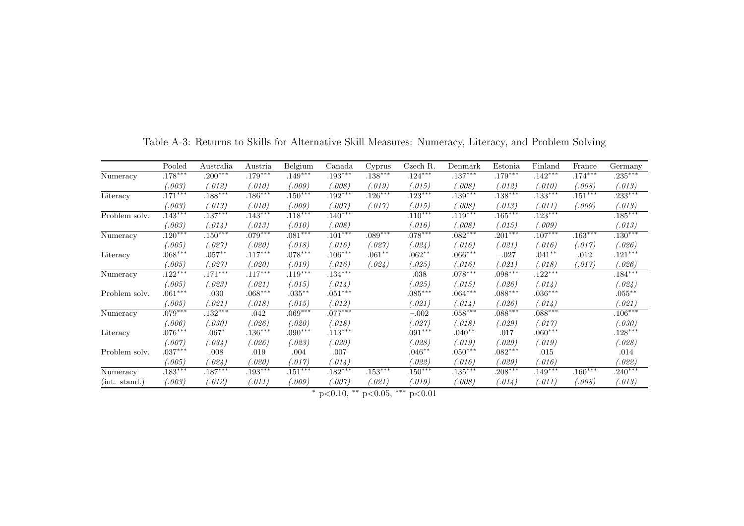|                               | Pooled    | Australia | Austria   | Belgium   | Canada              | Cyprus                     | Czech R.        | Denmark   | Estonia              | Finland   | France    | Germany   |
|-------------------------------|-----------|-----------|-----------|-----------|---------------------|----------------------------|-----------------|-----------|----------------------|-----------|-----------|-----------|
| Numeracy                      | $.178***$ | $.200***$ | $.179***$ | $.149***$ | $.193***$           | $.138***$                  | $.124***$       | $.137***$ | $.179***$            | $.142***$ | $.174***$ | $.235***$ |
|                               | (.003)    | (.012)    | (.010)    | (.009)    | (.008)              | (.019)                     | (.015)          | (.008)    | $\it(.012)$          | (.010)    | (.008)    | (.013)    |
| Literacy                      | $.171***$ | $.188***$ | $.186***$ | $.150***$ | $.192***$           | $.126***$                  | $.123***$       | $.139***$ | $.138***$            | $.133***$ | $.151***$ | $.233***$ |
|                               | (.003)    | (.013)    | (.010)    | (.009)    | (.007)              | (.017)                     | (.015)          | (.008)    | $\it(013)$           | (.011)    | (.009)    | (.013)    |
| Problem solv.                 | $.143***$ | $.137***$ | $.143***$ | $.118***$ | $.140***$           |                            | $.110***$       | $.119***$ | $.165***$            | $.123***$ |           | $.185***$ |
|                               | (.003)    | (.014)    | (.013)    | (.010)    | (.008)              |                            | (.016)          | 0.008)    | (.015)               | (.009)    |           | (.013)    |
| Numeracy                      | $.120***$ | $.150***$ | $.079***$ | $.081***$ | $.101***$           | $.089***$                  | $.078***$       | $.082***$ | $.201***$            | $.107***$ | $.163***$ | $.130***$ |
|                               | (.005)    | (.027)    | (.020)    | (.018)    | (.016)              | (.027)                     | (.024)          | (.016)    | (.021)               | 0.016)    | (.017)    | (.026)    |
| Literacy                      | $.068***$ | $.057***$ | $.117***$ | $.078***$ | $.106***$           | $.061***$                  | $.062***$       | $.066***$ | $-.027$              | $.041***$ | .012      | $.121***$ |
|                               | (.005)    | (.027)    | (.020)    | (.019)    | (.016)              | (.024)                     | (.025)          | (.016)    | (.021)               | (.018)    | (.017)    | (.026)    |
| $\overline{\text{N}}$ umeracy | $.122***$ | $.171***$ | $.117***$ | $.119***$ | $.134***$           |                            | .038            | $.078***$ | $.098***$            | $.122***$ |           | $.184***$ |
|                               | (.005)    | (.023)    | (.021)    | (.015)    | (.014)              |                            | (.025)          | (.015)    | (.026)               | (.014)    |           | (.024)    |
| Problem solv.                 | $.061***$ | .030      | $.068***$ | $.035***$ | $.051***$           |                            | $.085***$       | $.064***$ | $.088***$            | $.036***$ |           | $.055***$ |
|                               | (.005)    | (.021)    | (.018)    | (.015)    | (.012)              |                            | (.021)          | (.014)    | 0.026)               | (.014)    |           | (.021)    |
| Numeracy                      | $.079***$ | $.132***$ | .042      | $.069***$ | $.077***$           |                            | $-.002$         | $.058***$ | $.088***$            | $.088***$ |           | $.106***$ |
|                               | (.006)    | (.030)    | (.026)    | (.020)    | (.018)              |                            | (.027)          | 0.018)    | (.029)               | (.017)    |           | (.030)    |
| Literacy                      | $.076***$ | $.067*$   | $.136***$ | $.090***$ | $.113***$           |                            | $.091***$       | $.040**$  | .017                 | $.060***$ |           | $.128***$ |
|                               | (.007)    | (.034)    | (.026)    | (.023)    | (.020)              |                            | (.028)          | (.019)    | (.029)               | (.019)    |           | (.028)    |
| Problem solv.                 | $.037***$ | .008      | .019      | .004      | .007                |                            | $.046**$        | $.050***$ | $.082***$            | .015      |           | .014      |
|                               | (.005)    | (.024)    | (.020)    | (.017)    | (.014)              |                            | (.022)          | 0.016)    | (.029)               | (.016)    |           | (.022)    |
| Numeracy                      | $.183***$ | $.187***$ | $.193***$ | $.151***$ | $.182***$           | $.153***$                  | $.150***$       | $.135***$ | $.208***$            | $.149***$ | $.160***$ | $.240***$ |
| (int. stand.)                 | (.003)    | (.012)    | (.011)    | (.009)    | 0.007)<br>$0.10$ ** | (.021)<br>$.0.0$ $\mu$ *** | (.019)<br>.0.01 | 0.008)    | $\left( .014\right)$ | (.011)    | (.008)    | (.013)    |

Table A-3: Returns to Skills for Alternative Skill Measures: Numeracy, Literacy, and Problem Solving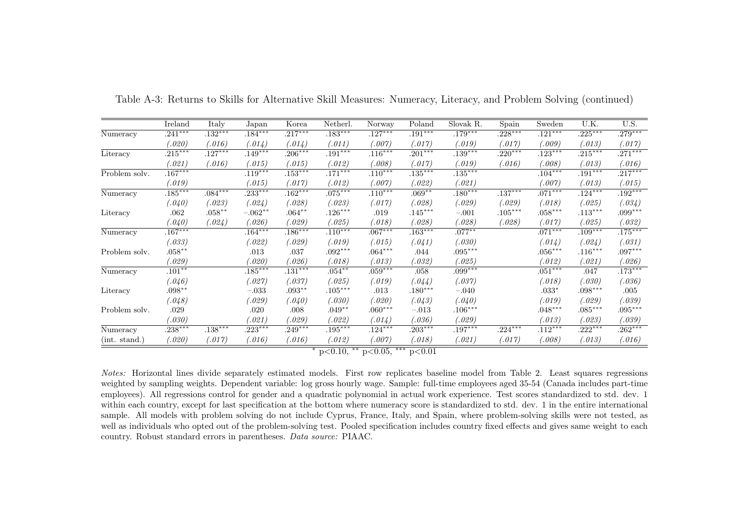|                               | Ireland   | Italy     | Japan     | Korea     | Netherl.        | Norway                  | Poland    | Slovak R. | Spain     | Sweden     | U.K.                  | U.S.      |
|-------------------------------|-----------|-----------|-----------|-----------|-----------------|-------------------------|-----------|-----------|-----------|------------|-----------------------|-----------|
| $\overline{\text{N}}$ umeracy | $.241***$ | $.132***$ | $.184***$ | $.217***$ | $.183***$       | $.127***$               | $.191***$ | $.179***$ | $.228***$ | $.121***$  | $.225***$             | $.279***$ |
|                               | (.020)    | (.016)    | (.014)    | (.014)    | (.011)          | (.007)                  | (.017)    | (.019)    | (.017)    | (.009)     | (.013)                | (.017)    |
| Literacy                      | $.215***$ | $.127***$ | $.149***$ | $.206***$ | $.191***$       | $.116***$               | $.201***$ | $.139***$ | $.220***$ | $.123***$  | $.215***$             | $.271***$ |
|                               | (.021)    | (.016)    | (.015)    | (.015)    | (.012)          | (.008)                  | (.017)    | (.019)    | (.016)    | (.008)     | (.013)                | (.016)    |
| Problem solv.                 | $.167***$ |           | $.119***$ | $.153***$ | $.171***$       | $.110***$               | $.135***$ | $.135***$ |           | $.104***$  | $.191***$             | $.217***$ |
|                               | (.019)    |           | (.015)    | (.017)    | (.012)          | (.007)                  | (.022)    | (.021)    |           | (.007)     | (.013)                | (.015)    |
| Numeracy                      | $.185***$ | $.084***$ | $.233***$ | $.162***$ | $.075***$       | $.110***$               | $.069***$ | $.180***$ | $.137***$ | $.071***$  | $.124***$             | $.192***$ |
|                               | (.040)    | (.023)    | (.024)    | (.028)    | (.023)          | (.017)                  | (.028)    | (.029)    | (.029)    | (.018)     | (.025)                | (.034)    |
| Literacy                      | .062      | $.058***$ | $-.062**$ | $.064**$  | $.126***$       | .019                    | $.145***$ | $-.001$   | $.105***$ | $.058***$  | $.113***$             | $.099***$ |
|                               | 040)      | (.024)    | (.026)    | (.029)    | (.025)          | (.018)                  | (.028)    | (.028)    | (.028)    | (.017)     | (.025)                | (.032)    |
| Numeracy                      | $.167***$ |           | $.164***$ | $.186***$ | $.110***$       | $.067***$               | $.163***$ | $.077***$ |           | $.071***$  | $.109***$             | $.175***$ |
|                               | (.033)    |           | (.022)    | (.029)    | (.019)          | (.015)                  | (.041)    | (.030)    |           | (.014)     | (.024)                | (.031)    |
| Problem solv.                 | $.058***$ |           | .013      | .037      | $.092***$       | $.064***$               | .044      | $.095***$ |           | $.056***$  | $.116***$             | $.097***$ |
|                               | (.029)    |           | 0.020)    | (.026)    | (.018)          | (.013)                  | 0.032)    | (.025)    |           | (.012)     | (.021)                | (.026)    |
| Numeracy                      | $.101***$ |           | $.185***$ | $.131***$ | $.054***$       | $.059***$               | .058      | $.099***$ |           | $.051***$  | .047                  | $.173***$ |
|                               | (.046)    |           | (.027)    | (.037)    | (.025)          | (.019)                  | (.044)    | (.037)    |           | (.018)     | (.030)                | (.036)    |
| Literacy                      | $.098**$  |           | $-.033$   | $.093***$ | $.105***$       | .013                    | $.180***$ | $-.040$   |           | $.033*$    | $.098***$             | .005      |
|                               | (.048)    |           | 0.029)    | (.040)    | (.030)          | (.020)                  | (.043)    | (.040)    |           | (.019)     | (.029)                | (.039)    |
| Problem solv.                 | .029      |           | .020      | .008      | $.049**$        | $.060***$               | $-.013$   | $.106***$ |           | $.048***$  | $.085^{\ast\ast\ast}$ | $.095***$ |
|                               | (.030)    |           | 0.021)    | (.029)    | (.022)          | (.014)                  | (.036)    | (.029)    |           | $\it(013)$ | (.023)                | (.039)    |
| $\overline{\text{N}}$ umeracy | $.238***$ | $.138***$ | $.223***$ | $.249***$ | $.195***$       | $.124***$               | $.203***$ | $.197***$ | $.224***$ | $.112***$  | $.222***$             | $.262***$ |
| (int. stand.)                 | (.020)    | (.017)    | (.016)    | (.016)    | (.012)          | (.007)                  | (.018)    | (.021)    | (.017)    | (.008)     | (.013)                | (.016)    |
|                               |           |           |           |           | * $p<0.10$ , ** | $p<0.05$ , *** $p<0.01$ |           |           |           |            |                       |           |

Table A-3: Returns to Skills for Alternative Skill Measures: Numeracy, Literacy, and Problem Solving (continued)

*Notes:* Horizontal lines divide separately estimated models. First row replicates baseline model from Table 2. Least squares regressions weighted by sampling weights. Dependent variable: log gross hourly wage. Sample: full-time employees aged 35-54 (Canada includes part-time employees). All regressions control for gender and <sup>a</sup> quadratic polynomial in actual work experience. Test scores standardized to std. dev. <sup>1</sup> within each country, except for last specification at the bottom where numeracy score is standardized to std. dev. 1 in the entire internationalsample. All models with problem solving do not include Cyprus, France, Italy, and Spain, where problem-solving skills were not tested, as well as individuals who opted out of the problem-solving test. Pooled specification includes country fixed effects and gives same weight to eachcountry. Robust standard errors in parentheses. *Data source:* PIAAC.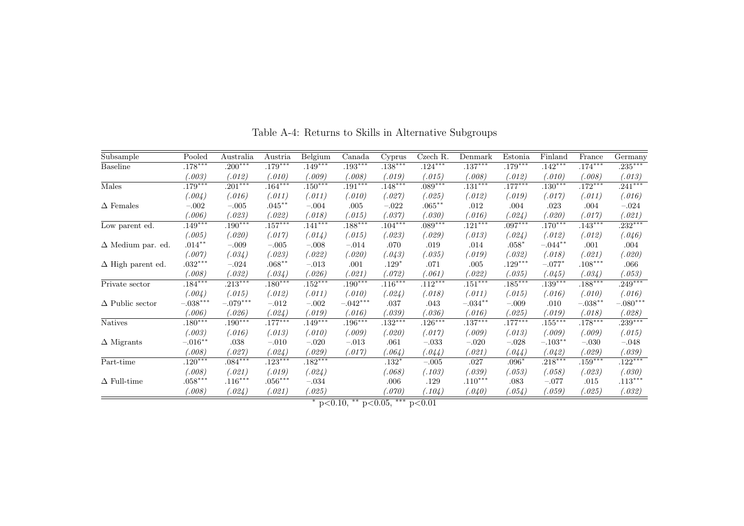| Subsample                | Pooled     | Australia   | Austria   | Belgium        | Canada     | Cyprus         | Czech R.   | Denmark    | Estonia   | Finland    | France     | Germany    |
|--------------------------|------------|-------------|-----------|----------------|------------|----------------|------------|------------|-----------|------------|------------|------------|
| <b>Baseline</b>          | $.178***$  | $.200***$   | $.179***$ | $.149***$      | $.193***$  | $.138***$      | $.124***$  | $.137***$  | $.179***$ | $.142***$  | $.174***$  | $.235***$  |
|                          | (.003)     | (.012)      | (.010)    | (.009)         | (.008)     | (.019)         | (.015)     | (.008)     | .012)     | (.010)     | (.008)     | (.013)     |
| Males                    | $.179***$  | $.201***$   | $.164***$ | $.150***$      | $.191***$  | $.148***$      | $.089***$  | $.131***$  | $.177***$ | $.130***$  | $.172***$  | $.241***$  |
|                          | (.004)     | (.016)      | (.011)    | (.011)         | (.010)     | (.027)         | (.025)     | (.012)     | 0.019)    | (.017)     | (.011)     | (.016)     |
| $\Delta$ Females         | $-.002$    | $-.005$     | $.045***$ | $-.004$        | .005       | $-.022$        | $.065***$  | .012       | .004      | .023       | .004       | $-.024$    |
|                          | (.006)     | $\it .023)$ | (.022)    | (.018)         | (.015)     | $^\prime.037)$ | (.030)     | (.016)     | (.024)    | (.020)     | 0.017)     | (.021)     |
| Low parent ed.           | $.149***$  | $.190***$   | $.157***$ | $.141***$      | $.188***$  | $.104***$      | $.089***$  | $.121***$  | $.097***$ | $.170***$  | $.143***$  | $.232***$  |
|                          | (.005)     | (.020)      | (.017)    | (.014)         | (.015)     | (.023)         | (.029)     | (.013)     | 0.024)    | (.012)     | 0.012)     | (.046)     |
| $\Delta$ Medium par. ed. | $.014***$  | $-.009$     | $-.005$   | $-.008$        | $-.014$    | .070           | .019       | .014       | $.058*$   | $-.044***$ | .001       | .004       |
|                          | (.007)     | (.034)      | (.023)    | (.022)         | (.020)     | (.043)         | $\it 035)$ | (.019)     | (.032)    | (.018)     | (.021)     | 0.020)     |
| $\Delta$ High parent ed. | $.032***$  | $-.024$     | $.068***$ | $-.013$        | .001       | $.129*$        | .071       | .005       | $.129***$ | $-.077*$   | $.108***$  | .066       |
|                          | (.008)     | $\it(032)$  | (.034)    | (.026)         | (.021)     | $\it 072)$     | 0.061)     | (.022)     | (.035)    | (.045)     | (.034)     | (.053)     |
| Private sector           | $.184***$  | $.213***$   | $.180***$ | $.152***$      | $.190***$  | $.116***$      | $.112***$  | $.151***$  | $.185***$ | $.139***$  | $.188***$  | $.249***$  |
|                          | (.004)     | (.015)      | (.012)    | (.011)         | (.010)     | (.024)         | (.018)     | (.011)     | (.015)    | (.016)     | (.010)     | (.016)     |
| $\Delta$ Public sector   | $-.038***$ | $-.079***$  | $-.012$   | $-.002$        | $-.042***$ | .037           | .043       | $-.034***$ | $-.009$   | .010       | $-.038***$ | $-.080***$ |
|                          | (.006)     | (.026)      | (.024)    | $^\prime.019)$ | (.016)     | (.039)         | 0.036)     | (.016)     | 0.025)    | (.019)     | (.018)     | (.028)     |
| <b>Natives</b>           | $.180***$  | $.190***$   | $.177***$ | $.149***$      | $.196***$  | $.132***$      | $.126***$  | $.137***$  | $.177***$ | $.155***$  | $.178***$  | $.239***$  |
|                          | (.003)     | (.016)      | (.013)    | (.010)         | (.009)     | (.020)         | (.017)     | (.009)     | .013)     | (.009)     | (.009)     | (.015)     |
| $\Delta$ Migrants        | $-.016**$  | .038        | $-.010$   | $-.020$        | $-.013$    | .061           | $-.033$    | $-.020$    | $-.028$   | $-.103**$  | $-.030$    | $-.048$    |
|                          | (.008)     | (.027)      | (.024)    | (.029)         | (.017)     | $\,.064)$      | (.044)     | (.021)     | (.044)    | (.042)     | (.029)     | (.039)     |
| Part-time                | $.120***$  | $.084***$   | $.123***$ | $.182***$      |            | $.132*$        | $-.005$    | .027       | $.096*$   | $.218***$  | $.159***$  | $.122***$  |
|                          | (.008)     | (.021)      | (.019)    | (.024)         |            | (.068)         | (.103)     | (.039)     | (.053)    | (.058)     | (.023)     | (.030)     |
| $\Delta$ Full-time       | $.058***$  | $.116***$   | $.056***$ | $-.034$        |            | .006           | .129       | $.110***$  | .083      | $-.077$    | .015       | $.113***$  |
|                          | (.008)     | (.024)      | (.021)    | (.025)         |            | (.070)         | (.104)     | (.040)     | (.054)    | (.059)     | (.025)     | (.032)     |

Table A-4: Returns to Skills in Alternative Subgroups

*∗* p*<*0.10, *∗∗* p*<*0.05, *∗∗∗* p*<*0.01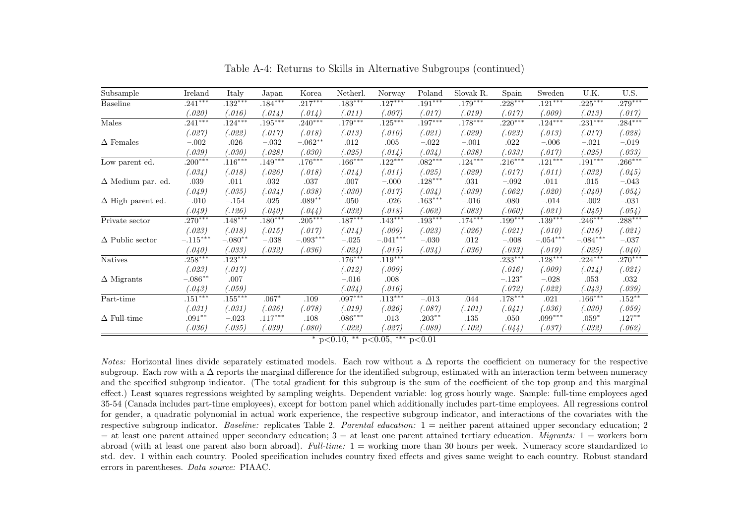| Subsample                | Ireland    | Italy     | Japan     | Korea              | Netherl.  | Norway     | Poland                | Slovak R.            | Spain     | Sweden     | U.K.                   | U.S.      |
|--------------------------|------------|-----------|-----------|--------------------|-----------|------------|-----------------------|----------------------|-----------|------------|------------------------|-----------|
| <b>Baseline</b>          | $.241***$  | $.132***$ | $.184***$ | $.217***$          | $.183***$ | $.127***$  | $.191***$             | $.179***$            | $.228***$ | $.121***$  | $.225***$              | $.279***$ |
|                          | (.020)     | (.016)    | (.014)    | (.014)             | (.011)    | (.007)     | (.017)                | (.019)               | (.017)    | (.009)     | (.013)                 | (.017)    |
| Males                    | $.241***$  | $.124***$ | $.195***$ | $.240***$          | $.179***$ | $.125***$  | $.197***$             | $.178***$            | $.220***$ | $.124***$  | $.231***$              | $.284***$ |
|                          | (.027)     | (.022)    | (.017)    | (.018)             | (.013)    | (.010)     | (.021)                | (.029)               | (.023)    | (.013)     | (.017)                 | (.028)    |
| $\Delta$ Females         | $-.002$    | .026      | $-.032$   | $-.062^{\ast\ast}$ | .012      | .005       | $-.022$               | $-.001$              | .022      | $-.006$    | $-.021$                | $-.019$   |
|                          | (.039)     | (.030)    | (.028)    | (.030)             | (.025)    | (.014)     | (.034)                | (.038)               | (.033)    | (.017)     | (.025)                 | (.033)    |
| Low parent ed.           | $.200***$  | $.116***$ | $.149***$ | $.176***$          | $.166***$ | $.122***$  | $.082***$             | $.124***$            | $.216***$ | $.121***$  | $.191***$              | $.266***$ |
|                          | (.034)     | (.018)    | (.026)    | (.018)             | (.014)    | (.011)     | (.025)                | (.029)               | (.017)    | (.011)     | (.032)                 | (.045)    |
| $\Delta$ Medium par. ed. | .039       | .011      | .032      | .037               | .007      | $-.000$    | $.128^{\ast\ast\ast}$ | .031                 | $-.092$   | .011       | .015                   | $-.043$   |
|                          | (.049)     | (.035)    | (.034)    | (.038)             | (.030)    | (.017)     | (.034)                | (.039)               | (.062)    | (.020)     | (.040)                 | (.054)    |
| $\Delta$ High parent ed. | $-.010$    | $-.154$   | .025      | $.089**$           | .050      | $-.026$    | $.163^{\ast\ast\ast}$ | $-.016$              | .080      | $-.014$    | $-.002$                | $-.031$   |
|                          | (.049)     | (.126)    | (.040)    | (.044)             | (.032)    | (.018)     | (.062)                | (.083)               | 0.060)    | (.021)     | (.045)                 | (.054)    |
| Private sector           | $.270***$  | $.148***$ | $.180***$ | $.205***$          | $.187***$ | $.143***$  | $.193***$             | $.174***$            | $.199***$ | $.139***$  | $.246***$              | $.288***$ |
|                          | (.023)     | (.018)    | (.015)    | (.017)             | (.014)    | (.009)     | (.023)                | (.026)               | (.021)    | (.010)     | (.016)                 | (.021)    |
| $\Delta$ Public sector   | $-.115***$ | $-.080**$ | $-.038$   | $-.093***$         | $-.025$   | $-.041***$ | $-.030$               | .012                 | $-.008$   | $-.054***$ | $-.084^{\ast\ast\ast}$ | $-.037$   |
|                          | (.040)     | (.033)    | (.032)    | (.036)             | (.024)    | (.015)     | (.034)                | (.036)               | (.033)    | (.019)     | (.025)                 | (.040)    |
| <b>Natives</b>           | $.258***$  | $.123***$ |           |                    | $.176***$ | $.119***$  |                       |                      | $.233***$ | $.128***$  | $.224***$              | $.270***$ |
|                          | (.023)     | (.017)    |           |                    | (.012)    | (.009)     |                       |                      | (.016)    | (.009)     | (.014)                 | (.021)    |
| $\Delta$ Migrants        | $-.086**$  | .007      |           |                    | $-.016$   | .008       |                       |                      | $-.123*$  | $-.028$    | .053                   | .032      |
|                          | (.043)     | (.059)    |           |                    | (.034)    | (.016)     |                       |                      | (.072)    | (.022)     | (.043)                 | (.039)    |
| Part-time                | $.151***$  | $.155***$ | $.067*$   | .109               | $.097***$ | $.113***$  | $-.013$               | .044                 | $.178***$ | .021       | $.166***$              | $.152***$ |
|                          | (.031)     | (.031)    | (.036)    | (.078)             | (.019)    | (.026)     | (.087)                | (.101)               | (.041)    | (.036)     | (.030)                 | (.059)    |
| $\Delta$ Full-time       | $.091***$  | $-.023$   | $.117***$ | .108               | $.086***$ | .013       | $.203***$             | .135                 | .050      | $.099***$  | $.059*$                | $.127***$ |
|                          | (.036)     | (.035)    | (.039)    | (.080)             | (.022)    | (.027)     | 0.089)                | $\left( .102\right)$ | 0.044)    | 4.037)     | $\it .032)$            | (.062)    |

Table A-4: Returns to Skills in Alternative Subgroups (continued)

*Notes:* Horizontal lines divide separately estimated models. Each row without a  $\Delta$  reports the coefficient on numeracy for the respective subgroup. Each row with a  $\Delta$  reports the marginal difference for the identified subgroup, estimated with an interaction term between numeracy and the specified subgroup indicator. (The total gradient for this subgroup is the sum of the coefficient of the top group and this marginal effect.) Least squares regressions weighted by sampling weights. Dependent variable: log gross hourly wage. Sample: full-time employees aged 35-54 (Canada includes part-time employees), except for bottom pane<sup>l</sup> which additionally includes part-time employees. All regressions control for gender, <sup>a</sup> quadratic polynomial in actual work experience, the respective subgroup indicator, and interactions of the covariates with the respective subgroup indicator. *Baseline:* replicates Table 2. *Parental education:* <sup>1</sup> <sup>=</sup> neither parent attained upper secondary education; <sup>2</sup> = at least one parent attained upper secondary education; 3 <sup>=</sup> at least one parent attained tertiary education. *Migrants:* <sup>1</sup> <sup>=</sup> workers born abroad (with at least one parent also born abroad). *Full-time:* <sup>1</sup> <sup>=</sup> working more than <sup>30</sup> hours per week. Numeracy score standardized to std. dev. 1 within each country. Pooled specification includes country fixed effects and gives same weight to each country. Robust standarderrors in parentheses. *Data source:* PIAAC.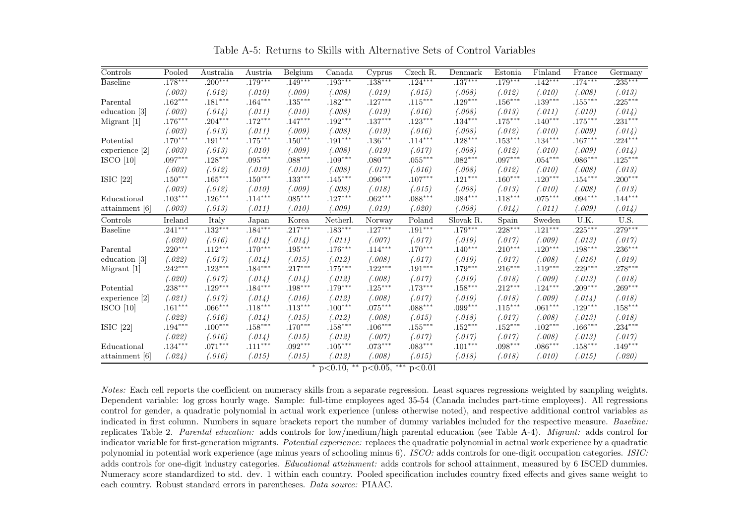| Controls                                  | Pooled    | Australia | Austria               | Belgium   | Canada                | Cyprus                 | Czech R.  | Denmark   | Estonia   | Finland   | France                | Germany   |
|-------------------------------------------|-----------|-----------|-----------------------|-----------|-----------------------|------------------------|-----------|-----------|-----------|-----------|-----------------------|-----------|
| <b>Baseline</b>                           | $.178***$ | $.200***$ | $.179***$             | $.149***$ | $.193***$             | $.138***$              | $.124***$ | $.137***$ | $.179***$ | $.142***$ | $.174***$             | $.235***$ |
|                                           | (.003)    | (.012)    | (.010)                | (.009)    | (.008)                | (.019)                 | (.015)    | (.008)    | (.012)    | (.010)    | (.008)                | (.013)    |
| Parental                                  | $.162***$ | $.181***$ | $.164***$             | $.135***$ | $.182***$             | $.127***$              | $.115***$ | $.129***$ | $.156***$ | $.139***$ | $.155***$             | $.225***$ |
| education [3]                             | (.003)    | (.014)    | (.011)                | (.010)    | (.008)                | (.019)                 | (.016)    | (.008)    | (.013)    | (.011)    | (.010)                | (.014)    |
| Migrant [1]                               | $.176***$ | $.204***$ | $.172***$             | $.147***$ | $.192***$             | $.137***$              | $.123***$ | $.134***$ | $.175***$ | $.140***$ | $.175***$             | $.231***$ |
|                                           | (.003)    | (.013)    | (.011)                | (.009)    | (.008)                | (.019)                 | (.016)    | (.008)    | (.012)    | (.010)    | (.009)                | (.014)    |
| Potential                                 | $.170***$ | $.191***$ | $.175***$             | $.150***$ | $.191***$             | $.136***$              | $.114***$ | $.128***$ | $.153***$ | $.134***$ | $.167***$             | $.224***$ |
| experience [2]                            | (.003)    | (.013)    | (.010)                | (.009)    | (.008)                | (.019)                 | (.017)    | (.008)    | (.012)    | (.010)    | (.009)                | (.014)    |
| $\left[18 \right]$ $\left[10\right]$      | $.097***$ | $.128***$ | $.095***$             | $.088***$ | $.109***$             | $.080***$              | $.055***$ | $.082***$ | $.097***$ | $.054***$ | $.086***$             | $.125***$ |
|                                           | (.003)    | (.012)    | (.010)                | (.010)    | (.008)                | (.017)                 | (.016)    | (.008)    | (.012)    | (.010)    | (.008)                | (.013)    |
| ISIC $[22]$                               | $.150***$ | $.165***$ | $.150***$             | $.133***$ | $.145***$             | $.096***$              | $.107***$ | $.121***$ | $.160***$ | $.120***$ | $.154***$             | $.200***$ |
|                                           | (.003)    | (.012)    | (.010)                | (.009)    | (.008)                | (.018)                 | (.015)    | (.008)    | (.013)    | (.010)    | (.008)                | (.013)    |
| Educational                               | $.103***$ | $.126***$ | $.114***$             | $.085***$ | $.127***$             | $.062***$              | $.088***$ | $.084***$ | $.118***$ | $.075***$ | $.094***$             | $.144***$ |
| attainment [6]                            | (.003)    | (.013)    | (.011)                | (.010)    | (.009)                | (.019)                 | 0.020)    | (.008)    | (.014)    | (.011)    | (.009)                | (.014)    |
| Controls                                  | Ireland   | Italy     | Japan                 | Korea     | Netherl.              | Norway                 | Poland    | Slovak R. | Spain     | Sweden    | U.K.                  | U.S.      |
| <b>Baseline</b>                           | $.241***$ | $.132***$ | $.184***$             | $.217***$ | $.183***$             | $.127***$              | $.191***$ | $.179***$ | $.228***$ | $.121***$ | $.225***$             | $.279***$ |
|                                           | (.020)    | (.016)    | (.014)                | (.014)    | (.011)                | (.007)                 | (.017)    | (.019)    | (.017)    | (.009)    | (.013)                | (.017)    |
| Parental                                  | $.220***$ | $.112***$ | $.170***$             | $.195***$ | $.176***$             | $.114***$              | $.170***$ | $.140***$ | $.210***$ | $.120***$ | $.198^{\ast\ast\ast}$ | $.236***$ |
| education [3]                             | (.022)    | (.017)    | (.014)                | (.015)    | (.012)                | (.008)                 | (.017)    | (.019)    | (.017)    | (.008)    | (.016)                | (.019)    |
| Migrant [1]                               | $.242***$ | $.123***$ | $.184***$             | $.217***$ | $.175^{\ast\ast\ast}$ | $.122***$              | $.191***$ | $.179***$ | $.216***$ | $.119***$ | $.229***$             | $.278***$ |
|                                           | (.020)    | (.017)    | (.014)                | (.014)    | (.012)                | (.008)                 | (.017)    | (.019)    | (.018)    | (.009)    | (.013)                | (.018)    |
| Potential                                 | $.238***$ | $.129***$ | $.184***$             | $.198***$ | $.179***$             | $.125***$              | $.173***$ | $.158***$ | $.212***$ | $.124***$ | $.209***$             | $.269***$ |
| experience [2]                            | (.021)    | (.017)    | (.014)                | (.016)    | (.012)                | (.008)                 | (.017)    | (.019)    | (.018)    | (.009)    | (.014)                | (.018)    |
| $\left[18\text{CO}\right[\left[10\right]$ | $.161***$ | $.066***$ | $.118^{\ast\ast\ast}$ | $.113***$ | $.100***$             | $.075***$              | $.088***$ | $.099***$ | $.115***$ | $.061***$ | $.129***$             | $.158***$ |
|                                           | (.022)    | (.016)    | (.014)                | (.015)    | (.012)                | (.008)                 | (.015)    | (.018)    | (.017)    | (.008)    | (.013)                | (.018)    |
| ISIC $[22]$                               | $.194***$ | $.100***$ | $.158***$             | $.170***$ | $.158***$             | $.106***$              | $.155***$ | $.152***$ | $.152***$ | $.102***$ | $.166***$             | $.234***$ |
|                                           | (.022)    | (.016)    | (.014)                | (.015)    | (.012)                | (.007)                 | (.017)    | (.017)    | (.017)    | (.008)    | (.013)                | (.017)    |
| Educational                               | $.134***$ | $.071***$ | $.111***$             | $.092***$ | $.105***$             | $.073***$              | $.083***$ | $.101***$ | $.098***$ | $.086***$ | $.158***$             | $.149***$ |
| attainment [6]                            | (.024)    | (.016)    | (.015)                | (.015)    | (.012)<br>$0.10 +$    | (.008)<br>$0.05 + 1.5$ | (.015)    | (.018)    | (.018)    | (.010)    | (.015)                | (.020)    |

Table A-5: Returns to Skills with Alternative Sets of Control Variables

*Notes:* Each cell reports the coefficient on numeracy skills from <sup>a</sup> separate regression. Least squares regressions weighted by sampling weights. Dependent variable: log gross hourly wage. Sample: full-time employees aged 35-54 (Canada includes part-time employees). All regressions control for gender, <sup>a</sup> quadratic polynomial in actual work experience (unless otherwise noted), and respective additional control variables as indicated in first column. Numbers in square brackets report the number of dummy variables included for the respective measure. *Baseline:* replicates Table 2. *Parental education:* adds controls for low/medium/high parental education (see Table A-4). *Migrant:* adds control forindicator variable for first-generation migrants. *Potential experience:* replaces the quadratic polynomial in actual work experience by a quadratic polynomial in potential work experience (age minus years of schooling minus 6). *ISCO:* adds controls for one-digit occupation categories. *ISIC:* adds controls for one-digit industry categories. *Educational attainment:* adds controls for school attainment, measured by <sup>6</sup> ISCED dummies. Numeracy score standardized to std. dev. 1 within each country. Pooled specification includes country fixed effects and gives same weight toeach country. Robust standard errors in parentheses. *Data source:* PIAAC.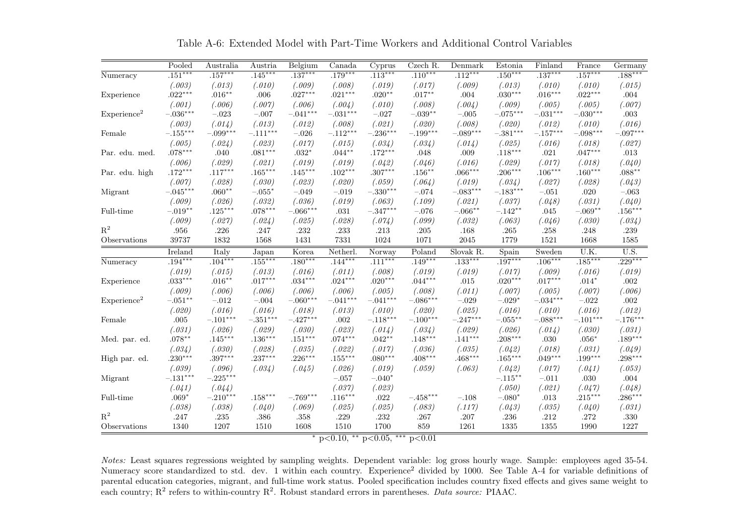|                              | Pooled     | Australia             | Austria    | Belgium    | Canada               | Cyprus                 | $Czech R$ . | Denmark    | Estonia    | Finland    | France            | $\overline{\text{Germany}}$ |
|------------------------------|------------|-----------------------|------------|------------|----------------------|------------------------|-------------|------------|------------|------------|-------------------|-----------------------------|
| Numeracy                     | $.151***$  | $.157***$             | $.145***$  | $.137***$  | $.179***$            | $.113***$              | $.110***$   | $.112***$  | $.150***$  | $.137***$  | $.157***$         | $.188***$                   |
|                              | (.003)     | (.013)                | (.010)     | (.009)     | (.008)               | (.019)                 | (.017)      | (.009)     | (.013)     | (.010)     | (.010)            | (.015)                      |
| Experience                   | $.022***$  | $.016***$             | .006       | $.027***$  | $.021***$            | $.020**$               | $.017***$   | $.004\,$   | $.030***$  | $.016***$  | $.022***$         | $.004\,$                    |
|                              | (.001)     | (.006)                | (.007)     | (.006)     | (.004)               | (.010)                 | (.008)      | (.004)     | (.009)     | (.005)     | (.005)            | (.007)                      |
| Experience <sup>2</sup>      | $-.036***$ | $-.023$               | $-.007$    | $-.041***$ | $-.031***$           | $-.027$                | $-.039**$   | $-.005$    | $-.075***$ | $-.031***$ | $-.030***$        | $.003\,$                    |
|                              | (.003)     | (.014)                | (.013)     | (.012)     | (.008)               | (.021)                 | (.020)      | (.008)     | (.020)     | (.012)     | (.010)            | (.016)                      |
| Female                       | $-.155***$ | $-.099***$            | $-.111***$ | $-.026$    | $-.112***$           | $-.236^{\ast\ast\ast}$ | $-.199***$  | $-.089***$ | $-.381***$ | $-.157***$ | $-.098***$        | $-.097***$                  |
|                              | (.005)     | (.024)                | (.023)     | (.017)     | (.015)               | (.034)                 | (.034)      | (.014)     | (.025)     | (.016)     | (.018)            | (.027)                      |
| Par. edu. med.               | $.078***$  | .040                  | $.081***$  | $.032*$    | $.044***$            | $.172***$              | .048        | $.009\,$   | $.118***$  | $.021\,$   | $.047***$         | .013                        |
|                              | (.006)     | (.029)                | (.021)     | (.019)     | (.019)               | (.042)                 | (.046)      | (.016)     | (.029)     | (.017)     | (.018)            | (.040)                      |
| Par. edu. high               | $.172***$  | $.117^{\ast\ast\ast}$ | $.165***$  | $.145***$  | $.102***$            | $.307***$              | $.156***$   | $.066***$  | $.206***$  | $.106***$  | $.160***$         | $.088***$                   |
|                              | (.007)     | (.028)                | (.030)     | (.023)     | (.020)               | (.059)                 | (.064)      | (.019)     | (.034)     | (.027)     | (.028)            | (.043)                      |
| Migrant                      | $-.045***$ | $.060**$              | $-.055*$   | $-.049$    | $-.019$              | $-.330***$             | $-.074$     | $-.083***$ | $-.183***$ | $-.051$    | $.020\,$          | $-.063$                     |
|                              | (.009)     | (.026)                | (.032)     | (.036)     | (.019)               | (.063)                 | (.109)      | (.021)     | (.037)     | (.048)     | (.031)            | (.040)                      |
| Full-time                    | $-.019**$  | $.125***$             | $.078***$  | $-.066***$ | $.031\,$             | $-.347***$             | $-.076$     | $-.066***$ | $-.142**$  | $.045\,$   | $-.069**$         | $.156***$                   |
|                              | (.009)     | (.027)                | (.024)     | (.025)     | (.028)               | (.074)                 | (.099)      | (.032)     | (.063)     | (.046)     | (.030)            | (.034)                      |
| $\mathbf{R}^2$               | $.956\,$   | $.226\,$              | .247       | .232       | .233                 | $.213\,$               | $.205\,$    | $.168\,$   | $.265\,$   | $.258$     | .248              | $.239\,$                    |
| Observations                 | 39737      | 1832                  | 1568       | 1431       | $7331\,$             | 1024                   | 1071        | 2045       | 1779       | $1521\,$   | 1668              | 1585                        |
|                              | Ireland    | Italy                 | Japan      | Korea      | Netherl              | Norway                 | Poland      | Slovak R.  | Spain      | Sweden     | $\overline{U.K.}$ | $\overline{U.S.}$           |
| $\overline{\text{Numercay}}$ | $.194***$  | $.104***$             | $.155***$  | $.180***$  | $.144***$            | $.111***$              | $.149***$   | $.133***$  | $.197***$  | $.106***$  | $.185***$         | $.229***$                   |
|                              | (.019)     | (.015)                | (.013)     | (.016)     | (.011)               | (.008)                 | (.019)      | (.019)     | (.017)     | (.009)     | (.016)            | (.019)                      |
| Experience                   | $.033***$  | $.016***$             | $.017***$  | $.034***$  | $.024***$            | $.020***$              | $.044***$   | $.015\,$   | $.020***$  | $.017***$  | $.014*$           | $.002\,$                    |
|                              | (.009)     | (.006)                | (.006)     | (.006)     | (.006)               | (.005)                 | (.008)      | (.011)     | (.007)     | (.005)     | (.007)            | (.006)                      |
| Experience <sup>2</sup>      | $-.051**$  | $-.012\,$             | $-.004$    | $-.060***$ | $-.041***$           | $-.041***$             | $-.086***$  | $-.029$    | $-.029*$   | $-.034***$ | $-.022$           | $.002\,$                    |
|                              | (.020)     | (.016)                | (.016)     | (.018)     | (.013)               | (.010)                 | (.020)      | (.025)     | (.016)     | (.010)     | (.016)            | (.012)                      |
| Female                       | $.005\,$   | $-.101***$            | $-.351***$ | $-.427***$ | .002                 | $-.118***$             | $-.100***$  | $-.247***$ | $-.055***$ | $-.088***$ | $-.101***$        | $-.176***$                  |
|                              | (.031)     | (.026)                | (.029)     | (.030)     | (.023)               | (.014)                 | (.034)      | (.029)     | (.026)     | (.014)     | (.030)            | (.031)                      |
| Med. par. ed.                | $.078***$  | $.145***$             | $.136***$  | $.151***$  | $.074***$            | $.042**$               | $.148***$   | $.141***$  | $.208***$  | $.030\,$   | $.056*$           | $.189***$                   |
|                              | (.034)     | (.030)                | (.028)     | (.035)     | (.022)               | (.017)                 | (.036)      | (.035)     | (.042)     | (.018)     | (.031)            | (.049)                      |
| High par. ed.                | $.230***$  | $.397***$             | $.237***$  | $.226***$  | $.155***$            | $.080***$              | $.408***$   | $.468***$  | $.165***$  | $.049***$  | $.199***$         | $.298***$                   |
|                              | (.039)     | (.096)                | (.034)     | (.045)     | (.026)               | (.019)                 | (.059)      | (.063)     | (.042)     | (.017)     | (.041)            | (.053)                      |
| Migrant                      | $-.131***$ | $-.225***$            |            |            | $-.057$              | $-.040*$               |             |            | $-.115***$ | $-.011$    | $.030\,$          | $.004\,$                    |
|                              | (.041)     | (.044)                |            |            | (.037)               | (.023)                 |             |            | (.050)     | (.021)     | (.047)            | (.048)                      |
| Full-time                    | $.069*$    | $-.210***$            | $.158***$  | $-.769***$ | $.116***$            | $.022\,$               | $-.458***$  | $-.108$    | $-.080*$   | $.013\,$   | $.215***$         | $.286***$                   |
|                              | (.038)     | (.038)                | (.040)     | (.069)     | (.025)               | (.025)                 | (.083)      | (.117)     | (.043)     | (.035)     | (.040)            | (.031)                      |
| $\mathbf{R}^2$               | .247       | $.235\,$              | $.386\,$   | $.358\,$   | .229                 | $.232\,$               | .267        | $.207\,$   | $.236\,$   | $.212\,$   | $.272\,$          | $.330\,$                    |
| Observations                 | 1340       | 1207                  | 1510       | 1608       | 1510                 | 1700                   | 859         | 1261       | 1335       | 1355       | 1990              | 1227                        |
|                              |            |                       |            |            | $**$<br>$p < 0.10$ , | $***$<br>$p < 0.05$ ,  | p < 0.01    |            |            |            |                   |                             |

Table A-6: Extended Model with Part-Time Workers and Additional Control Variables

*Notes:* Least squares regressions weighted by sampling weights. Dependent variable: log gross hourly wage. Sample: employees aged 35-54. Numeracy score standardized to std. dev. 1 within each country. Experience<sup>2</sup> divided by 1000. See Table A-4 for variable definitions of parental education categories, migrant, and full-time work status. Pooled specification includes country fixed effects and gives same weight toeach country;  $R^2$  refers to within-country  $R^2$ . Robust standard errors in parentheses. *Data source:* PIAAC.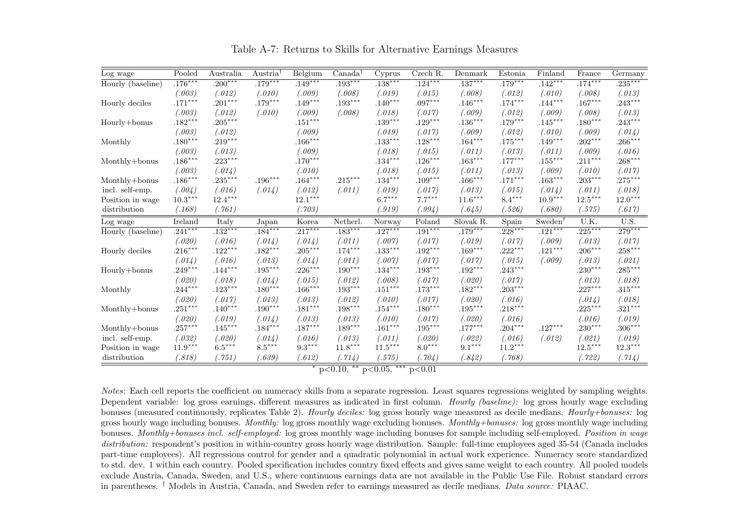| Log wage          | Pooled    | Australia | Austria               | Belgium   | Canada    | Cyprus                                            | Czech R.  | Denmark              | Estonia   | Finland             | France    | Germany   |
|-------------------|-----------|-----------|-----------------------|-----------|-----------|---------------------------------------------------|-----------|----------------------|-----------|---------------------|-----------|-----------|
| Hourly (baseline) | $.176***$ | $.200***$ | $.179***$             | $.149***$ | $.193***$ | $.138***$                                         | $.124***$ | $.137***$            | $.179***$ | $.142***$           | $.174***$ | $.235***$ |
|                   | (.003)    | (.012)    | (.010)                | (.009)    | (.008)    | (.019)                                            | (.015)    | (.008)               | (.012)    | (.010)              | (.008)    | (.013)    |
| Hourly deciles    | $.171***$ | $.201***$ | $.179***$             | $.149***$ | $.193***$ | $.140***$                                         | $.097***$ | $.146***$            | $.174***$ | $.144***$           | $.167***$ | $.243***$ |
|                   | (.003)    | (.012)    | (.010)                | (.009)    | (.008)    | (.018)                                            | (.017)    | (.009)               | (.012)    | (.009)              | (.008)    | (.013)    |
| $Hourly+bonus$    | $.182***$ | $.205***$ |                       | $.151***$ |           | $.139***$                                         | $.129***$ | $.136***$            | $.179***$ | $.145***$           | $.180***$ | $.243***$ |
|                   | (.003)    | (.012)    |                       | (.009)    |           | (.019)                                            | (.017)    | (.009)               | (.012)    | (.010)              | (.009)    | (.014)    |
| Monthly           | $.180***$ | $.219***$ |                       | $.166***$ |           | $.133***$                                         | $.128***$ | $.164***$            | $.175***$ | $.149***$           | $.202***$ | $.266***$ |
|                   | (.003)    | (.013)    |                       | (.009)    |           | (.018)                                            | (.015)    | (.011)               | (.013)    | (.011)              | (.009)    | (.016)    |
| Monthly+bonus     | $.186***$ | $.223***$ |                       | $.170***$ |           | $.134***$                                         | $.126***$ | $.163***$            | $.177***$ | $.155***$           | $.211***$ | $.268***$ |
|                   | (.003)    | (.014)    |                       | (.010)    |           | (.018)                                            | (.015)    | (.011)               | (.013)    | (.009)              | (.010)    | (.017)    |
| Monthly+bonus     | $.186***$ | $.235***$ | $.196***$             | $.164***$ | $.215***$ | $.134***$                                         | $.109***$ | $.166***$            | $.171***$ | $.163***$           | $.203***$ | $.275***$ |
| incl. self-emp.   | (.004)    | (.016)    | (.014)                | (.012)    | (.011)    | (.019)                                            | (.017)    | (.013)               | (.015)    | (.014)              | (.011)    | (.018)    |
| Position in wage  | $10.3***$ | $12.4***$ |                       | $12.1***$ |           | $6.7***$                                          | $7.7***$  | $11.6***$            | $8.4***$  | $10.9***$           | $12.5***$ | $12.0***$ |
| distribution      | (.168)    | (.761)    |                       | (.703)    |           | (.919)                                            | (.994)    | (.645)               | (.526)    | (.680)              | (.575)    | (.617)    |
| Log wage          | Ireland   | Italy     | Japan                 | Korea     | Netherl.  | Norway                                            | Poland    | Slovak R.            | Spain     | Sweden <sup>†</sup> | U.K.      | U.S.      |
| Hourly (baseline) | $.241***$ | $.132***$ | $.184***$             | $.217***$ | $.183***$ | $.127***$                                         | $.191***$ | $.179***$            | $.228***$ | $.121***$           | $.225***$ | $.279***$ |
|                   | (.020)    | (.016)    | (.014)                | (.014)    | (.011)    | (.007)                                            | (.017)    | (.019)               | (.017)    | (.009)              | (.013)    | (.017)    |
| Hourly deciles    | $.216***$ | $.122***$ | $.182***$             | $.205***$ | $.174***$ | $.133***$                                         | $.192***$ | $.169***$            | $.222***$ | $.121***$           | $.206***$ | $.258***$ |
|                   | (.014)    | (.016)    | (.013)                | (.014)    | (.011)    | (.007)                                            | (.017)    | (.017)               | (.015)    | (.009)              | (.013)    | (.021)    |
| $Hourly+bonus$    | $.249***$ | $.144***$ | $.195^{\ast\ast\ast}$ | $.226***$ | $.190***$ | $.134***$                                         | $.193***$ | $.192***$            | $.243***$ |                     | $.230***$ | $.285***$ |
|                   | (.020)    | (.018)    | (.014)                | (.015)    | (.012)    | (.008)                                            | (.017)    | (.020)               | (.017)    |                     | (.013)    | (.018)    |
| Monthly           | $.244***$ | $.123***$ | $.180***$             | $.166***$ | $.193***$ | $.151***$                                         | $.173***$ | $.182***$            | $.203***$ |                     | $.227***$ | $.315***$ |
|                   | (.020)    | (.017)    | (.013)                | (.013)    | (.012)    | (.010)                                            | (.017)    | (.020)               | (.016)    |                     | (.014)    | (.018)    |
| Monthly+bonus     | $.251***$ | $.140***$ | $.190***$             | $.181***$ | $.198***$ | $.154***$                                         | $.180***$ | $.195***$            | $.218***$ |                     | $.225***$ | $.321***$ |
|                   | (.020)    | (.019)    | (.014)                | (.013)    | (.013)    | (.010)                                            | (.017)    | (.020)               | (.016)    |                     | (.016)    | (.019)    |
| Monthly+bonus     | $.257***$ | $.145***$ | $.184***$             | $.187***$ | $.189***$ | $.161***$                                         | $.195***$ | $.177***$            | $.204***$ | $.127***$           | $.230***$ | $.306***$ |
| incl. self-emp.   | (.032)    | (.020)    | (.014)                | (.016)    | (.013)    | (.011)                                            | (.020)    | (.022)               | (.016)    | (.012)              | (.021)    | (.019)    |
| Position in wage  | $11.9***$ | $6.5***$  | $8.5^{\ast\ast\ast}$  | $9.3***$  | $11.8***$ | $11.5***$                                         | $8.0***$  | $9.1^{\ast\ast\ast}$ | $11.2***$ |                     | $12.5***$ | $12.3***$ |
| distribution      | (.818)    | (.751)    | (.639)                | (.612)    | (.714)    | (.575)<br>$\overline{\wedge}$ $\overline{\wedge}$ | (.704)    | (.842)               | (.768)    |                     | (.722,    | (.714)    |

Table A-7: Returns to Skills for Alternative Earnings Measures

*Notes:* Each cell reports the coefficient on numeracy skills from <sup>a</sup> separate regression. Least squares regressions weighted by sampling weights. Dependent variable: log gross earnings, different measures as indicated in first column. *Hourly (baseline):* log gross hourly wage excluding bonuses (measured continuously, replicates Table 2). *Hourly deciles:* log gross hourly wage measured as decile medians. *Hourly+bonuses:* log gross hourly wage including bonuses. *Monthly:* log gross monthly wage excluding bonuses. *Monthly+bonuses:* log gross monthly wage including bonuses. *Monthly+bonuses incl. self-employed:* log gross monthly wage including bonuses for sample including self-employed. *Position in wage distribution:* respondent's position in within-country gross hourly wage distribution. Sample: full-time employees aged 35-54 (Canada includes part-time employees). All regressions control for gender and <sup>a</sup> quadratic polynomial in actual work experience. Numeracy score standardized to std. dev. 1 within each country. Pooled specification includes country fixed effects and gives same weight to each country. All pooled models exclude Austria, Canada, Sweden, and U.S., where continuous earnings data are not available in the Public Use File. Robust standard errorsin parentheses.*†* Models in Austria, Canada, and Sweden refer to earnings measured as decile medians. *Data source:* PIAAC.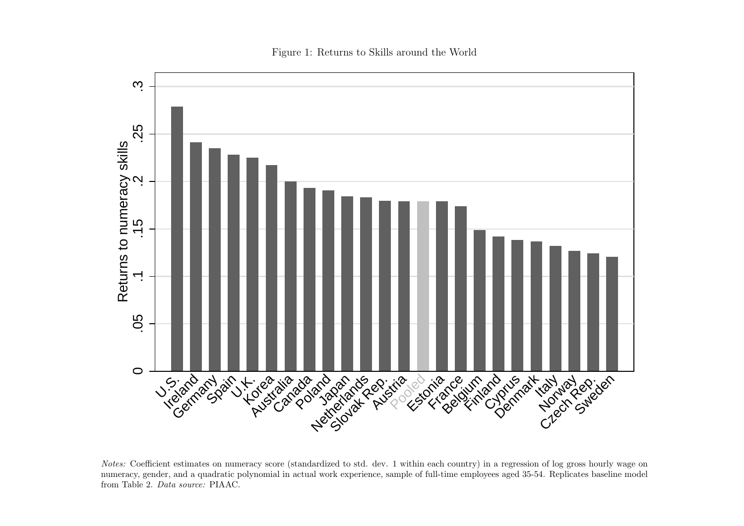Figure 1: Returns to Skills around the World



*Notes:* Coefficient estimates on numeracy score (standardized to std. dev. <sup>1</sup> within each country) in <sup>a</sup> regression of log gross hourly wage on numeracy, gender, and <sup>a</sup> quadratic polynomial in actual work experience, sample of full-time employees aged 35-54. Replicates baseline modelfrom Table 2. *Data source:* PIAAC.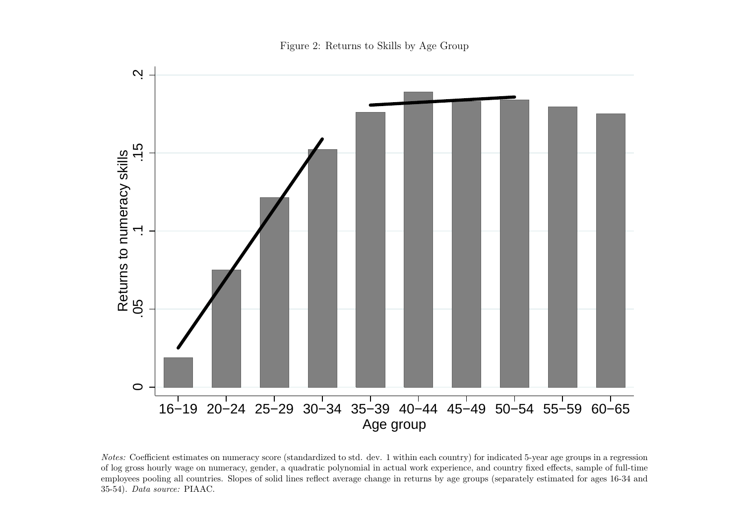

*Notes:* Coefficient estimates on numeracy score (standardized to std. dev. <sup>1</sup> within each country) for indicated 5-year age groups in <sup>a</sup> regression of log gross hourly wage on numeracy, gender, <sup>a</sup> quadratic polynomial in actual work experience, and country fixed effects, sample of full-time employees pooling all countries. Slopes of solid lines reflect average change in returns by age groups (separately estimated for ages 16-34 and35-54). *Data source:* PIAAC.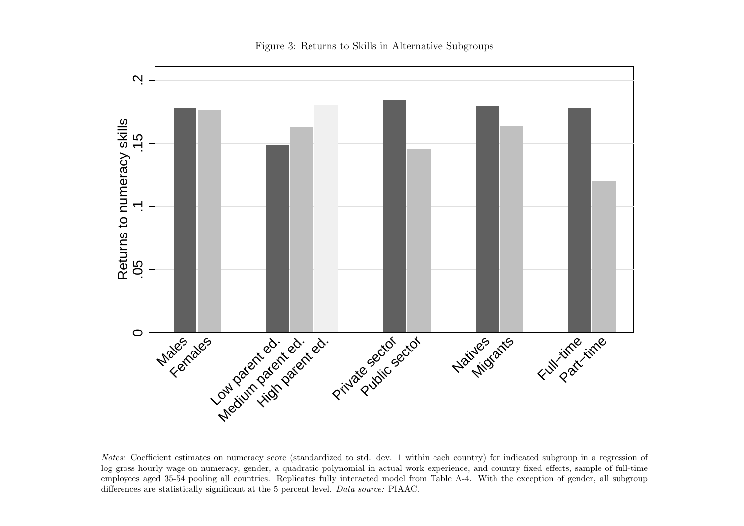Figure 3: Returns to Skills in Alternative Subgroups



*Notes:* Coefficient estimates on numeracy score (standardized to std. dev. <sup>1</sup> within each country) for indicated subgroup in <sup>a</sup> regression of log gross hourly wage on numeracy, gender, <sup>a</sup> quadratic polynomial in actual work experience, and country fixed effects, sample of full-time employees aged 35-54 pooling all countries. Replicates fully interacted model from Table A-4. With the exception of gender, all subgroupdifferences are statistically significant at the 5 percent level. *Data source:* PIAAC.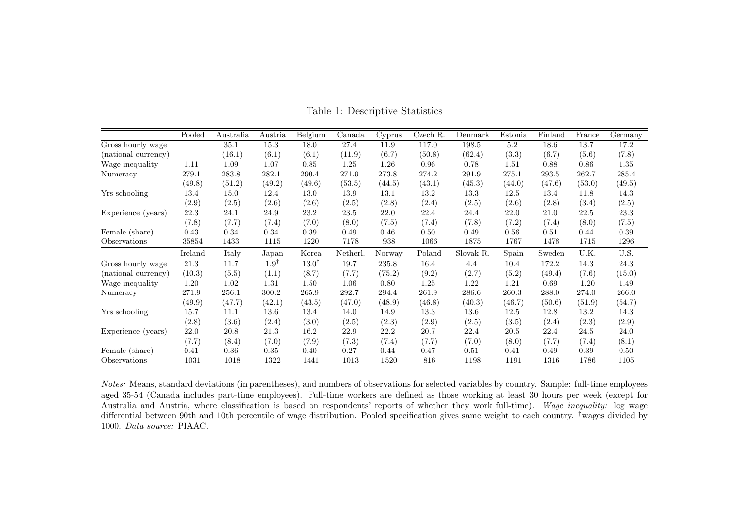|                     | Pooled  | Australia | Austria         | Belgium          | Canada   | Cyprus | Czech R. | Denmark   | Estonia | Finland | France | Germany |
|---------------------|---------|-----------|-----------------|------------------|----------|--------|----------|-----------|---------|---------|--------|---------|
| Gross hourly wage   |         | 35.1      | 15.3            | 18.0             | 27.4     | 11.9   | 117.0    | 198.5     | $5.2\,$ | 18.6    | 13.7   | 17.2    |
| (national currency) |         | (16.1)    | (6.1)           | (6.1)            | (11.9)   | (6.7)  | (50.8)   | (62.4)    | (3.3)   | (6.7)   | (5.6)  | (7.8)   |
| Wage inequality     | 1.11    | 1.09      | 1.07            | 0.85             | 1.25     | 1.26   | 0.96     | 0.78      | 1.51    | 0.88    | 0.86   | 1.35    |
| Numeracy            | 279.1   | 283.8     | 282.1           | 290.4            | 271.9    | 273.8  | 274.2    | 291.9     | 275.1   | 293.5   | 262.7  | 285.4   |
|                     | (49.8)  | (51.2)    | (49.2)          | (49.6)           | (53.5)   | (44.5) | (43.1)   | (45.3)    | (44.0)  | (47.6)  | (53.0) | (49.5)  |
| Yrs schooling       | 13.4    | 15.0      | 12.4            | 13.0             | 13.9     | 13.1   | 13.2     | 13.3      | 12.5    | 13.4    | 11.8   | 14.3    |
|                     | (2.9)   | (2.5)     | (2.6)           | (2.6)            | (2.5)    | (2.8)  | (2.4)    | (2.5)     | (2.6)   | (2.8)   | (3.4)  | (2.5)   |
| Experience (years)  | 22.3    | 24.1      | 24.9            | 23.2             | 23.5     | 22.0   | 22.4     | 24.4      | 22.0    | 21.0    | 22.5   | 23.3    |
|                     | (7.8)   | (7.7)     | (7.4)           | (7.0)            | (8.0)    | (7.5)  | (7.4)    | (7.8)     | (7.2)   | (7.4)   | (8.0)  | (7.5)   |
| Female (share)      | 0.43    | 0.34      | 0.34            | 0.39             | 0.49     | 0.46   | 0.50     | 0.49      | 0.56    | 0.51    | 0.44   | 0.39    |
| Observations        | 35854   | 1433      | 1115            | 1220             | 7178     | 938    | 1066     | 1875      | 1767    | 1478    | 1715   | 1296    |
|                     | Ireland | Italy     | Japan           | Korea            | Netherl. | Norway | Poland   | Slovak R. | Spain   | Sweden  | U.K.   | U.S.    |
| Gross hourly wage   | 21.3    | 11.7      | $1.9^{\dagger}$ | $13.0^{\dagger}$ | 19.7     | 235.8  | 16.4     | 4.4       | 10.4    | 172.2   | 14.3   | 24.3    |
| (national currency) | (10.3)  | (5.5)     | (1.1)           | (8.7)            | (7.7)    | (75.2) | (9.2)    | (2.7)     | (5.2)   | (49.4)  | (7.6)  | (15.0)  |
| Wage inequality     | 1.20    | 1.02      | 1.31            | 1.50             | 1.06     | 0.80   | 1.25     | 1.22      | 1.21    | 0.69    | 1.20   | 1.49    |
| Numeracy            | 271.9   | 256.1     | 300.2           | 265.9            | 292.7    | 294.4  | 261.9    | 286.6     | 260.3   | 288.0   | 274.0  | 266.0   |
|                     | (49.9)  | (47.7)    | (42.1)          | (43.5)           | (47.0)   | (48.9) | (46.8)   | (40.3)    | (46.7)  | (50.6)  | (51.9) | (54.7)  |
| Yrs schooling       | 15.7    | 11.1      | 13.6            | 13.4             | 14.0     | 14.9   | 13.3     | 13.6      | 12.5    | 12.8    | 13.2   | 14.3    |
|                     | (2.8)   | (3.6)     | (2.4)           | (3.0)            | (2.5)    | (2.3)  | (2.9)    | (2.5)     | (3.5)   | (2.4)   | (2.3)  | (2.9)   |
| Experience (years)  | 22.0    | 20.8      | 21.3            | 16.2             | 22.9     | 22.2   | 20.7     | 22.4      | 20.5    | 22.4    | 24.5   | 24.0    |
|                     | (7.7)   | (8.4)     | (7.0)           | (7.9)            | (7.3)    | (7.4)  | (7.7)    | (7.0)     | (8.0)   | (7.7)   | (7.4)  | (8.1)   |
| Female (share)      | 0.41    | 0.36      | 0.35            | 0.40             | 0.27     | 0.44   | 0.47     | 0.51      | 0.41    | 0.49    | 0.39   | 0.50    |
| Observations        | 1031    | 1018      | 1322            | 1441             | 1013     | 1520   | 816      | 1198      | 1191    | 1316    | 1786   | 1105    |

Table 1: Descriptive Statistics

*Notes:* Means, standard deviations (in parentheses), and numbers of observations for selected variables by country. Sample: full-time employees aged 35-54 (Canada includes part-time employees). Full-time workers are defined as those working at least <sup>30</sup> hours per week (except for Australia and Austria, where classification is based on respondents' reports of whether they work full-time). *Wage inequality:* log wage differential between 90th and 10th percentile of wage distribution. Pooled specification gives same weight to each country. *†*wages divided by1000. *Data source:* PIAAC.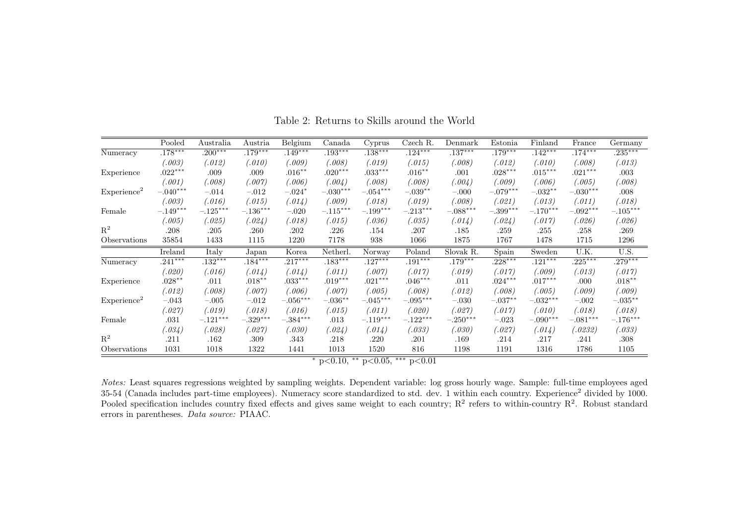|                         | Pooled     | Australia              | Austria                | Belgium                | Canada                   | Cyprus     | Czech R.        | Denmark    | Estonia         | Finland    | France                 | Germany                    |
|-------------------------|------------|------------------------|------------------------|------------------------|--------------------------|------------|-----------------|------------|-----------------|------------|------------------------|----------------------------|
| Numeracy                | $.178***$  | $.200***$              | $.179***$              | $.149***$              | $.193***$                | $.138***$  | $.124***$       | $.137***$  | $.179***$       | $.142***$  | $.174***$              | $.235***$                  |
|                         | (.003)     | (.012)                 | (.010)                 | (.009)                 | (.008)                   | (.019)     | (.015)          | (.008)     | (.012)          | (.010)     | 0.008)                 | (.013)                     |
| Experience              | $.022***$  | .009                   | .009                   | $.016***$              | $.020***$                | $.033***$  | $.016***$       | .001       | $.028***$       | $.015***$  | $.021***$              | .003                       |
|                         | (.001)     | (.008)                 | (.007)                 | (.006)                 | (.004)                   | (.008)     | (.008)          | (.004)     | (.009)          | (.006)     | (.005)                 | (.008)                     |
| Experience <sup>2</sup> | $-.040***$ | $-.014$                | $-.012$                | $-.024*$               | $-.030***$               | $-.054***$ | $-.039**$       | $-.000$    | $-.079***$      | $-.032**$  | $-.030***$             | .008                       |
|                         | 0.003)     | (.016)                 | (.015)                 | (.014)                 | (.009)                   | (.018)     | (.019)          | (.008)     | (.021)          | (.013)     | (.011)                 | (.018)                     |
| Female                  | $-.149***$ | $-.125^{\ast\ast\ast}$ | $-.136***$             | $-.020$                | $-.115***$               | $-.199***$ | $-.213***$      | $-.088***$ | $-.399^{***}\,$ | $-.170***$ | $-.092***$             | $-.105***$                 |
|                         | 0.005)     | (.025)                 | (.024)                 | (.018)                 | 0.015)                   | (.036)     | (.035)          | (.014)     | (.024)          | (.017)     | 0.026)                 | (.026)                     |
| $R^2$                   | .208       | .205                   | .260                   | .202                   | .226                     | .154       | .207            | .185       | .259            | .255       | .258                   | .269                       |
| Observations            | 35854      | 1433                   | 1115                   | 1220                   | 7178                     | 938        | 1066            | 1875       | 1767            | 1478       | 1715                   | 1296                       |
|                         | Ireland    | Italy                  | Japan                  | Korea                  | Netherl.                 | Norway     | Poland          | Slovak R.  | Spain           | Sweden     | U.K.                   | $\overline{\mathrm{U.S.}}$ |
| Numeracy                | $.241***$  | $.132***$              | $.184***$              | $.217***$              | $.183***$                | $.127***$  | $.191***$       | $.179***$  | $.228***$       | $.121***$  | $.225***$              | $.279***$                  |
|                         | (.020)     | (.016)                 | (.014)                 | (.014)                 | (.011)                   | (.007)     | (.017)          | (.019)     | (.017)          | (.009)     | (.013)                 | (.017)                     |
| Experience              | $.028***$  | .011                   | $.018***$              | $.033***$              | $.019***$                | $.021***$  | $.046***$       | .011       | $.024***$       | $.017***$  | .000                   | $.018***$                  |
|                         | (.012)     | (.008)                 | (.007)                 | (.006)                 | 0.007)                   | (.005)     | (.008)          | (.012)     | (.008)          | (.005)     | 0.009)                 | (.009)                     |
| Experience <sup>2</sup> | $-.043$    | $-.005$                | $-.012$                | $-.056***$             | $-.036***$               | $-.045***$ | $-.095***$      | $-.030$    | $-.037**$       | $-.032***$ | $-.002$                | $-.035***$                 |
|                         | (.027)     | (.019)                 | (.018)                 | (.016)                 | (.015)                   | (.011)     | (.020)          | (.027)     | (.017)          | (.010)     | 0.018)                 | (.018)                     |
| Female                  | .031       | $-.121***$             | $-.329^{\ast\ast\ast}$ | $-.384^{\ast\ast\ast}$ | .013                     | $-.119***$ | $-.122***$      | $-.250***$ | $-.023$         | $-.090***$ | $-.081^{\ast\ast\ast}$ | $-.176^{\ast\ast\ast}$     |
|                         | (.034)     | (.028)                 | (.027)                 | (.030)                 | (.024)                   | (.014)     | (.033)          | (.030)     | (.027)          | (.014)     | (.0232)                | (.033)                     |
| $\mathbf{R}^2$          | .211       | .162                   | .309                   | .343                   | .218                     | .220       | .201            | .169       | .214            | .217       | .241                   | .308                       |
| Observations            | 1031       | 1018                   | 1322                   | 1441                   | 1013                     | 1520       | 816             | 1198       | 1191            | 1316       | 1786                   | 1105                       |
|                         |            |                        |                        |                        | $p<0.10$ , ** $p<0.05$ , |            | $***$<br>p<0.01 |            |                 |            |                        |                            |

Table 2: Returns to Skills around the World

*Notes:* Least squares regressions weighted by sampling weights. Dependent variable: log gross hourly wage. Sample: full-time employees aged35-54 (Canada includes part-time employees). Numeracy score standardized to std. dev. 1 within each country. Experience<sup>2</sup> divided by 1000. Pooled specification includes country fixed effects and gives same weight to each country;  $R^2$  refers to within-country  $R^2$ . Robust standard errors in parentheses. *Data source:* PIAAC.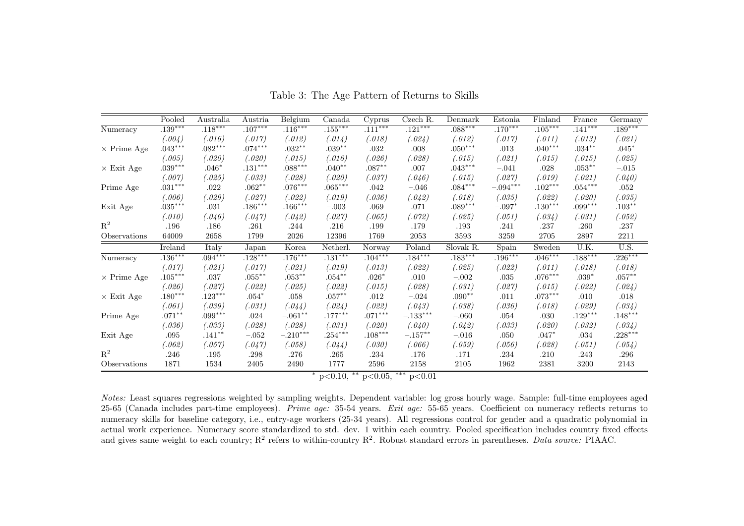|                    | Pooled     | Australia | Austria   | Belgium    | Canada    | Cyprus    | $Czech R$ . | Denmark   | Estonia     | Finland   | France    | Germany           |
|--------------------|------------|-----------|-----------|------------|-----------|-----------|-------------|-----------|-------------|-----------|-----------|-------------------|
| Numeracy           | $.139***$  | $.118***$ | $.107***$ | $.116***$  | $.155***$ | $.111***$ | $.121***$   | $.088***$ | $.170***$   | $.105***$ | $.141***$ | $.189***$         |
|                    | (.004)     | (.016)    | (.017)    | (.012)     | (.014)    | (.018)    | (.024)      | (.012)    | (.017)      | (.011)    | (.013)    | (.021)            |
| $\times$ Prime Age | $.043***$  | $.082***$ | $.074***$ | $.032**$   | $.039**$  | .032      | .008        | $.050***$ | .013        | $.040***$ | $.034***$ | $.045*$           |
|                    | (.005)     | (.020)    | (.020)    | (.015)     | (.016)    | (.026)    | (.028)      | (.015)    | (.021)      | (.015)    | (.015)    | (.025)            |
| $\times$ Exit Age  | $.039***$  | $.046*$   | $.131***$ | $.088***$  | $.040**$  | $.087**$  | .007        | $.043***$ | $-.041$     | .028      | $.053***$ | $-.015$           |
|                    | (.007)     | (.025)    | (.033)    | (.028)     | (.020)    | (.037)    | (.046)      | (.015)    | (.027)      | (.019)    | (.021)    | (.040)            |
| Prime Age          | $.031***$  | .022      | $.062**$  | $.076***$  | $.065***$ | .042      | $-.046$     | $.084***$ | $-.094***$  | $.102***$ | $.054***$ | .052              |
|                    | (.006)     | (.029)    | (.027)    | (.022)     | (.019)    | (.036)    | (.042)      | (.018)    | (.035)      | (.022)    | (.020)    | (.035)            |
| Exit Age           | $.035***$  | .031      | $.186***$ | $.166***$  | $-.003$   | .069      | .071        | $.089***$ | $-.097*$    | $.130***$ | $.099***$ | $.103***$         |
|                    | (.010)     | (.046)    | (.047)    | (.042)     | (.027)    | (.065)    | (.072)      | (.025)    | (.051)      | (.034)    | (.031)    | (.052)            |
| $R^2$              | .196       | .186      | .261      | .244       | .216      | .199      | .179        | .193      | .241        | .237      | .260      | .237              |
| Observations       | 64009      | 2658      | 1799      | 2026       | 12396     | 1769      | 2053        | 3593      | 3259        | 2705      | 2897      | 2211              |
|                    | Ireland    | Italy     | Japan     | Korea      | Netherl.  | Norway    | Poland      | Slovak R. | Spain       | Sweden    | U.K.      | $\overline{U.S.}$ |
| Numeracy           | $.136***$  | $.094***$ | $.128***$ | $.176***$  | $.131***$ | $.104***$ | $.184***$   | $.183***$ | $.196***$   | $.046***$ | $.188***$ | $.226***$         |
|                    | (.017)     | (.021)    | (.017)    | (.021)     | (.019)    | (.013)    | (.022)      | (.025)    | (.022)      | (.011)    | (.018)    | (.018)            |
| $\times$ Prime Age | $.105***$  | .037      | $.055***$ | $.053***$  | $.054***$ | $.026*$   | .010        | $-.002$   | .035        | $.076***$ | $.039*$   | $.057***$         |
|                    | (.026)     | (.027)    | (.022)    | (.025)     | (.022)    | (.015)    | (.028)      | (.031)    | (.027)      | (.015)    | (.022)    | (.024)            |
| $\times$ Exit Age  | $.180***$  | $.123***$ | $.054*$   | .058       | $.057**$  | .012      | $-.024$     | $.090**$  | .011        | $.073***$ | .010      | .018              |
|                    | (.061)     | (.039)    | (.031)    | (.044)     | (.024)    | (.022)    | (.043)      | (.038)    | 0.036)      | (.018)    | (.029)    | (.034)            |
| Prime Age          | $.071***$  | $.099***$ | .024      | $-.061***$ | $.177***$ | $.071***$ | $-.133***$  | $-.060$   | .054        | .030      | $.129***$ | $.148***$         |
|                    | (.036)     | (.033)    | (.028)    | (.028)     | (.031)    | (.020)    | (.040)      | (.042)    | 4.033)      | (.020)    | (.032)    | (.034)            |
| Exit Age           | .095       | $.141**$  | $-.052$   | $-.210***$ | $.254***$ | $.108***$ | $-.157***$  | $-.016$   | .050        | $.047*$   | .034      | $.228***$         |
|                    | $\it 062)$ | (.057)    | (.047)    | (.058)     | (.044)    | (.030)    | (.066)      | (.059)    | $\it .056)$ | (.028)    | $0.051$ ) | (.054)            |
| $R^2$              | .246       | .195      | .298      | .276       | .265      | .234      | .176        | .171      | .234        | .210      | .243      | .296              |
| Observations       | 1871       | 1534      | 2405      | 2490       | 1777      | 2596      | 2158        | 2105      | 1962        | 2381      | 3200      | 2143              |

Table 3: The Age Pattern of Returns to Skills

*Notes:* Least squares regressions weighted by sampling weights. Dependent variable: log gross hourly wage. Sample: full-time employees aged 25-65 (Canada includes part-time employees). *Prime age:* 35-54 years. *Exit age:* 55-65 years. Coefficient on numeracy reflects returns to numeracy skills for baseline category, i.e., entry-age workers (25-34 years). All regressions control for gender and <sup>a</sup> quadratic polynomial in actual work experience. Numeracy score standardized to std. dev. 1 within each country. Pooled specification includes country fixed effectsand gives same weight to each country;  $R^2$  refers to within-country  $R^2$ . Robust standard errors in parentheses. *Data source:* PIAAC.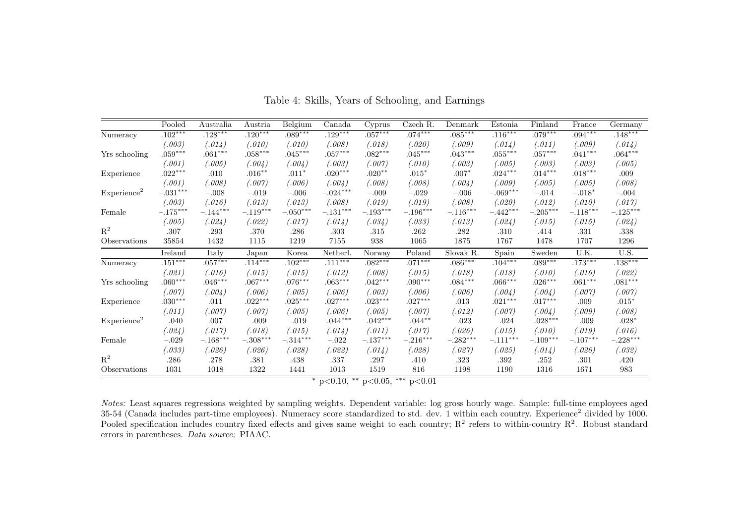|                         | Pooled     | Australia  | Austria                | Belgium                | Canada     | Cyprus                 | Czech R.   | Denmark               | $_{\rm Estonia}$ | Finland                | France                 | Germany                  |
|-------------------------|------------|------------|------------------------|------------------------|------------|------------------------|------------|-----------------------|------------------|------------------------|------------------------|--------------------------|
| Numeracy                | $.102***$  | $.128***$  | $.120***$              | $.089***$              | $.129***$  | $.057***$              | $.074***$  | $.085***$             | $.116***$        | $.079***$              | $.094***$              | $.148***$                |
|                         | (.003)     | (.014)     | (.010)                 | (.010)                 | (.008)     | (.018)                 | (.020)     | (.009)                | (.014)           | (.011)                 | (.009)                 | (.014)                   |
| Yrs schooling           | $.059***$  | $.061***$  | $.058***$              | $.045***$              | $.057***$  | $.082***$              | $.045***$  | $.043^{\ast\ast\ast}$ | $.055***$        | $.057***$              | $.041***$              | $.064***$                |
|                         | (.001)     | (.005)     | (.004)                 | (.004)                 | (.003)     | (.007)                 | (.010)     | (.003)                | (.005)           | (.003)                 | (.003)                 | (.005)                   |
| Experience              | $.022***$  | .010       | $.016***$              | $.011*$                | $.020***$  | $.020**$               | $.015*$    | $.007*$               | $.024***$        | $.014***$              | $.018***$              | .009                     |
|                         | (.001)     | (.008)     | (.007)                 | (.006)                 | (.004)     | (.008)                 | (.008)     | (.004)                | (.009)           | (.005)                 | (.005)                 | (.008)                   |
| Experience <sup>2</sup> | $-.031***$ | $-.008$    | $-.019$                | $-.006$                | $-.024***$ | $-.009$                | $-.029$    | $-.006$               | $-.069***$       | $-.014$                | $-.018*$               | $-.004$                  |
|                         | (.003)     | (.016)     | (.013)                 | (.013)                 | (.008)     | (.019)                 | (.019)     | (.008)                | (.020)           | (.012)                 | (.010)                 | (.017)                   |
| Female                  | $-.175***$ | $-.144***$ | $-.119***$             | $-.050^{\ast\ast\ast}$ | $-.131***$ | $-.193^{\ast\ast\ast}$ | $-.196***$ | $-.116***$            | $-.442***$       | $-.205***$             | $-.118^{\ast\ast\ast}$ | $-.125^{\ast\ast\ast}$   |
|                         | (.005)     | (.024)     | (.022)                 | (.017)                 | (.014)     | (.034)                 | (.033)     | (.013)                | (.024)           | (.015)                 | (.015)                 | (.024)                   |
| $\mathbf{R}^2$          | .307       | .293       | .370                   | .286                   | .303       | .315                   | .262       | .282                  | .310             | .414                   | .331                   | .338                     |
| Observations            | 35854      | 1432       | 1115                   | 1219                   | 7155       | 938                    | 1065       | 1875                  | 1767             | 1478                   | 1707                   | 1296                     |
|                         | Ireland    | Italy      | Japan                  | Korea                  | Netherl.   | Norway                 | Poland     | Slovak R.             | Spain            | Sweden                 | U.K.                   | $\overline{\text{U.S.}}$ |
| Numeracy                | $.151***$  | $.057***$  | $.114***$              | $.102***$              | $.111***$  | $.082***$              | $.071***$  | $.086***$             | $.104***$        | $.089***$              | $.173***$              | $.138***$                |
|                         | (.021)     | (.016)     | (.015)                 | (.015)                 | (.012)     | (.008)                 | (.015)     | (.018)                | (.018)           | (.010)                 | (.016)                 | (.022)                   |
| Yrs schooling           | $.060***$  | $.046***$  | $.067***$              | $.076***$              | $.063***$  | $.042***$              | $.090***$  | $.084***$             | $.066***$        | $.026***$              | $.061***$              | $.081***$                |
|                         | (.007)     | (.004)     | (.006)                 | (.005)                 | (.006)     | (.003)                 | (.006)     | (.006)                | (.004)           | (.004)                 | (.007)                 | (.007)                   |
| Experience              | $.030***$  | .011       | $.022***$              | $.025***$              | $.027***$  | $.023***$              | $.027***$  | .013                  | $.021***$        | $.017***$              | .009                   | $.015*$                  |
|                         | (.011)     | (.007)     | (.007)                 | (.005)                 | (.006)     | (.005)                 | (.007)     | (.012)                | (.007)           | (.004)                 | (.009)                 | (.008)                   |
| Experience <sup>2</sup> | $-.040$    | .007       | $-.009$                | $-.019$                | $-.044***$ | $-.042***$             | $-.044***$ | $-.023$               | $-.024$          | $-.028^{\ast\ast\ast}$ | $-.009$                | $-.028*$                 |
|                         | (.024)     | (.017)     | (.018)                 | (.015)                 | (.014)     | (.011)                 | (.017)     | (.026)                | (.015)           | (.010)                 | (.019)                 | (.016)                   |
| Female                  | $-.029$    | $-.168***$ | $-.308^{\ast\ast\ast}$ | $-.314^{\ast\ast\ast}$ | $-.022$    | $-.137***$             | $-.216***$ | $-.282***$            | $-.111***$       | $-.109***$             | $-.107***$             | $-.228***$               |
|                         | (.033)     | (.026)     | (.026)                 | (.028)                 | (.022)     | (.014)                 | (.028)     | (.027)                | (.025)           | (.014)                 | (.026)                 | (.032)                   |
| $\mathbf{R}^2$          | .286       | .278       | .381                   | .438                   | .337       | .297                   | .410       | .323                  | .392             | .252                   | .301                   | .420                     |
| Observations            | 1031       | 1018       | 1322                   | 1441                   | 1013       | 1519                   | 816        | 1198                  | 1190             | 1316                   | 1671                   | 983                      |

Table 4: Skills, Years of Schooling, and Earnings

*Notes:* Least squares regressions weighted by sampling weights. Dependent variable: log gross hourly wage. Sample: full-time employees aged35-54 (Canada includes part-time employees). Numeracy score standardized to std. dev. 1 within each country. Experience<sup>2</sup> divided by 1000 35-54 (Canada includes part-time employees). Numeracy score standardized to std. dev. 1 within each country. Experience<sup>2</sup> divided by 1000.<br>Pooled specification includes country fixed effects and gives same weight to each errors in parentheses. *Data source:* PIAAC.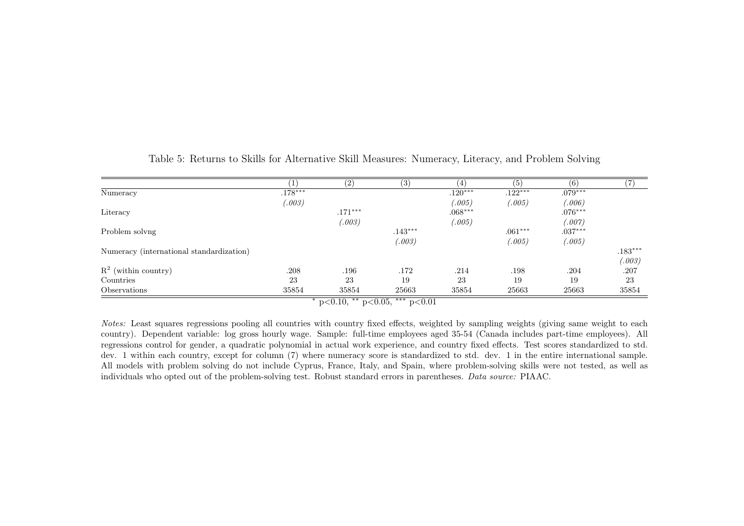|                                          | $\left(1\right)$ | (2)                                         | (3)                           | (4)       | (5)       | (6)       | 7)        |
|------------------------------------------|------------------|---------------------------------------------|-------------------------------|-----------|-----------|-----------|-----------|
| Numeracy                                 | $.178***$        |                                             |                               | $.120***$ | $.122***$ | $.079***$ |           |
|                                          | (.003)           |                                             |                               | (.005)    | (.005)    | (.006)    |           |
| Literacy                                 |                  | $.171***$                                   |                               | $.068***$ |           | $.076***$ |           |
|                                          |                  | (.003)                                      |                               | (.005)    |           | (.007)    |           |
| Problem solvng                           |                  |                                             | $.143***$                     |           | $.061***$ | $.037***$ |           |
|                                          |                  |                                             | (.003)                        |           | (.005)    | (.005)    |           |
| Numeracy (international standardization) |                  |                                             |                               |           |           |           | $.183***$ |
|                                          |                  |                                             |                               |           |           |           | (.003)    |
| $R^2$ (within country)                   | .208             | .196                                        | .172                          | .214      | .198      | .204      | .207      |
| Countries                                | 23               | 23                                          | 19                            | 23        | 19        | 19        | 23        |
| Observations                             | 35854            | 35854<br>$\sim$ $\sim$ $\sim$ $\sim$ $\sim$ | 25663<br>$\sim$ $\sim$ $\sim$ | 35854     | 25663     | 25663     | 35854     |

Table 5: Returns to Skills for Alternative Skill Measures: Numeracy, Literacy, and Problem Solving

*Notes:* Least squares regressions pooling all countries with country fixed effects, weighted by sampling weights (giving same weight to each country). Dependent variable: log gross hourly wage. Sample: full-time employees aged 35-54 (Canada includes part-time employees). All regressions control for gender, <sup>a</sup> quadratic polynomial in actual work experience, and country fixed effects. Test scores standardized to std. dev. <sup>1</sup> within each country, except for column (7) where numeracy score is standardized to std. dev. <sup>1</sup> in the entire international sample. All models with problem solving do not include Cyprus, France, Italy, and Spain, where problem-solving skills were not tested, as well asindividuals who opted out of the problem-solving test. Robust standard errors in parentheses. *Data source:* PIAAC.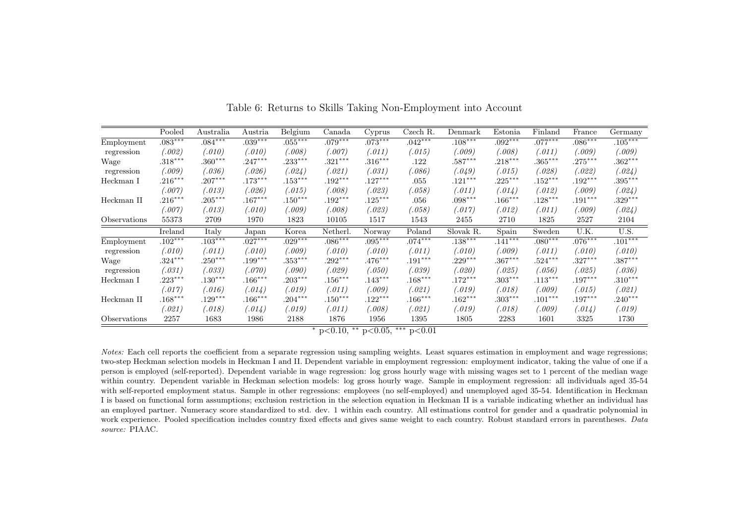|              | Pooled    | Australia    | Austria   | Belgium    | Canada       | Cyprus    | Czech R.  | Denmark   | Estonia   | Finland              | France     | Germany   |
|--------------|-----------|--------------|-----------|------------|--------------|-----------|-----------|-----------|-----------|----------------------|------------|-----------|
| Employment   | $.083***$ | $.084***$    | $.039***$ | $.055***$  | $.079***$    | $.073***$ | $.042***$ | $.108***$ | $.092***$ | $.077***$            | $.086***$  | $.105***$ |
| regression   | (.002)    | (.010)       | (.010)    | $\it 008)$ | (.007)       | (.011)    | (.015)    | 0.009)    | (.008)    | (.011)               | (.009)     | (.009)    |
| Wage         | $.318***$ | $.360***$    | $.247***$ | $.233***$  | $.321***$    | $.316***$ | .122      | $.587***$ | $.218***$ | $.365***$            | $.275***$  | $.362***$ |
| regression   | (.009)    | $\it .036$ ) | (.026)    | (.024)     | (.021)       | (.031)    | $0.086$ ) | 0.049     | (.015)    | (.028)               | (.022)     | (.024)    |
| Heckman I    | $.216***$ | $.207***$    | $.173***$ | $.153***$  | $.192***$    | $.127***$ | .055      | $.121***$ | $.225***$ | $.152***$            | $.192***$  | $.395***$ |
|              | 0.007     | (.013)       | (.026)    | (.015)     | (.008)       | (.023)    | (.058)    | (011)     | (.014)    | (.012)               | (.009)     | (.024)    |
| Heckman II   | $.216***$ | $.205***$    | $.167***$ | $.150***$  | $.192***$    | $.125***$ | .056      | $.098***$ | $.166***$ | $.128***$            | $.191***$  | $.329***$ |
|              | 0.007)    | (.013)       | (.010)    | (.009)     | (.008)       | (.023)    | (.058)    | (.017)    | (.012)    | $\left( .011\right)$ | $\it 009)$ | (.024)    |
| Observations | 55373     | 2709         | 1970      | 1823       | 10105        | 1517      | 1543      | 2455      | 2710      | 1825                 | 2527       | 2104      |
|              | Ireland   | Italy        | Japan     | Korea      | Netherl.     | Norway    | Poland    | Slovak R. | Spain     | Sweden               | U.K.       | U.S.      |
| Employment   | $.102***$ | $.103***$    | $.027***$ | $.029***$  | $.086***$    | $.095***$ | $.074***$ | $.138***$ | $.141***$ | $.080***$            | $.076***$  | $.101***$ |
| regression   | (.010)    | (.011)       | (.010)    | $\it 009$  | (.010)       | (.010)    | (.011)    | 0.010)    | (.009)    | $\left( .011\right)$ | (.010)     | (.010)    |
| Wage         | $.324***$ | $.250***$    | $.199***$ | $.353***$  | $.292***$    | $.476***$ | $.191***$ | $.229***$ | $.367***$ | $.524***$            | $.327***$  | $.387***$ |
| regression   | (.031)    | (.033)       | (.070)    | (.090)     | (.029)       | (.050)    | (.039)    | 0.020)    | (.025)    | (.056)               | (.025)     | (.036)    |
| Heckman I    | $.223***$ | $.130***$    | $.166***$ | $.203***$  | $.156***$    | $.143***$ | $.168***$ | $.172***$ | $.303***$ | $.113***$            | $.197***$  | $.310***$ |
|              | (.017)    | (.016)       | (.014)    | 0.019)     | (.011)       | (.009)    | (.021)    | 0.019)    | (.018)    | $\it 009)$           | (.015)     | (.021)    |
| Heckman II   | $.168***$ | $.129***$    | $.166***$ | $.204***$  | $.150^{***}$ | $.122***$ | $.166***$ | $.162***$ | $.303***$ | $.101***$            | $.197***$  | $.240***$ |
|              | (.021)    | (.018)       | (.014)    | 0.019)     | (.011)       | (.008)    | (.021)    | 0.019     | (.018)    | (.009)               | (.014)     | (.019)    |
| Observations | 2257      | 1683         | 1986      | 2188       | 1876         | 1956      | 1395      | 1805      | 2283      | 1601                 | 3325       | 1730      |

Table 6: Returns to Skills Taking Non-Employment into Account

*Notes:* Each cell reports the coefficient from <sup>a</sup> separate regression using sampling weights. Least squares estimation in employment and wage regressions; two-step Heckman selection models in Heckman I and II. Dependent variable in employment regression: employment indicator, taking the value of one if <sup>a</sup> person is employed (self-reported). Dependent variable in wage regression: log gross hourly wage with missing wages set to <sup>1</sup> percent of the median wagewithin country. Dependent variable in Heckman selection models: log gross hourly wage. Sample in employment regression: all individuals aged 35-54 with self-reported employment status. Sample in other regressions: employees (no self-employed) and unemployed aged 35-54. Identification in Heckman I is based on functional form assumptions; exclusion restriction in the selection equation in Heckman II is <sup>a</sup> variable indicating whether an individual has an employed partner. Numeracy score standardized to std. dev. 1 within each country. All estimations control for gender and <sup>a</sup> quadratic polynomial in work experience. Pooled specification includes country fixed effects and gives same weight to each country. Robust standard errors in parentheses. *Datasource:* PIAAC.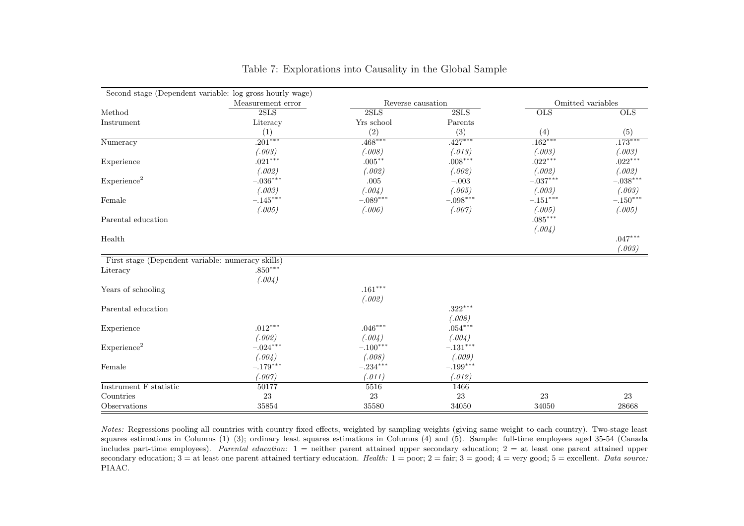|                                                   | Second stage (Dependent variable: log gross hourly wage) |                   |            |            |                   |
|---------------------------------------------------|----------------------------------------------------------|-------------------|------------|------------|-------------------|
|                                                   | Measurement error                                        | Reverse causation |            |            | Omitted variables |
| Method                                            | 2SLS                                                     | 2SLS              | 2SLS       | OLS        | $_{\text{OLS}}$   |
| Instrument                                        | Literacy                                                 | Yrs school        | Parents    |            |                   |
|                                                   | (1)                                                      | (2)               | (3)        | (4)        | (5)               |
| Numeracy                                          | $.201***$                                                | $.468***$         | $.427***$  | $.162***$  | $.173***$         |
|                                                   | (.003)                                                   | (.008)            | (.013)     | (.003)     | (.003)            |
| Experience                                        | $.021***$                                                | $.005***$         | $.008***$  | $.022***$  | $.022***$         |
|                                                   | (.002)                                                   | (.002)            | (.002)     | (.002)     | (.002)            |
| Experience <sup>2</sup>                           | $-.036***$                                               | .005              | $-.003$    | $-.037***$ | $-.038***$        |
|                                                   | (.003)                                                   | (.004)            | (.005)     | (.003)     | (.003)            |
| Female                                            | $-.145***$                                               | $-.089***$        | $-.098***$ | $-.151***$ | $-.150***$        |
|                                                   | (.005)                                                   | (.006)            | (.007)     | (.005)     | (.005)            |
| Parental education                                |                                                          |                   |            | $.085***$  |                   |
|                                                   |                                                          |                   |            | (.004)     |                   |
| Health                                            |                                                          |                   |            |            | $.047***$         |
|                                                   |                                                          |                   |            |            | (.003)            |
| First stage (Dependent variable: numeracy skills) |                                                          |                   |            |            |                   |
| Literacy                                          | $.850***$                                                |                   |            |            |                   |
|                                                   | (.004)                                                   |                   |            |            |                   |
| Years of schooling                                |                                                          | $.161***$         |            |            |                   |
|                                                   |                                                          | (.002)            |            |            |                   |
| Parental education                                |                                                          |                   | $.322***$  |            |                   |
|                                                   |                                                          |                   | (.008)     |            |                   |
| Experience                                        | $.012***$                                                | $.046***$         | $.054***$  |            |                   |
|                                                   | (.002)                                                   | (.004)            | (.004)     |            |                   |
| Experience <sup>2</sup>                           | $-.024***$                                               | $-.100^{***}\,$   | $-.131***$ |            |                   |
|                                                   | (.004)                                                   | (.008)            | (.009)     |            |                   |
| Female                                            | $-.179***$                                               | $-.234***$        | $-.199***$ |            |                   |
|                                                   | (.007)                                                   | (.011)            | (.012)     |            |                   |
| Instrument F statistic                            | 50177                                                    | 5516              | 1466       |            |                   |
| Countries                                         | $23\,$                                                   | $23\,$            | $23\,$     | 23         | $23\,$            |
| Observations                                      | 35854                                                    | 35580             | 34050      | 34050      | 28668             |

*Notes:* Regressions pooling all countries with country fixed effects, weighted by sampling weights (giving same weight to each country). Two-stage leastsquares estimations in Columns (1)–(3); ordinary least squares estimations in Columns (4) and (5). Sample: full-time employees aged 35-54 (Canada includes part-time employees). *Parental education:* <sup>1</sup> <sup>=</sup> neither parent attained upper secondary education; <sup>2</sup> <sup>=</sup> at least one parent attained uppersecondary education; 3 = at least one parent attained tertiary education. Health: 1 = poor; 2 = fair; 3 = good; 4 = very good; 5 = excellent. *Data source:* PIAAC.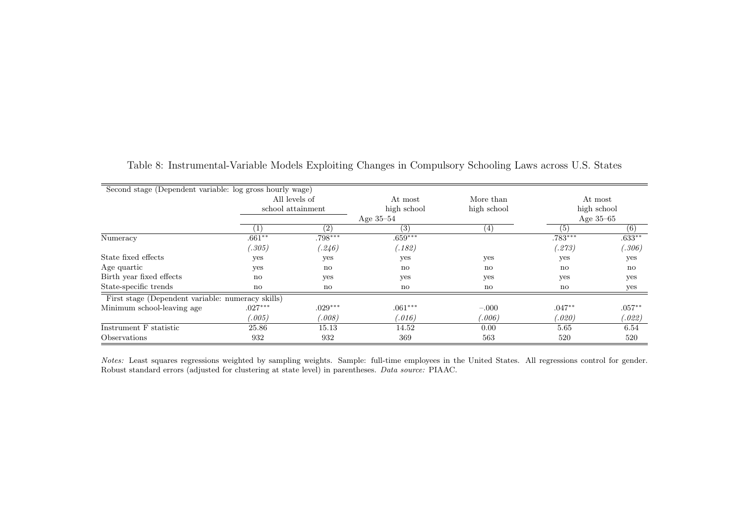| Second stage (Dependent variable: log gross hourly wage) |               |                   |              |                        |              |           |  |
|----------------------------------------------------------|---------------|-------------------|--------------|------------------------|--------------|-----------|--|
|                                                          |               | All levels of     | At most      | More than              | At most      |           |  |
|                                                          |               | school attainment | high school  | high school            | high school  |           |  |
|                                                          |               |                   | Age $35-54$  |                        | Age $35-65$  |           |  |
|                                                          |               | (2)               | (3)          | (4)                    | (5)          | (6)       |  |
| Numeracy                                                 | $.661**$      | $.798***$         | $.659***$    |                        | $.783***$    | $.633***$ |  |
|                                                          | (.305)        | (.246)            | (.182)       |                        | (.273)       | (.306)    |  |
| State fixed effects                                      | yes           | yes               | yes          | yes                    | yes          | yes       |  |
| Age quartic                                              | yes           | $\mathbf{n}$      | $\mathbf{n}$ | $\mathbf{n}$           | $\mathbf{n}$ | no        |  |
| Birth year fixed effects                                 | $\mathbf{no}$ | yes               | yes          | yes                    | yes          | yes       |  |
| State-specific trends                                    | $\mathbf{no}$ | no                | no           | $\mathbf{n}\mathbf{o}$ | no           | yes       |  |
| First stage (Dependent variable: numeracy skills)        |               |                   |              |                        |              |           |  |
| Minimum school-leaving age                               | $.027***$     | $.029***$         | $.061***$    | $-.000$                | $.047**$     | $.057***$ |  |
|                                                          | 0.005)        | (.008)            | (.016)       | (.006)                 | (.020)       | (.022)    |  |
| Instrument F statistic                                   | 25.86         | 15.13             | 14.52        | 0.00                   | 5.65         | 6.54      |  |
| Observations                                             | 932           | 932               | 369          | 563                    | 520          | 520       |  |

Table 8: Instrumental-Variable Models Exploiting Changes in Compulsory Schooling Laws across U.S. States

*Notes:* Least squares regressions weighted by sampling weights. Sample: full-time employees in the United States. All regressions control for gender. Robust standard errors (adjusted for clustering at state level) in parentheses. *Data source:* PIAAC.